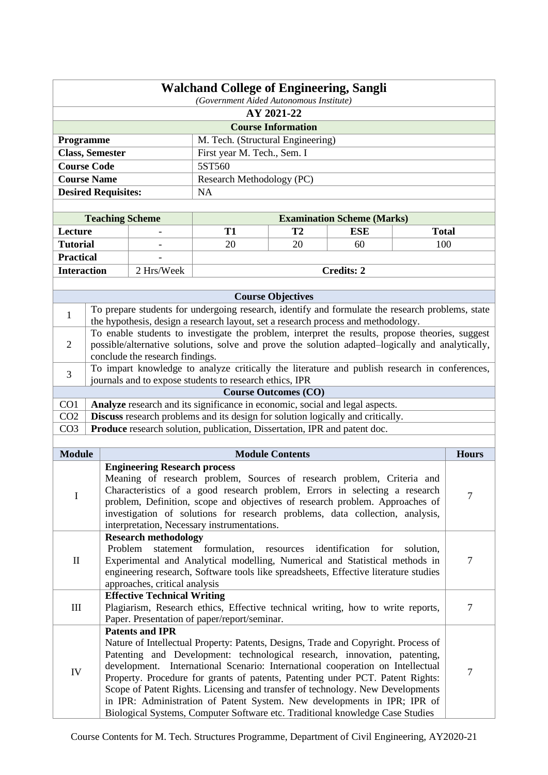|                                                                                                                                                                                                                                                                                                                                                                        | <b>Walchand College of Engineering, Sangli</b><br>(Government Aided Autonomous Institute)                                                                                                                                                                                                                                                                                          |                                                                                                                                                                                                     |                                                                                                                                                                                                                                                   |                             |                                   |              |              |  |
|------------------------------------------------------------------------------------------------------------------------------------------------------------------------------------------------------------------------------------------------------------------------------------------------------------------------------------------------------------------------|------------------------------------------------------------------------------------------------------------------------------------------------------------------------------------------------------------------------------------------------------------------------------------------------------------------------------------------------------------------------------------|-----------------------------------------------------------------------------------------------------------------------------------------------------------------------------------------------------|---------------------------------------------------------------------------------------------------------------------------------------------------------------------------------------------------------------------------------------------------|-----------------------------|-----------------------------------|--------------|--------------|--|
|                                                                                                                                                                                                                                                                                                                                                                        | AY 2021-22                                                                                                                                                                                                                                                                                                                                                                         |                                                                                                                                                                                                     |                                                                                                                                                                                                                                                   |                             |                                   |              |              |  |
|                                                                                                                                                                                                                                                                                                                                                                        |                                                                                                                                                                                                                                                                                                                                                                                    |                                                                                                                                                                                                     |                                                                                                                                                                                                                                                   | <b>Course Information</b>   |                                   |              |              |  |
|                                                                                                                                                                                                                                                                                                                                                                        | M. Tech. (Structural Engineering)<br>Programme                                                                                                                                                                                                                                                                                                                                     |                                                                                                                                                                                                     |                                                                                                                                                                                                                                                   |                             |                                   |              |              |  |
|                                                                                                                                                                                                                                                                                                                                                                        | <b>Class, Semester</b><br>First year M. Tech., Sem. I                                                                                                                                                                                                                                                                                                                              |                                                                                                                                                                                                     |                                                                                                                                                                                                                                                   |                             |                                   |              |              |  |
|                                                                                                                                                                                                                                                                                                                                                                        | 5ST560<br><b>Course Code</b>                                                                                                                                                                                                                                                                                                                                                       |                                                                                                                                                                                                     |                                                                                                                                                                                                                                                   |                             |                                   |              |              |  |
|                                                                                                                                                                                                                                                                                                                                                                        | <b>Course Name</b><br>Research Methodology (PC)                                                                                                                                                                                                                                                                                                                                    |                                                                                                                                                                                                     |                                                                                                                                                                                                                                                   |                             |                                   |              |              |  |
|                                                                                                                                                                                                                                                                                                                                                                        | <b>Desired Requisites:</b><br><b>NA</b>                                                                                                                                                                                                                                                                                                                                            |                                                                                                                                                                                                     |                                                                                                                                                                                                                                                   |                             |                                   |              |              |  |
|                                                                                                                                                                                                                                                                                                                                                                        |                                                                                                                                                                                                                                                                                                                                                                                    |                                                                                                                                                                                                     |                                                                                                                                                                                                                                                   |                             |                                   |              |              |  |
|                                                                                                                                                                                                                                                                                                                                                                        |                                                                                                                                                                                                                                                                                                                                                                                    | <b>Teaching Scheme</b>                                                                                                                                                                              |                                                                                                                                                                                                                                                   |                             | <b>Examination Scheme (Marks)</b> |              |              |  |
| Lecture                                                                                                                                                                                                                                                                                                                                                                |                                                                                                                                                                                                                                                                                                                                                                                    |                                                                                                                                                                                                     | <b>T1</b>                                                                                                                                                                                                                                         | T2                          | <b>ESE</b>                        | <b>Total</b> |              |  |
| <b>Tutorial</b>                                                                                                                                                                                                                                                                                                                                                        |                                                                                                                                                                                                                                                                                                                                                                                    |                                                                                                                                                                                                     | 20                                                                                                                                                                                                                                                | 20                          | 60                                | 100          |              |  |
| <b>Practical</b>                                                                                                                                                                                                                                                                                                                                                       |                                                                                                                                                                                                                                                                                                                                                                                    |                                                                                                                                                                                                     |                                                                                                                                                                                                                                                   |                             |                                   |              |              |  |
| <b>Interaction</b>                                                                                                                                                                                                                                                                                                                                                     |                                                                                                                                                                                                                                                                                                                                                                                    | 2 Hrs/Week                                                                                                                                                                                          |                                                                                                                                                                                                                                                   |                             | <b>Credits: 2</b>                 |              |              |  |
|                                                                                                                                                                                                                                                                                                                                                                        |                                                                                                                                                                                                                                                                                                                                                                                    |                                                                                                                                                                                                     |                                                                                                                                                                                                                                                   |                             |                                   |              |              |  |
|                                                                                                                                                                                                                                                                                                                                                                        |                                                                                                                                                                                                                                                                                                                                                                                    |                                                                                                                                                                                                     |                                                                                                                                                                                                                                                   | <b>Course Objectives</b>    |                                   |              |              |  |
|                                                                                                                                                                                                                                                                                                                                                                        |                                                                                                                                                                                                                                                                                                                                                                                    |                                                                                                                                                                                                     | To prepare students for undergoing research, identify and formulate the research problems, state                                                                                                                                                  |                             |                                   |              |              |  |
| $\mathbf{1}$                                                                                                                                                                                                                                                                                                                                                           |                                                                                                                                                                                                                                                                                                                                                                                    |                                                                                                                                                                                                     | the hypothesis, design a research layout, set a research process and methodology.                                                                                                                                                                 |                             |                                   |              |              |  |
|                                                                                                                                                                                                                                                                                                                                                                        |                                                                                                                                                                                                                                                                                                                                                                                    |                                                                                                                                                                                                     |                                                                                                                                                                                                                                                   |                             |                                   |              |              |  |
| $\overline{2}$                                                                                                                                                                                                                                                                                                                                                         |                                                                                                                                                                                                                                                                                                                                                                                    | To enable students to investigate the problem, interpret the results, propose theories, suggest<br>possible/alternative solutions, solve and prove the solution adapted-logically and analytically, |                                                                                                                                                                                                                                                   |                             |                                   |              |              |  |
|                                                                                                                                                                                                                                                                                                                                                                        |                                                                                                                                                                                                                                                                                                                                                                                    | conclude the research findings.                                                                                                                                                                     |                                                                                                                                                                                                                                                   |                             |                                   |              |              |  |
| 3                                                                                                                                                                                                                                                                                                                                                                      |                                                                                                                                                                                                                                                                                                                                                                                    |                                                                                                                                                                                                     | To impart knowledge to analyze critically the literature and publish research in conferences,                                                                                                                                                     |                             |                                   |              |              |  |
|                                                                                                                                                                                                                                                                                                                                                                        |                                                                                                                                                                                                                                                                                                                                                                                    |                                                                                                                                                                                                     | journals and to expose students to research ethics, IPR                                                                                                                                                                                           |                             |                                   |              |              |  |
|                                                                                                                                                                                                                                                                                                                                                                        |                                                                                                                                                                                                                                                                                                                                                                                    |                                                                                                                                                                                                     |                                                                                                                                                                                                                                                   | <b>Course Outcomes (CO)</b> |                                   |              |              |  |
| CO1                                                                                                                                                                                                                                                                                                                                                                    |                                                                                                                                                                                                                                                                                                                                                                                    |                                                                                                                                                                                                     | Analyze research and its significance in economic, social and legal aspects.                                                                                                                                                                      |                             |                                   |              |              |  |
| CO <sub>2</sub>                                                                                                                                                                                                                                                                                                                                                        |                                                                                                                                                                                                                                                                                                                                                                                    |                                                                                                                                                                                                     | Discuss research problems and its design for solution logically and critically.                                                                                                                                                                   |                             |                                   |              |              |  |
| CO <sub>3</sub>                                                                                                                                                                                                                                                                                                                                                        |                                                                                                                                                                                                                                                                                                                                                                                    |                                                                                                                                                                                                     | Produce research solution, publication, Dissertation, IPR and patent doc.                                                                                                                                                                         |                             |                                   |              |              |  |
|                                                                                                                                                                                                                                                                                                                                                                        |                                                                                                                                                                                                                                                                                                                                                                                    |                                                                                                                                                                                                     |                                                                                                                                                                                                                                                   |                             |                                   |              |              |  |
| <b>Module</b>                                                                                                                                                                                                                                                                                                                                                          |                                                                                                                                                                                                                                                                                                                                                                                    |                                                                                                                                                                                                     |                                                                                                                                                                                                                                                   | <b>Module Contents</b>      |                                   |              | <b>Hours</b> |  |
| <b>Engineering Research process</b><br>Meaning of research problem, Sources of research problem, Criteria and<br>Characteristics of a good research problem, Errors in selecting a research<br>$\bf I$<br>problem, Definition, scope and objectives of research problem. Approaches of<br>investigation of solutions for research problems, data collection, analysis, |                                                                                                                                                                                                                                                                                                                                                                                    |                                                                                                                                                                                                     |                                                                                                                                                                                                                                                   |                             | $\overline{7}$                    |              |              |  |
| $\mathbf{I}$                                                                                                                                                                                                                                                                                                                                                           | interpretation, Necessary instrumentations.<br><b>Research methodology</b><br>Problem<br>statement<br>formulation,<br>identification<br>resources<br>for<br>solution,<br>Experimental and Analytical modelling, Numerical and Statistical methods in<br>7<br>engineering research, Software tools like spreadsheets, Effective literature studies<br>approaches, critical analysis |                                                                                                                                                                                                     |                                                                                                                                                                                                                                                   |                             |                                   |              |              |  |
| III                                                                                                                                                                                                                                                                                                                                                                    |                                                                                                                                                                                                                                                                                                                                                                                    | <b>Effective Technical Writing</b>                                                                                                                                                                  | Plagiarism, Research ethics, Effective technical writing, how to write reports,<br>Paper. Presentation of paper/report/seminar.                                                                                                                   |                             |                                   |              | 7            |  |
| ${\rm IV}$                                                                                                                                                                                                                                                                                                                                                             |                                                                                                                                                                                                                                                                                                                                                                                    | <b>Patents and IPR</b>                                                                                                                                                                              | Nature of Intellectual Property: Patents, Designs, Trade and Copyright. Process of<br>Patenting and Development: technological research, innovation, patenting,<br>development. International Scenario: International cooperation on Intellectual |                             |                                   |              | 7            |  |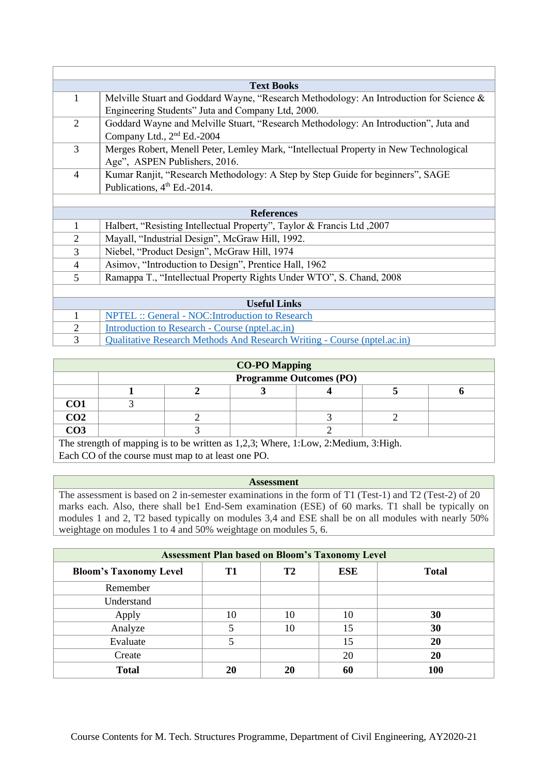| <b>Text Books</b> |                                                                                            |  |  |  |  |  |
|-------------------|--------------------------------------------------------------------------------------------|--|--|--|--|--|
| $\mathbf{1}$      | Melville Stuart and Goddard Wayne, "Research Methodology: An Introduction for Science $\&$ |  |  |  |  |  |
|                   | Engineering Students" Juta and Company Ltd, 2000.                                          |  |  |  |  |  |
| 2                 | Goddard Wayne and Melville Stuart, "Research Methodology: An Introduction", Juta and       |  |  |  |  |  |
|                   | Company Ltd., 2 <sup>nd</sup> Ed.-2004                                                     |  |  |  |  |  |
| $\mathfrak{Z}$    | Merges Robert, Menell Peter, Lemley Mark, "Intellectual Property in New Technological      |  |  |  |  |  |
|                   | Age", ASPEN Publishers, 2016.                                                              |  |  |  |  |  |
| $\overline{4}$    | Kumar Ranjit, "Research Methodology: A Step by Step Guide for beginners", SAGE             |  |  |  |  |  |
|                   | Publications, 4 <sup>th</sup> Ed.-2014.                                                    |  |  |  |  |  |
|                   |                                                                                            |  |  |  |  |  |
|                   | <b>References</b>                                                                          |  |  |  |  |  |
| $\mathbf{1}$      | Halbert, "Resisting Intellectual Property", Taylor & Francis Ltd, 2007                     |  |  |  |  |  |
| $\overline{2}$    | Mayall, "Industrial Design", McGraw Hill, 1992.                                            |  |  |  |  |  |
| $\overline{3}$    | Niebel, "Product Design", McGraw Hill, 1974                                                |  |  |  |  |  |
| $\overline{4}$    | Asimov, "Introduction to Design", Prentice Hall, 1962                                      |  |  |  |  |  |
| $5^{\circ}$       | Ramappa T., "Intellectual Property Rights Under WTO", S. Chand, 2008                       |  |  |  |  |  |
|                   |                                                                                            |  |  |  |  |  |
|                   | <b>Useful Links</b>                                                                        |  |  |  |  |  |
| 1                 | <b>NPTEL</b> :: General - NOC: Introduction to Research                                    |  |  |  |  |  |
| $\overline{2}$    | Introduction to Research - Course (nptel.ac.in)                                            |  |  |  |  |  |
| 3                 | <b>Qualitative Research Methods And Research Writing - Course (nptel.ac.in)</b>            |  |  |  |  |  |

| <b>CO-PO Mapping</b> |                                |  |  |  |       |  |  |  |
|----------------------|--------------------------------|--|--|--|-------|--|--|--|
|                      | <b>Programme Outcomes (PO)</b> |  |  |  |       |  |  |  |
|                      |                                |  |  |  |       |  |  |  |
| CO <sub>1</sub>      |                                |  |  |  |       |  |  |  |
| CO <sub>2</sub>      |                                |  |  |  |       |  |  |  |
| CO <sub>3</sub>      |                                |  |  |  |       |  |  |  |
| $-$                  |                                |  |  |  | ----- |  |  |  |

The strength of mapping is to be written as 1,2,3; Where, 1:Low, 2:Medium, 3:High. Each CO of the course must map to at least one PO.

## **Assessment**

| <b>Assessment Plan based on Bloom's Taxonomy Level</b> |    |                |            |              |  |  |
|--------------------------------------------------------|----|----------------|------------|--------------|--|--|
| <b>Bloom's Taxonomy Level</b>                          | T1 | T <sub>2</sub> | <b>ESE</b> | <b>Total</b> |  |  |
| Remember                                               |    |                |            |              |  |  |
| Understand                                             |    |                |            |              |  |  |
| Apply                                                  | 10 | 10             | 10         | 30           |  |  |
| Analyze                                                |    | 10             | 15         | 30           |  |  |
| Evaluate                                               |    |                | 15         | 20           |  |  |
| Create                                                 |    |                | 20         | 20           |  |  |
| <b>Total</b>                                           | 20 | 20             | 60         | 100          |  |  |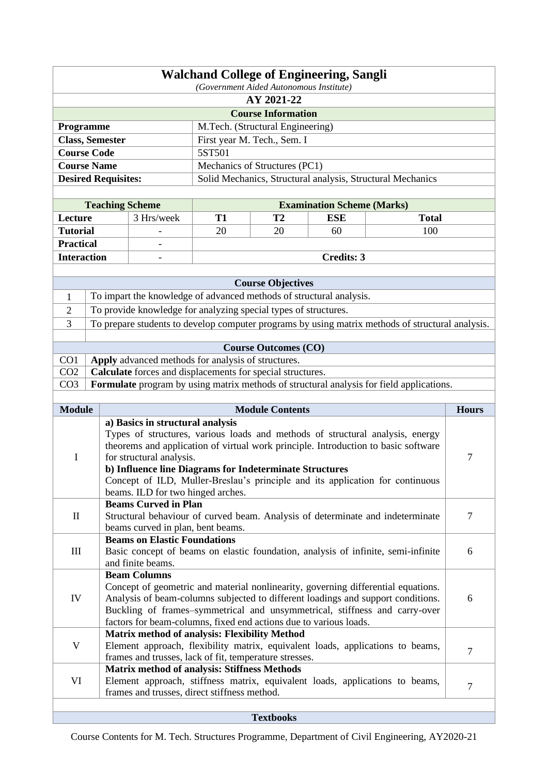| <b>Walchand College of Engineering, Sangli</b><br>(Government Aided Autonomous Institute)       |                            |                                                                     |           |                                  |                                   |                                                                                                  |                |
|-------------------------------------------------------------------------------------------------|----------------------------|---------------------------------------------------------------------|-----------|----------------------------------|-----------------------------------|--------------------------------------------------------------------------------------------------|----------------|
|                                                                                                 | AY 2021-22                 |                                                                     |           |                                  |                                   |                                                                                                  |                |
| <b>Course Information</b>                                                                       |                            |                                                                     |           |                                  |                                   |                                                                                                  |                |
|                                                                                                 |                            |                                                                     |           |                                  |                                   |                                                                                                  |                |
|                                                                                                 | Programme                  |                                                                     |           | M.Tech. (Structural Engineering) |                                   |                                                                                                  |                |
|                                                                                                 | <b>Class, Semester</b>     |                                                                     |           | First year M. Tech., Sem. I      |                                   |                                                                                                  |                |
|                                                                                                 | <b>Course Code</b>         |                                                                     | 5ST501    |                                  |                                   |                                                                                                  |                |
|                                                                                                 | <b>Course Name</b>         |                                                                     |           | Mechanics of Structures (PC1)    |                                   |                                                                                                  |                |
|                                                                                                 | <b>Desired Requisites:</b> |                                                                     |           |                                  |                                   | Solid Mechanics, Structural analysis, Structural Mechanics                                       |                |
|                                                                                                 |                            |                                                                     |           |                                  |                                   |                                                                                                  |                |
|                                                                                                 | <b>Teaching Scheme</b>     |                                                                     |           |                                  | <b>Examination Scheme (Marks)</b> |                                                                                                  |                |
| Lecture                                                                                         |                            | 3 Hrs/week                                                          | <b>T1</b> | T <sub>2</sub>                   | <b>ESE</b>                        | <b>Total</b>                                                                                     |                |
| <b>Tutorial</b>                                                                                 |                            | -                                                                   | 20        | 20                               | 60                                | 100                                                                                              |                |
| <b>Practical</b>                                                                                |                            |                                                                     |           |                                  |                                   |                                                                                                  |                |
| <b>Interaction</b>                                                                              |                            |                                                                     |           |                                  | <b>Credits: 3</b>                 |                                                                                                  |                |
|                                                                                                 |                            |                                                                     |           |                                  |                                   |                                                                                                  |                |
|                                                                                                 |                            |                                                                     |           | <b>Course Objectives</b>         |                                   |                                                                                                  |                |
| 1                                                                                               |                            | To impart the knowledge of advanced methods of structural analysis. |           |                                  |                                   |                                                                                                  |                |
| $\overline{2}$                                                                                  |                            | To provide knowledge for analyzing special types of structures.     |           |                                  |                                   |                                                                                                  |                |
| 3                                                                                               |                            |                                                                     |           |                                  |                                   | To prepare students to develop computer programs by using matrix methods of structural analysis. |                |
|                                                                                                 |                            |                                                                     |           |                                  |                                   |                                                                                                  |                |
|                                                                                                 |                            |                                                                     |           | <b>Course Outcomes (CO)</b>      |                                   |                                                                                                  |                |
| CO <sub>1</sub>                                                                                 |                            | Apply advanced methods for analysis of structures.                  |           |                                  |                                   |                                                                                                  |                |
| CO <sub>2</sub>                                                                                 |                            | Calculate forces and displacements for special structures.          |           |                                  |                                   |                                                                                                  |                |
| CO <sub>3</sub>                                                                                 |                            |                                                                     |           |                                  |                                   |                                                                                                  |                |
| <b>Formulate</b> program by using matrix methods of structural analysis for field applications. |                            |                                                                     |           |                                  |                                   |                                                                                                  |                |
| <b>Module</b><br><b>Module Contents</b>                                                         |                            |                                                                     |           |                                  |                                   |                                                                                                  |                |
|                                                                                                 |                            |                                                                     |           |                                  |                                   |                                                                                                  | <b>Hours</b>   |
|                                                                                                 |                            | a) Basics in structural analysis                                    |           |                                  |                                   |                                                                                                  |                |
|                                                                                                 |                            |                                                                     |           |                                  |                                   | Types of structures, various loads and methods of structural analysis, energy                    |                |
|                                                                                                 |                            |                                                                     |           |                                  |                                   | theorems and application of virtual work principle. Introduction to basic software               |                |
| I                                                                                               |                            | for structural analysis.                                            |           |                                  |                                   |                                                                                                  | 7              |
|                                                                                                 |                            | b) Influence line Diagrams for Indeterminate Structures             |           |                                  |                                   |                                                                                                  |                |
|                                                                                                 |                            |                                                                     |           |                                  |                                   | Concept of ILD, Muller-Breslau's principle and its application for continuous                    |                |
|                                                                                                 |                            | beams. ILD for two hinged arches.                                   |           |                                  |                                   |                                                                                                  |                |
|                                                                                                 |                            | <b>Beams Curved in Plan</b>                                         |           |                                  |                                   |                                                                                                  |                |
| $\rm{II}$                                                                                       |                            |                                                                     |           |                                  |                                   | Structural behaviour of curved beam. Analysis of determinate and indeterminate                   | $\overline{7}$ |
|                                                                                                 |                            | beams curved in plan, bent beams.                                   |           |                                  |                                   |                                                                                                  |                |
|                                                                                                 |                            | <b>Beams on Elastic Foundations</b>                                 |           |                                  |                                   |                                                                                                  |                |
| III                                                                                             |                            |                                                                     |           |                                  |                                   | Basic concept of beams on elastic foundation, analysis of infinite, semi-infinite                | 6              |
|                                                                                                 |                            | and finite beams.                                                   |           |                                  |                                   |                                                                                                  |                |
|                                                                                                 |                            | <b>Beam Columns</b>                                                 |           |                                  |                                   |                                                                                                  |                |
|                                                                                                 |                            |                                                                     |           |                                  |                                   | Concept of geometric and material nonlinearity, governing differential equations.                |                |
| IV                                                                                              |                            |                                                                     |           |                                  |                                   | Analysis of beam-columns subjected to different loadings and support conditions.                 | 6              |
|                                                                                                 |                            | factors for beam-columns, fixed end actions due to various loads.   |           |                                  |                                   | Buckling of frames-symmetrical and unsymmetrical, stiffness and carry-over                       |                |
|                                                                                                 |                            | <b>Matrix method of analysis: Flexibility Method</b>                |           |                                  |                                   |                                                                                                  |                |
| V                                                                                               |                            |                                                                     |           |                                  |                                   | Element approach, flexibility matrix, equivalent loads, applications to beams,                   |                |
|                                                                                                 |                            | frames and trusses, lack of fit, temperature stresses.              |           |                                  |                                   |                                                                                                  | $\overline{7}$ |
|                                                                                                 |                            | <b>Matrix method of analysis: Stiffness Methods</b>                 |           |                                  |                                   |                                                                                                  |                |
| VI                                                                                              |                            |                                                                     |           |                                  |                                   | Element approach, stiffness matrix, equivalent loads, applications to beams,                     |                |
|                                                                                                 |                            | frames and trusses, direct stiffness method.                        |           |                                  |                                   |                                                                                                  | $\overline{7}$ |
|                                                                                                 |                            |                                                                     |           | <b>Textbooks</b>                 |                                   |                                                                                                  |                |

## **Textbooks**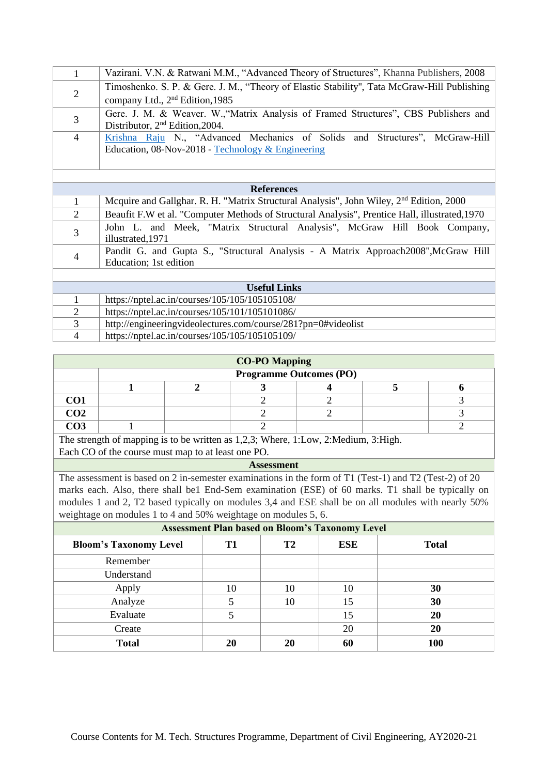| $\mathbf{1}$   | Vazirani. V.N. & Ratwani M.M., "Advanced Theory of Structures", Khanna Publishers, 2008             |
|----------------|-----------------------------------------------------------------------------------------------------|
|                | Timoshenko. S. P. & Gere. J. M., "Theory of Elastic Stability", Tata McGraw-Hill Publishing         |
| $\overline{2}$ | company Ltd., 2 <sup>nd</sup> Edition, 1985                                                         |
| 3              | Gere. J. M. & Weaver. W., "Matrix Analysis of Framed Structures", CBS Publishers and                |
|                | Distributor, 2 <sup>nd</sup> Edition, 2004.                                                         |
| $\overline{4}$ | Krishna Raju N., "Advanced Mechanics of Solids and Structures", McGraw-Hill                         |
|                | Education, 08-Nov-2018 - Technology & Engineering                                                   |
|                |                                                                                                     |
|                |                                                                                                     |
|                | <b>References</b>                                                                                   |
| $\mathbf{1}$   | Mcquire and Gallghar. R. H. "Matrix Structural Analysis", John Wiley, 2 <sup>nd</sup> Edition, 2000 |
| $\overline{2}$ | Beaufit F.W et al. "Computer Methods of Structural Analysis", Prentice Hall, illustrated, 1970      |
| 3              | John L. and Meek, "Matrix Structural Analysis", McGraw Hill Book Company,                           |
|                | illustrated, 1971                                                                                   |
| 4              | Pandit G. and Gupta S., "Structural Analysis - A Matrix Approach2008", McGraw Hill                  |
|                | Education; 1st edition                                                                              |
|                |                                                                                                     |
|                | <b>Useful Links</b>                                                                                 |
| $\mathbf{1}$   | https://nptel.ac.in/courses/105/105/105105108/                                                      |
| $\mathfrak{2}$ | https://nptel.ac.in/courses/105/101/105101086/                                                      |
| $\overline{3}$ | http://engineeringvideolectures.com/course/281?pn=0#videolist                                       |
| $\overline{4}$ | https://nptel.ac.in/courses/105/105/105105109/                                                      |

| <b>CO-PO Mapping</b>   |                                |  |  |  |  |  |  |  |
|------------------------|--------------------------------|--|--|--|--|--|--|--|
|                        | <b>Programme Outcomes (PO)</b> |  |  |  |  |  |  |  |
|                        |                                |  |  |  |  |  |  |  |
| CO <sub>1</sub>        |                                |  |  |  |  |  |  |  |
| CO <sub>2</sub>        |                                |  |  |  |  |  |  |  |
| $\gamma$ <sub>03</sub> |                                |  |  |  |  |  |  |  |

The strength of mapping is to be written as 1,2,3; Where, 1:Low, 2:Medium, 3:High. Each CO of the course must map to at least one PO.

## **Assessment**

| <b>Assessment Plan based on Bloom's Taxonomy Level</b> |    |           |            |              |  |  |
|--------------------------------------------------------|----|-----------|------------|--------------|--|--|
| <b>Bloom's Taxonomy Level</b>                          | T1 | <b>T2</b> | <b>ESE</b> | <b>Total</b> |  |  |
| Remember                                               |    |           |            |              |  |  |
| Understand                                             |    |           |            |              |  |  |
| Apply                                                  | 10 | 10        | 10         | 30           |  |  |
| Analyze                                                |    | 10        | 15         | 30           |  |  |
| Evaluate                                               |    |           | 15         | 20           |  |  |
| Create                                                 |    |           | 20         | 20           |  |  |
| <b>Total</b>                                           | 20 | 20        | 60         | 100          |  |  |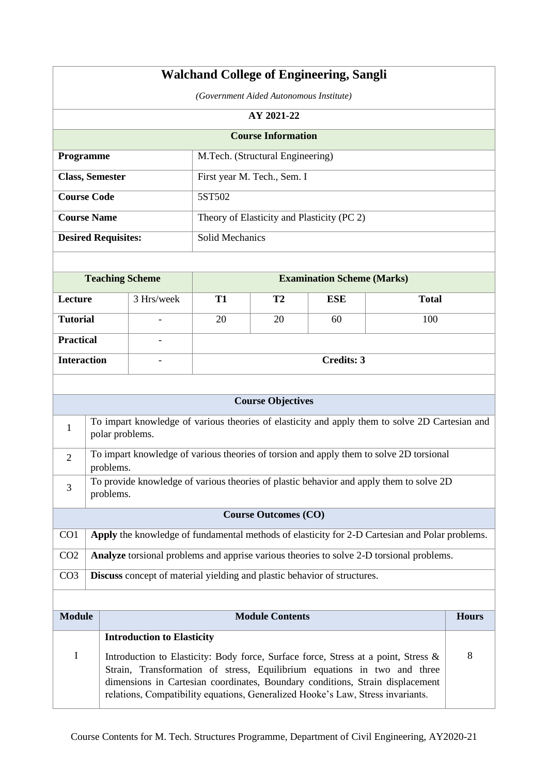|                                                                                                                                                                                                                                                                                                                                         | <b>Walchand College of Engineering, Sangli</b> |                                                                          |                        |                                         |                                            |                                                                                                |              |  |
|-----------------------------------------------------------------------------------------------------------------------------------------------------------------------------------------------------------------------------------------------------------------------------------------------------------------------------------------|------------------------------------------------|--------------------------------------------------------------------------|------------------------|-----------------------------------------|--------------------------------------------|------------------------------------------------------------------------------------------------|--------------|--|
|                                                                                                                                                                                                                                                                                                                                         |                                                |                                                                          |                        | (Government Aided Autonomous Institute) |                                            |                                                                                                |              |  |
|                                                                                                                                                                                                                                                                                                                                         |                                                |                                                                          |                        | AY 2021-22                              |                                            |                                                                                                |              |  |
|                                                                                                                                                                                                                                                                                                                                         |                                                |                                                                          |                        | <b>Course Information</b>               |                                            |                                                                                                |              |  |
|                                                                                                                                                                                                                                                                                                                                         | Programme                                      |                                                                          |                        | M.Tech. (Structural Engineering)        |                                            |                                                                                                |              |  |
|                                                                                                                                                                                                                                                                                                                                         | <b>Class, Semester</b>                         |                                                                          |                        | First year M. Tech., Sem. I             |                                            |                                                                                                |              |  |
|                                                                                                                                                                                                                                                                                                                                         | <b>Course Code</b>                             |                                                                          | 5ST502                 |                                         |                                            |                                                                                                |              |  |
|                                                                                                                                                                                                                                                                                                                                         | <b>Course Name</b>                             |                                                                          |                        |                                         | Theory of Elasticity and Plasticity (PC 2) |                                                                                                |              |  |
|                                                                                                                                                                                                                                                                                                                                         | <b>Desired Requisites:</b>                     |                                                                          | <b>Solid Mechanics</b> |                                         |                                            |                                                                                                |              |  |
|                                                                                                                                                                                                                                                                                                                                         |                                                |                                                                          |                        |                                         |                                            |                                                                                                |              |  |
|                                                                                                                                                                                                                                                                                                                                         |                                                | <b>Teaching Scheme</b>                                                   |                        |                                         | <b>Examination Scheme (Marks)</b>          |                                                                                                |              |  |
| Lecture                                                                                                                                                                                                                                                                                                                                 |                                                | 3 Hrs/week                                                               | <b>T1</b>              | T2                                      | <b>ESE</b>                                 | <b>Total</b>                                                                                   |              |  |
| <b>Tutorial</b>                                                                                                                                                                                                                                                                                                                         |                                                |                                                                          | 20                     | 20                                      | 60                                         | 100                                                                                            |              |  |
| <b>Practical</b>                                                                                                                                                                                                                                                                                                                        |                                                | $\overline{\phantom{0}}$                                                 |                        |                                         |                                            |                                                                                                |              |  |
|                                                                                                                                                                                                                                                                                                                                         | <b>Interaction</b>                             | $\overline{\phantom{a}}$                                                 |                        |                                         | <b>Credits: 3</b>                          |                                                                                                |              |  |
|                                                                                                                                                                                                                                                                                                                                         |                                                |                                                                          |                        |                                         |                                            |                                                                                                |              |  |
|                                                                                                                                                                                                                                                                                                                                         |                                                |                                                                          |                        | <b>Course Objectives</b>                |                                            |                                                                                                |              |  |
| 1                                                                                                                                                                                                                                                                                                                                       |                                                | polar problems.                                                          |                        |                                         |                                            | To impart knowledge of various theories of elasticity and apply them to solve 2D Cartesian and |              |  |
| $\overline{2}$                                                                                                                                                                                                                                                                                                                          | problems.                                      |                                                                          |                        |                                         |                                            | To impart knowledge of various theories of torsion and apply them to solve 2D torsional        |              |  |
| 3                                                                                                                                                                                                                                                                                                                                       | problems.                                      |                                                                          |                        |                                         |                                            | To provide knowledge of various theories of plastic behavior and apply them to solve 2D        |              |  |
|                                                                                                                                                                                                                                                                                                                                         |                                                |                                                                          |                        | <b>Course Outcomes (CO)</b>             |                                            |                                                                                                |              |  |
| CO1                                                                                                                                                                                                                                                                                                                                     |                                                |                                                                          |                        |                                         |                                            | Apply the knowledge of fundamental methods of elasticity for 2-D Cartesian and Polar problems. |              |  |
| CO <sub>2</sub>                                                                                                                                                                                                                                                                                                                         |                                                |                                                                          |                        |                                         |                                            | Analyze torsional problems and apprise various theories to solve 2-D torsional problems.       |              |  |
| CO <sub>3</sub>                                                                                                                                                                                                                                                                                                                         |                                                | Discuss concept of material yielding and plastic behavior of structures. |                        |                                         |                                            |                                                                                                |              |  |
|                                                                                                                                                                                                                                                                                                                                         |                                                |                                                                          |                        |                                         |                                            |                                                                                                |              |  |
| <b>Module</b>                                                                                                                                                                                                                                                                                                                           |                                                |                                                                          |                        | <b>Module Contents</b>                  |                                            |                                                                                                | <b>Hours</b> |  |
|                                                                                                                                                                                                                                                                                                                                         |                                                | <b>Introduction to Elasticity</b>                                        |                        |                                         |                                            |                                                                                                |              |  |
| I<br>Introduction to Elasticity: Body force, Surface force, Stress at a point, Stress &<br>Strain, Transformation of stress, Equilibrium equations in two and three<br>dimensions in Cartesian coordinates, Boundary conditions, Strain displacement<br>relations, Compatibility equations, Generalized Hooke's Law, Stress invariants. |                                                |                                                                          |                        |                                         |                                            | 8                                                                                              |              |  |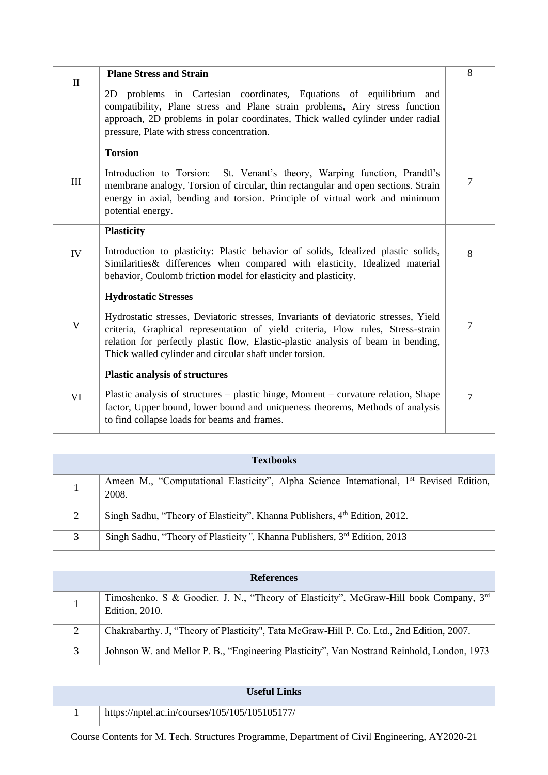| $\mathbf{I}$              | <b>Plane Stress and Strain</b>                                                                                                                                                                                                                                                                                         | 8              |
|---------------------------|------------------------------------------------------------------------------------------------------------------------------------------------------------------------------------------------------------------------------------------------------------------------------------------------------------------------|----------------|
|                           | 2D problems in Cartesian coordinates, Equations of equilibrium and<br>compatibility, Plane stress and Plane strain problems, Airy stress function<br>approach, 2D problems in polar coordinates, Thick walled cylinder under radial<br>pressure, Plate with stress concentration.                                      |                |
|                           | <b>Torsion</b>                                                                                                                                                                                                                                                                                                         |                |
| $\mathop{\rm III}$        | St. Venant's theory, Warping function, Prandtl's<br>Introduction to Torsion:<br>membrane analogy, Torsion of circular, thin rectangular and open sections. Strain<br>energy in axial, bending and torsion. Principle of virtual work and minimum<br>potential energy.                                                  | $\overline{7}$ |
|                           | <b>Plasticity</b>                                                                                                                                                                                                                                                                                                      |                |
| IV                        | Introduction to plasticity: Plastic behavior of solids, Idealized plastic solids,<br>Similarities & differences when compared with elasticity, Idealized material<br>behavior, Coulomb friction model for elasticity and plasticity.                                                                                   | 8              |
|                           | <b>Hydrostatic Stresses</b>                                                                                                                                                                                                                                                                                            |                |
| $\boldsymbol{\mathrm{V}}$ | Hydrostatic stresses, Deviatoric stresses, Invariants of deviatoric stresses, Yield<br>criteria, Graphical representation of yield criteria, Flow rules, Stress-strain<br>relation for perfectly plastic flow, Elastic-plastic analysis of beam in bending,<br>Thick walled cylinder and circular shaft under torsion. | $\overline{7}$ |
|                           | <b>Plastic analysis of structures</b>                                                                                                                                                                                                                                                                                  |                |
| VI                        | Plastic analysis of structures – plastic hinge, Moment – curvature relation, Shape<br>factor, Upper bound, lower bound and uniqueness theorems, Methods of analysis<br>to find collapse loads for beams and frames.                                                                                                    | $\overline{7}$ |
|                           |                                                                                                                                                                                                                                                                                                                        |                |
|                           | <b>Textbooks</b>                                                                                                                                                                                                                                                                                                       |                |
| $\mathbf{1}$              | Ameen M., "Computational Elasticity", Alpha Science International, 1 <sup>st</sup> Revised Edition,<br>2008.                                                                                                                                                                                                           |                |
| $\overline{2}$            | Singh Sadhu, "Theory of Elasticity", Khanna Publishers, 4th Edition, 2012.                                                                                                                                                                                                                                             |                |
| 3                         | Singh Sadhu, "Theory of Plasticity", Khanna Publishers, 3rd Edition, 2013                                                                                                                                                                                                                                              |                |
|                           |                                                                                                                                                                                                                                                                                                                        |                |
|                           | <b>References</b>                                                                                                                                                                                                                                                                                                      |                |
| $\mathbf{1}$              | Timoshenko. S & Goodier. J. N., "Theory of Elasticity", McGraw-Hill book Company, 3rd<br>Edition, 2010.                                                                                                                                                                                                                |                |
| $\overline{2}$            | Chakrabarthy. J, "Theory of Plasticity", Tata McGraw-Hill P. Co. Ltd., 2nd Edition, 2007.                                                                                                                                                                                                                              |                |
| $\overline{3}$            | Johnson W. and Mellor P. B., "Engineering Plasticity", Van Nostrand Reinhold, London, 1973                                                                                                                                                                                                                             |                |
|                           |                                                                                                                                                                                                                                                                                                                        |                |
|                           | <b>Useful Links</b>                                                                                                                                                                                                                                                                                                    |                |
| $\mathbf{1}$              | https://nptel.ac.in/courses/105/105/105105177/                                                                                                                                                                                                                                                                         |                |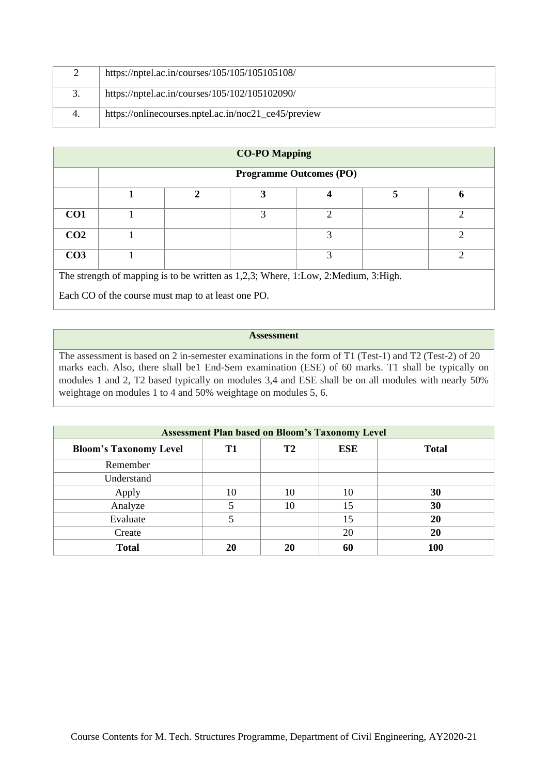| https://nptel.ac.in/courses/105/105/105105108/       |
|------------------------------------------------------|
| https://nptel.ac.in/courses/105/102/105102090/       |
| https://onlinecourses.nptel.ac.in/noc21_ce45/preview |

| <b>CO-PO Mapping</b>                                                               |                                |   |   |                |   |   |  |  |
|------------------------------------------------------------------------------------|--------------------------------|---|---|----------------|---|---|--|--|
|                                                                                    | <b>Programme Outcomes (PO)</b> |   |   |                |   |   |  |  |
|                                                                                    | 1                              | 2 | 3 | 4              | 5 | 6 |  |  |
| CO <sub>1</sub>                                                                    |                                |   | 3 | $\overline{2}$ |   | 2 |  |  |
| CO <sub>2</sub>                                                                    |                                |   |   | 3              |   | ∍ |  |  |
| CO <sub>3</sub>                                                                    |                                |   |   | 3              |   | ◠ |  |  |
| The strength of mapping is to be written as 1,2,3; Where, 1:Low, 2:Medium, 3:High. |                                |   |   |                |   |   |  |  |
| Each CO of the course must map to at least one PO.                                 |                                |   |   |                |   |   |  |  |

## **Assessment**

| <b>Assessment Plan based on Bloom's Taxonomy Level</b> |    |    |            |              |  |  |
|--------------------------------------------------------|----|----|------------|--------------|--|--|
| <b>Bloom's Taxonomy Level</b>                          | T1 | T2 | <b>ESE</b> | <b>Total</b> |  |  |
| Remember                                               |    |    |            |              |  |  |
| Understand                                             |    |    |            |              |  |  |
| Apply                                                  | 10 | 10 | 10         | 30           |  |  |
| Analyze                                                |    | 10 | 15         | 30           |  |  |
| Evaluate                                               |    |    | 15         | 20           |  |  |
| Create                                                 |    |    | 20         | 20           |  |  |
| <b>Total</b>                                           | 20 | 20 | 60         | 100          |  |  |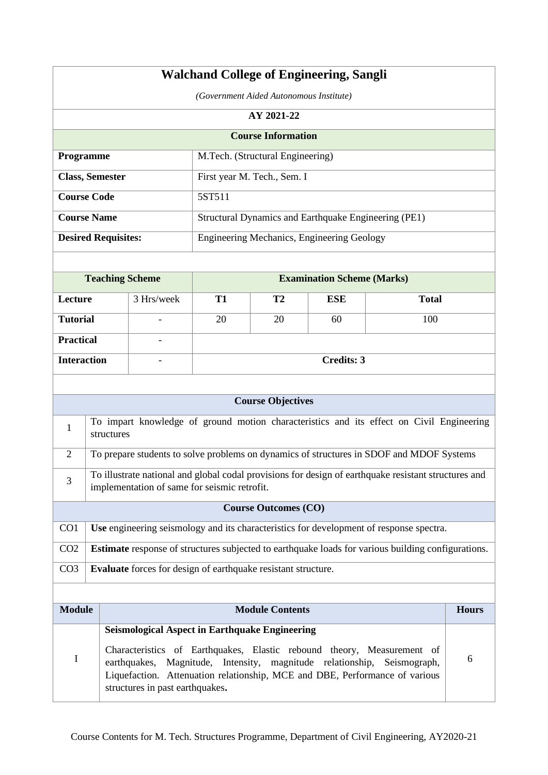|                                                                                                | <b>Walchand College of Engineering, Sangli</b>                                                            |                                              |                                         |                             |                                                                                                      |              |  |
|------------------------------------------------------------------------------------------------|-----------------------------------------------------------------------------------------------------------|----------------------------------------------|-----------------------------------------|-----------------------------|------------------------------------------------------------------------------------------------------|--------------|--|
|                                                                                                |                                                                                                           |                                              | (Government Aided Autonomous Institute) |                             |                                                                                                      |              |  |
|                                                                                                |                                                                                                           |                                              |                                         | AY 2021-22                  |                                                                                                      |              |  |
|                                                                                                |                                                                                                           |                                              |                                         | <b>Course Information</b>   |                                                                                                      |              |  |
| <b>Programme</b>                                                                               |                                                                                                           |                                              | M.Tech. (Structural Engineering)        |                             |                                                                                                      |              |  |
|                                                                                                | <b>Class, Semester</b>                                                                                    |                                              | First year M. Tech., Sem. I             |                             |                                                                                                      |              |  |
|                                                                                                | <b>Course Code</b>                                                                                        |                                              | 5ST511                                  |                             |                                                                                                      |              |  |
|                                                                                                | <b>Course Name</b>                                                                                        |                                              |                                         |                             | Structural Dynamics and Earthquake Engineering (PE1)                                                 |              |  |
|                                                                                                | <b>Desired Requisites:</b>                                                                                |                                              |                                         |                             | Engineering Mechanics, Engineering Geology                                                           |              |  |
|                                                                                                |                                                                                                           |                                              |                                         |                             |                                                                                                      |              |  |
|                                                                                                | <b>Teaching Scheme</b>                                                                                    |                                              |                                         |                             | <b>Examination Scheme (Marks)</b>                                                                    |              |  |
| Lecture                                                                                        |                                                                                                           | 3 Hrs/week                                   | <b>T1</b>                               | <b>T2</b>                   | <b>ESE</b>                                                                                           | <b>Total</b> |  |
| <b>Tutorial</b>                                                                                |                                                                                                           | 20                                           | 20                                      | 60                          | 100                                                                                                  |              |  |
| <b>Practical</b>                                                                               |                                                                                                           |                                              |                                         |                             |                                                                                                      |              |  |
| <b>Interaction</b>                                                                             |                                                                                                           |                                              |                                         |                             | <b>Credits: 3</b>                                                                                    |              |  |
|                                                                                                |                                                                                                           |                                              |                                         |                             |                                                                                                      |              |  |
|                                                                                                |                                                                                                           |                                              |                                         | <b>Course Objectives</b>    |                                                                                                      |              |  |
| 1                                                                                              | structures                                                                                                |                                              |                                         |                             | To impart knowledge of ground motion characteristics and its effect on Civil Engineering             |              |  |
| 2                                                                                              |                                                                                                           |                                              |                                         |                             | To prepare students to solve problems on dynamics of structures in SDOF and MDOF Systems             |              |  |
| 3                                                                                              |                                                                                                           | implementation of same for seismic retrofit. |                                         |                             | To illustrate national and global codal provisions for design of earthquake resistant structures and |              |  |
|                                                                                                |                                                                                                           |                                              |                                         | <b>Course Outcomes (CO)</b> |                                                                                                      |              |  |
| Use engineering seismology and its characteristics for development of response spectra.<br>CO1 |                                                                                                           |                                              |                                         |                             |                                                                                                      |              |  |
| CO <sub>2</sub>                                                                                | <b>Estimate</b> response of structures subjected to earthquake loads for various building configurations. |                                              |                                         |                             |                                                                                                      |              |  |
| CO <sub>3</sub>                                                                                | Evaluate forces for design of earthquake resistant structure.                                             |                                              |                                         |                             |                                                                                                      |              |  |
|                                                                                                |                                                                                                           |                                              |                                         |                             |                                                                                                      |              |  |
|                                                                                                | <b>Module</b><br><b>Module Contents</b><br><b>Hours</b>                                                   |                                              |                                         |                             |                                                                                                      |              |  |

| <b>Seismological Aspect in Earthquake Engineering</b>                                                                                                                                                                                                               |  |
|---------------------------------------------------------------------------------------------------------------------------------------------------------------------------------------------------------------------------------------------------------------------|--|
| Characteristics of Earthquakes, Elastic rebound theory, Measurement of<br>earthquakes, Magnitude, Intensity, magnitude relationship, Seismograph,<br>Liquefaction. Attenuation relationship, MCE and DBE, Performance of various<br>structures in past earthquakes. |  |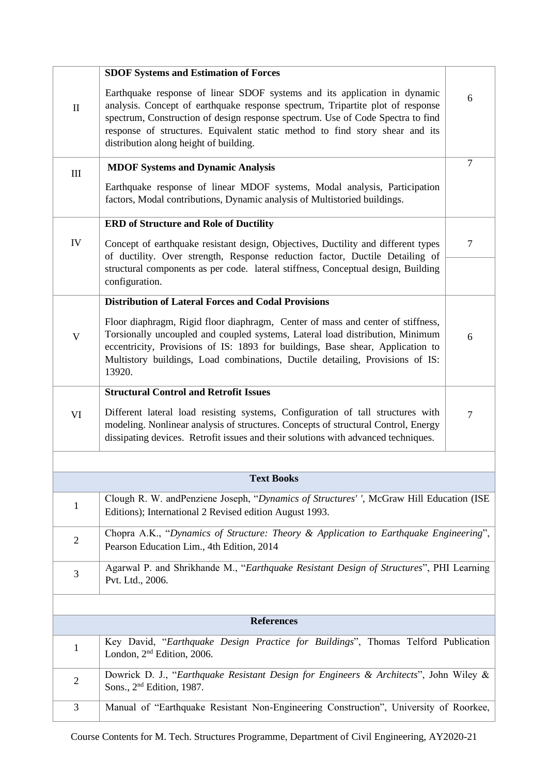|                           | <b>SDOF Systems and Estimation of Forces</b>                                                                                                                                                                                                                                                                                                                             |   |
|---------------------------|--------------------------------------------------------------------------------------------------------------------------------------------------------------------------------------------------------------------------------------------------------------------------------------------------------------------------------------------------------------------------|---|
| $\mathbf{I}$              | Earthquake response of linear SDOF systems and its application in dynamic<br>analysis. Concept of earthquake response spectrum, Tripartite plot of response<br>spectrum, Construction of design response spectrum. Use of Code Spectra to find<br>response of structures. Equivalent static method to find story shear and its<br>distribution along height of building. | 6 |
| $\rm III$                 | <b>MDOF Systems and Dynamic Analysis</b>                                                                                                                                                                                                                                                                                                                                 | 7 |
|                           | Earthquake response of linear MDOF systems, Modal analysis, Participation<br>factors, Modal contributions, Dynamic analysis of Multistoried buildings.                                                                                                                                                                                                                   |   |
|                           | <b>ERD</b> of Structure and Role of Ductility                                                                                                                                                                                                                                                                                                                            |   |
| IV                        | Concept of earthquake resistant design, Objectives, Ductility and different types<br>of ductility. Over strength, Response reduction factor, Ductile Detailing of<br>structural components as per code. lateral stiffness, Conceptual design, Building<br>configuration.                                                                                                 | 7 |
|                           | <b>Distribution of Lateral Forces and Codal Provisions</b>                                                                                                                                                                                                                                                                                                               |   |
| $\boldsymbol{\mathrm{V}}$ | Floor diaphragm, Rigid floor diaphragm, Center of mass and center of stiffness,<br>Torsionally uncoupled and coupled systems, Lateral load distribution, Minimum<br>eccentricity, Provisions of IS: 1893 for buildings, Base shear, Application to<br>Multistory buildings, Load combinations, Ductile detailing, Provisions of IS:<br>13920.                            | 6 |
|                           | <b>Structural Control and Retrofit Issues</b>                                                                                                                                                                                                                                                                                                                            |   |
| VI                        | Different lateral load resisting systems, Configuration of tall structures with<br>modeling. Nonlinear analysis of structures. Concepts of structural Control, Energy<br>dissipating devices. Retrofit issues and their solutions with advanced techniques.                                                                                                              | 7 |
|                           |                                                                                                                                                                                                                                                                                                                                                                          |   |
|                           | <b>Text Books</b>                                                                                                                                                                                                                                                                                                                                                        |   |
| $\mathbf{1}$              | Clough R. W. andPenziene Joseph, "Dynamics of Structures' ', McGraw Hill Education (ISE<br>Editions); International 2 Revised edition August 1993.                                                                                                                                                                                                                       |   |
| $\mathbf{2}$              | Chopra A.K., "Dynamics of Structure: Theory & Application to Earthquake Engineering",<br>Pearson Education Lim., 4th Edition, 2014                                                                                                                                                                                                                                       |   |
| 3                         | Agarwal P. and Shrikhande M., "Earthquake Resistant Design of Structures", PHI Learning<br>Pvt. Ltd., 2006.                                                                                                                                                                                                                                                              |   |
|                           |                                                                                                                                                                                                                                                                                                                                                                          |   |
|                           | <b>References</b>                                                                                                                                                                                                                                                                                                                                                        |   |
| $\mathbf{1}$              | Key David, "Earthquake Design Practice for Buildings", Thomas Telford Publication<br>London, 2 <sup>nd</sup> Edition, 2006.                                                                                                                                                                                                                                              |   |
| $\mathfrak{2}$            | Dowrick D. J., "Earthquake Resistant Design for Engineers & Architects", John Wiley &<br>Sons., $2nd$ Edition, 1987.                                                                                                                                                                                                                                                     |   |
| 3                         | Manual of "Earthquake Resistant Non-Engineering Construction", University of Roorkee,                                                                                                                                                                                                                                                                                    |   |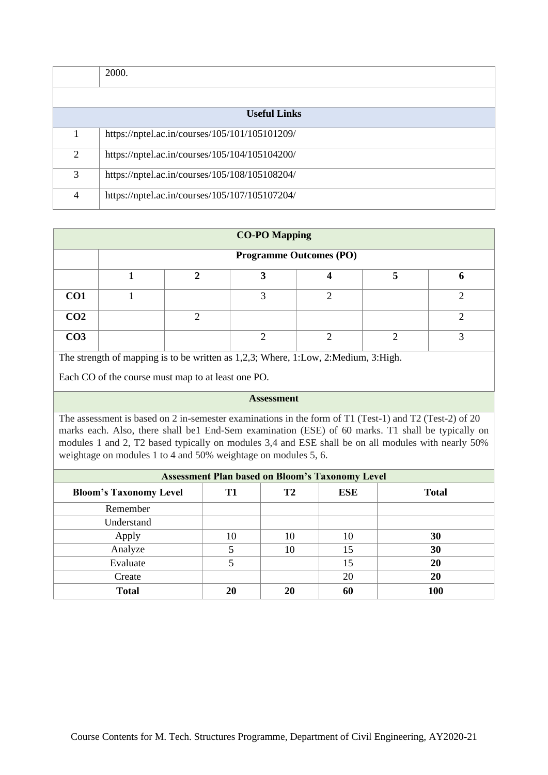|                | 2000.                                          |
|----------------|------------------------------------------------|
|                |                                                |
|                | <b>Useful Links</b>                            |
|                | https://nptel.ac.in/courses/105/101/105101209/ |
| $\overline{2}$ | https://nptel.ac.in/courses/105/104/105104200/ |
| 3              | https://nptel.ac.in/courses/105/108/105108204/ |
| $\overline{4}$ | https://nptel.ac.in/courses/105/107/105107204/ |

| <b>CO-PO Mapping</b> |                                |  |  |   |  |  |  |  |
|----------------------|--------------------------------|--|--|---|--|--|--|--|
|                      | <b>Programme Outcomes (PO)</b> |  |  |   |  |  |  |  |
|                      |                                |  |  |   |  |  |  |  |
| CO <sub>1</sub>      |                                |  |  | ◠ |  |  |  |  |
| CO <sub>2</sub>      |                                |  |  |   |  |  |  |  |
| CO <sub>3</sub>      |                                |  |  | ◠ |  |  |  |  |

Each CO of the course must map to at least one PO.

### **Assessment**

| <b>Assessment Plan based on Bloom's Taxonomy Level</b> |    |    |            |              |  |  |
|--------------------------------------------------------|----|----|------------|--------------|--|--|
| <b>Bloom's Taxonomy Level</b>                          | T1 | T2 | <b>ESE</b> | <b>Total</b> |  |  |
| Remember                                               |    |    |            |              |  |  |
| Understand                                             |    |    |            |              |  |  |
| Apply                                                  | 10 | 10 | 10         | 30           |  |  |
| Analyze                                                |    | 10 | 15         | 30           |  |  |
| Evaluate                                               |    |    | 15         | 20           |  |  |
| Create                                                 |    |    | 20         | 20           |  |  |
| <b>Total</b>                                           | 20 | 20 | 60         | 100          |  |  |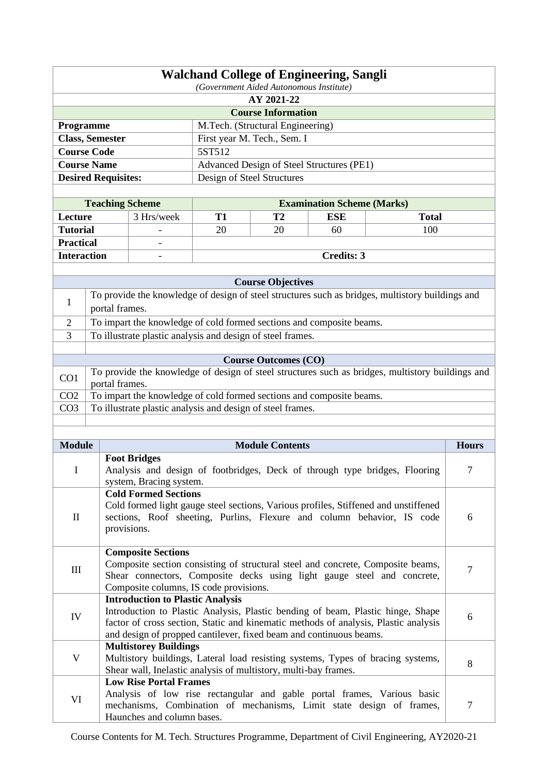| <b>Walchand College of Engineering, Sangli</b> |                                           |                            |                             |                                   |              |  |  |  |
|------------------------------------------------|-------------------------------------------|----------------------------|-----------------------------|-----------------------------------|--------------|--|--|--|
| (Government Aided Autonomous Institute)        |                                           |                            |                             |                                   |              |  |  |  |
|                                                | AY 2021-22                                |                            |                             |                                   |              |  |  |  |
|                                                |                                           |                            | <b>Course Information</b>   |                                   |              |  |  |  |
| <b>Programme</b>                               | M.Tech. (Structural Engineering)          |                            |                             |                                   |              |  |  |  |
| <b>Class, Semester</b>                         |                                           |                            | First year M. Tech., Sem. I |                                   |              |  |  |  |
| <b>Course Code</b>                             | 5ST512                                    |                            |                             |                                   |              |  |  |  |
| <b>Course Name</b>                             | Advanced Design of Steel Structures (PE1) |                            |                             |                                   |              |  |  |  |
| <b>Desired Requisites:</b>                     |                                           | Design of Steel Structures |                             |                                   |              |  |  |  |
|                                                |                                           |                            |                             |                                   |              |  |  |  |
| <b>Teaching Scheme</b>                         |                                           |                            |                             | <b>Examination Scheme (Marks)</b> |              |  |  |  |
| <b>Lecture</b>                                 | 3 Hrs/week                                | <b>T1</b>                  | T2                          | <b>ESE</b>                        | <b>Total</b> |  |  |  |
| <b>Tutorial</b>                                | ۰                                         | 20                         | 20                          | 60                                | 100          |  |  |  |
| <b>Practical</b>                               |                                           |                            |                             |                                   |              |  |  |  |
| <b>Interaction</b>                             |                                           | Credits: 3                 |                             |                                   |              |  |  |  |
|                                                |                                           |                            |                             |                                   |              |  |  |  |
| Course Objectives                              |                                           |                            |                             |                                   |              |  |  |  |

| Course Objectives                                                                                                   |                                                                                                  |  |  |  |  |  |
|---------------------------------------------------------------------------------------------------------------------|--------------------------------------------------------------------------------------------------|--|--|--|--|--|
|                                                                                                                     | To provide the knowledge of design of steel structures such as bridges, multistory buildings and |  |  |  |  |  |
| л.                                                                                                                  | portal frames.                                                                                   |  |  |  |  |  |
| 2                                                                                                                   | To impart the knowledge of cold formed sections and composite beams.                             |  |  |  |  |  |
| 3                                                                                                                   | To illustrate plastic analysis and design of steel frames.                                       |  |  |  |  |  |
|                                                                                                                     |                                                                                                  |  |  |  |  |  |
|                                                                                                                     | <b>Course Outcomes (CO)</b>                                                                      |  |  |  |  |  |
| To provide the knowledge of design of steel structures such as bridges, multistory buildings and<br>CO <sub>1</sub> |                                                                                                  |  |  |  |  |  |
|                                                                                                                     | portal frames.                                                                                   |  |  |  |  |  |
| CO <sub>2</sub>                                                                                                     | To impart the knowledge of cold formed sections and composite beams.                             |  |  |  |  |  |
| CO <sub>3</sub>                                                                                                     | To illustrate plastic analysis and design of steel frames.                                       |  |  |  |  |  |
|                                                                                                                     |                                                                                                  |  |  |  |  |  |
|                                                                                                                     |                                                                                                  |  |  |  |  |  |

| <b>Module</b> | <b>Module Contents</b>                                                                                                                                                                                                                                                                  | <b>Hours</b>   |
|---------------|-----------------------------------------------------------------------------------------------------------------------------------------------------------------------------------------------------------------------------------------------------------------------------------------|----------------|
| $\mathbf I$   | <b>Foot Bridges</b><br>Analysis and design of footbridges, Deck of through type bridges, Flooring<br>system, Bracing system.                                                                                                                                                            | $\overline{7}$ |
| $\mathbf{I}$  | <b>Cold Formed Sections</b><br>Cold formed light gauge steel sections, Various profiles, Stiffened and unstiffened<br>sections, Roof sheeting, Purlins, Flexure and column behavior, IS code<br>provisions.                                                                             | 6              |
| III           | <b>Composite Sections</b><br>Composite section consisting of structural steel and concrete, Composite beams,<br>Shear connectors, Composite decks using light gauge steel and concrete,<br>Composite columns, IS code provisions.                                                       | 7              |
| IV            | <b>Introduction to Plastic Analysis</b><br>Introduction to Plastic Analysis, Plastic bending of beam, Plastic hinge, Shape<br>factor of cross section, Static and kinematic methods of analysis, Plastic analysis<br>and design of propped cantilever, fixed beam and continuous beams. | 6              |
| V             | <b>Multistorey Buildings</b><br>Multistory buildings, Lateral load resisting systems, Types of bracing systems,<br>Shear wall, Inelastic analysis of multistory, multi-bay frames.                                                                                                      | 8              |
| VI            | <b>Low Rise Portal Frames</b><br>Analysis of low rise rectangular and gable portal frames, Various basic<br>mechanisms, Combination of mechanisms, Limit state design of frames,<br>Haunches and column bases.                                                                          | 7              |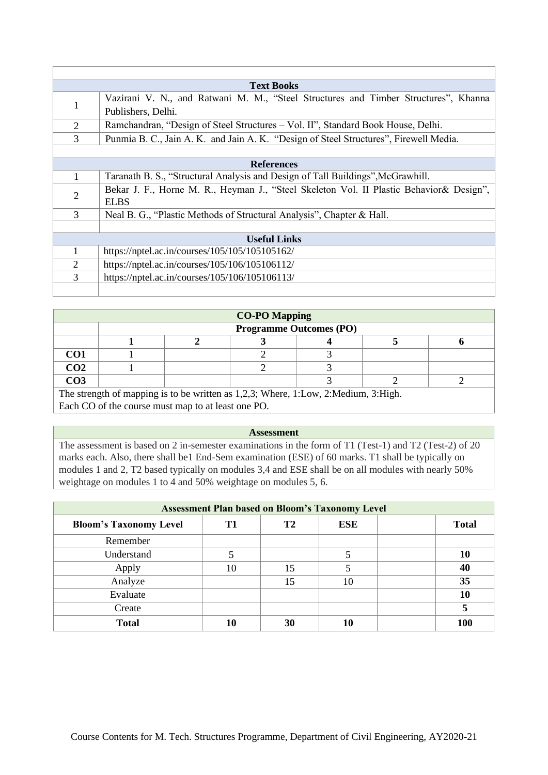|                | <b>Text Books</b>                                                                        |  |  |  |  |  |  |
|----------------|------------------------------------------------------------------------------------------|--|--|--|--|--|--|
| 1              | Vazirani V. N., and Ratwani M. M., "Steel Structures and Timber Structures", Khanna      |  |  |  |  |  |  |
|                | Publishers, Delhi.                                                                       |  |  |  |  |  |  |
| 2              | Ramchandran, "Design of Steel Structures – Vol. II", Standard Book House, Delhi.         |  |  |  |  |  |  |
| 3              | Punmia B. C., Jain A. K. and Jain A. K. "Design of Steel Structures", Firewell Media.    |  |  |  |  |  |  |
|                |                                                                                          |  |  |  |  |  |  |
|                | <b>References</b>                                                                        |  |  |  |  |  |  |
| $\mathbf{1}$   | Taranath B. S., "Structural Analysis and Design of Tall Buildings", McGrawhill.          |  |  |  |  |  |  |
| $\overline{2}$ | Bekar J. F., Horne M. R., Heyman J., "Steel Skeleton Vol. II Plastic Behavior & Design", |  |  |  |  |  |  |
|                | <b>ELBS</b>                                                                              |  |  |  |  |  |  |
| 3              | Neal B. G., "Plastic Methods of Structural Analysis", Chapter & Hall.                    |  |  |  |  |  |  |
|                |                                                                                          |  |  |  |  |  |  |
|                | <b>Useful Links</b>                                                                      |  |  |  |  |  |  |
| 1              | https://nptel.ac.in/courses/105/105/105105162/                                           |  |  |  |  |  |  |
| 2              | https://nptel.ac.in/courses/105/106/105106112/                                           |  |  |  |  |  |  |
| 3              | https://nptel.ac.in/courses/105/106/105106113/                                           |  |  |  |  |  |  |
|                |                                                                                          |  |  |  |  |  |  |

| <b>CO-PO Mapping</b> |                                                                                    |  |  |  |  |  |  |  |
|----------------------|------------------------------------------------------------------------------------|--|--|--|--|--|--|--|
|                      | <b>Programme Outcomes (PO)</b>                                                     |  |  |  |  |  |  |  |
|                      |                                                                                    |  |  |  |  |  |  |  |
| CO <sub>1</sub>      |                                                                                    |  |  |  |  |  |  |  |
| CO <sub>2</sub>      |                                                                                    |  |  |  |  |  |  |  |
| CO <sub>3</sub>      |                                                                                    |  |  |  |  |  |  |  |
|                      | The strength of mapping is to be written as 1,2,3; Where, 1:Low, 2:Medium, 3:High. |  |  |  |  |  |  |  |

Each CO of the course must map to at least one PO.

**Assessment** 

| <b>Assessment Plan based on Bloom's Taxonomy Level</b> |    |                |            |              |  |  |  |
|--------------------------------------------------------|----|----------------|------------|--------------|--|--|--|
| <b>Bloom's Taxonomy Level</b>                          | T1 | T <sub>2</sub> | <b>ESE</b> | <b>Total</b> |  |  |  |
| Remember                                               |    |                |            |              |  |  |  |
| Understand                                             |    |                |            | 10           |  |  |  |
| Apply                                                  | 10 | 15             |            | 40           |  |  |  |
| Analyze                                                |    | 15             | 10         | 35           |  |  |  |
| Evaluate                                               |    |                |            | 10           |  |  |  |
| Create                                                 |    |                |            | 5            |  |  |  |
| <b>Total</b>                                           | 10 | 30             | 10         | 100          |  |  |  |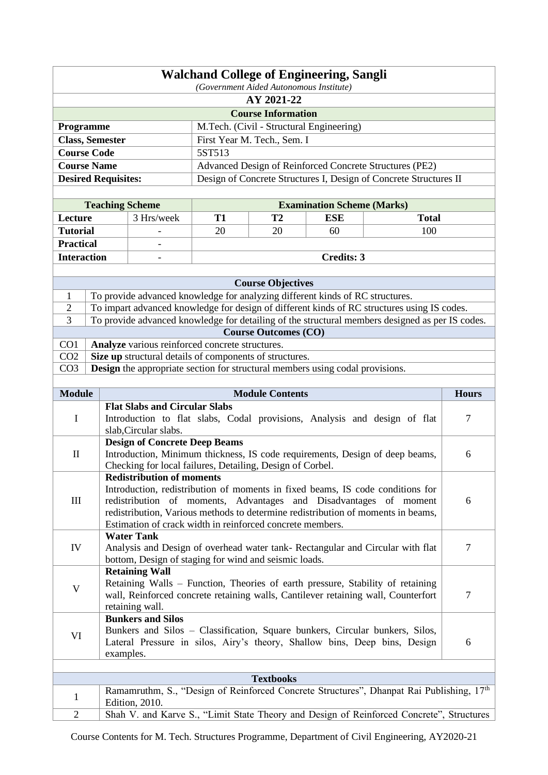|                           | <b>Walchand College of Engineering, Sangli</b>                                 |                                                                                                      |           |                             |                                          |                                                                                                 |                |  |
|---------------------------|--------------------------------------------------------------------------------|------------------------------------------------------------------------------------------------------|-----------|-----------------------------|------------------------------------------|-------------------------------------------------------------------------------------------------|----------------|--|
|                           | (Government Aided Autonomous Institute)<br>AY 2021-22                          |                                                                                                      |           |                             |                                          |                                                                                                 |                |  |
| <b>Course Information</b> |                                                                                |                                                                                                      |           |                             |                                          |                                                                                                 |                |  |
| Programme                 |                                                                                |                                                                                                      |           |                             | M.Tech. (Civil - Structural Engineering) |                                                                                                 |                |  |
|                           | <b>Class, Semester</b>                                                         |                                                                                                      |           | First Year M. Tech., Sem. I |                                          |                                                                                                 |                |  |
| <b>Course Code</b>        |                                                                                |                                                                                                      | 5ST513    |                             |                                          |                                                                                                 |                |  |
| <b>Course Name</b>        |                                                                                |                                                                                                      |           |                             |                                          | Advanced Design of Reinforced Concrete Structures (PE2)                                         |                |  |
|                           | <b>Desired Requisites:</b>                                                     |                                                                                                      |           |                             |                                          | Design of Concrete Structures I, Design of Concrete Structures II                               |                |  |
|                           |                                                                                |                                                                                                      |           |                             |                                          |                                                                                                 |                |  |
|                           | <b>Teaching Scheme</b>                                                         |                                                                                                      |           |                             | <b>Examination Scheme (Marks)</b>        |                                                                                                 |                |  |
| Lecture                   |                                                                                | 3 Hrs/week                                                                                           | <b>T1</b> | T2                          | <b>ESE</b>                               | <b>Total</b>                                                                                    |                |  |
| <b>Tutorial</b>           |                                                                                |                                                                                                      | 20        | 20                          | 60                                       | 100                                                                                             |                |  |
| <b>Practical</b>          |                                                                                |                                                                                                      |           |                             |                                          |                                                                                                 |                |  |
| <b>Interaction</b>        |                                                                                |                                                                                                      |           |                             | <b>Credits: 3</b>                        |                                                                                                 |                |  |
|                           |                                                                                |                                                                                                      |           |                             |                                          |                                                                                                 |                |  |
|                           |                                                                                |                                                                                                      |           | <b>Course Objectives</b>    |                                          |                                                                                                 |                |  |
| 1                         |                                                                                | To provide advanced knowledge for analyzing different kinds of RC structures.                        |           |                             |                                          |                                                                                                 |                |  |
| $\overline{2}$            |                                                                                |                                                                                                      |           |                             |                                          | To impart advanced knowledge for design of different kinds of RC structures using IS codes.     |                |  |
| 3                         |                                                                                |                                                                                                      |           |                             |                                          | To provide advanced knowledge for detailing of the structural members designed as per IS codes. |                |  |
|                           |                                                                                |                                                                                                      |           | <b>Course Outcomes (CO)</b> |                                          |                                                                                                 |                |  |
| CO <sub>1</sub>           |                                                                                | Analyze various reinforced concrete structures.                                                      |           |                             |                                          |                                                                                                 |                |  |
| CO <sub>2</sub>           |                                                                                | Size up structural details of components of structures.                                              |           |                             |                                          |                                                                                                 |                |  |
| CO <sub>3</sub>           |                                                                                | Design the appropriate section for structural members using codal provisions.                        |           |                             |                                          |                                                                                                 |                |  |
|                           |                                                                                |                                                                                                      |           |                             |                                          |                                                                                                 |                |  |
| <b>Module</b>             |                                                                                |                                                                                                      |           | <b>Module Contents</b>      |                                          |                                                                                                 | <b>Hours</b>   |  |
|                           |                                                                                | <b>Flat Slabs and Circular Slabs</b>                                                                 |           |                             |                                          |                                                                                                 |                |  |
| $\bf{I}$                  |                                                                                |                                                                                                      |           |                             |                                          | Introduction to flat slabs, Codal provisions, Analysis and design of flat                       | 7              |  |
|                           |                                                                                | slab, Circular slabs.                                                                                |           |                             |                                          |                                                                                                 |                |  |
| $\mathbf{I}$              |                                                                                | <b>Design of Concrete Deep Beams</b>                                                                 |           |                             |                                          | Introduction, Minimum thickness, IS code requirements, Design of deep beams,                    |                |  |
|                           |                                                                                | Checking for local failures, Detailing, Design of Corbel.                                            |           |                             |                                          |                                                                                                 | 6              |  |
|                           |                                                                                | <b>Redistribution of moments</b>                                                                     |           |                             |                                          |                                                                                                 |                |  |
|                           |                                                                                |                                                                                                      |           |                             |                                          | Introduction, redistribution of moments in fixed beams, IS code conditions for                  |                |  |
| III                       |                                                                                |                                                                                                      |           |                             |                                          | redistribution of moments, Advantages and Disadvantages of moment                               | 6              |  |
|                           |                                                                                |                                                                                                      |           |                             |                                          | redistribution, Various methods to determine redistribution of moments in beams,                |                |  |
|                           |                                                                                | Estimation of crack width in reinforced concrete members.                                            |           |                             |                                          |                                                                                                 |                |  |
|                           |                                                                                | <b>Water Tank</b>                                                                                    |           |                             |                                          |                                                                                                 |                |  |
| IV                        |                                                                                |                                                                                                      |           |                             |                                          | Analysis and Design of overhead water tank-Rectangular and Circular with flat                   | $\overline{7}$ |  |
|                           |                                                                                | bottom, Design of staging for wind and seismic loads.                                                |           |                             |                                          |                                                                                                 |                |  |
|                           |                                                                                | <b>Retaining Wall</b>                                                                                |           |                             |                                          | Retaining Walls – Function, Theories of earth pressure, Stability of retaining                  |                |  |
| $\mathbf{V}$              |                                                                                |                                                                                                      |           |                             |                                          |                                                                                                 | $\overline{7}$ |  |
|                           |                                                                                | wall, Reinforced concrete retaining walls, Cantilever retaining wall, Counterfort<br>retaining wall. |           |                             |                                          |                                                                                                 |                |  |
|                           |                                                                                | <b>Bunkers and Silos</b>                                                                             |           |                             |                                          |                                                                                                 |                |  |
|                           |                                                                                |                                                                                                      |           |                             |                                          | Bunkers and Silos - Classification, Square bunkers, Circular bunkers, Silos,                    |                |  |
| VI                        | Lateral Pressure in silos, Airy's theory, Shallow bins, Deep bins, Design<br>6 |                                                                                                      |           |                             |                                          |                                                                                                 |                |  |
|                           | examples.                                                                      |                                                                                                      |           |                             |                                          |                                                                                                 |                |  |
|                           |                                                                                |                                                                                                      |           |                             |                                          |                                                                                                 |                |  |
|                           |                                                                                |                                                                                                      |           | <b>Textbooks</b>            |                                          |                                                                                                 |                |  |
| $\mathbf{1}$              |                                                                                |                                                                                                      |           |                             |                                          | Ramamruthm, S., "Design of Reinforced Concrete Structures", Dhanpat Rai Publishing, 17th        |                |  |
|                           |                                                                                | <b>Edition</b> , 2010.                                                                               |           |                             |                                          |                                                                                                 |                |  |
| $\overline{2}$            |                                                                                |                                                                                                      |           |                             |                                          | Shah V. and Karve S., "Limit State Theory and Design of Reinforced Concrete", Structures        |                |  |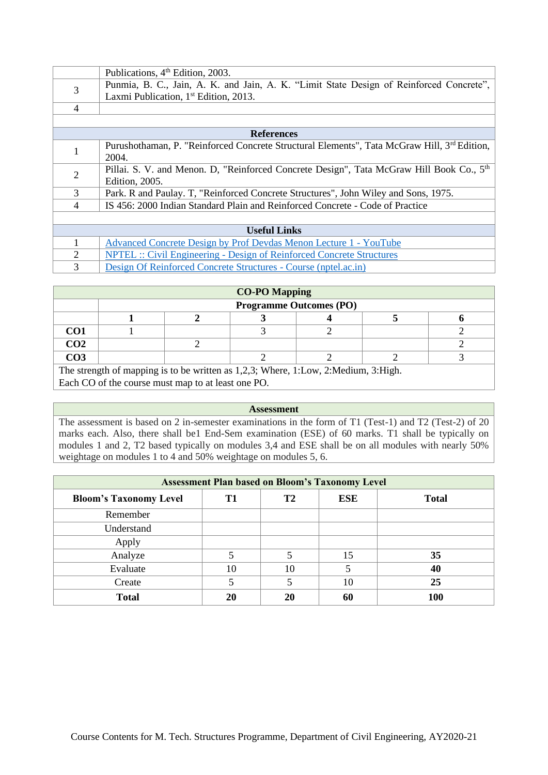|              | Publications, 4 <sup>th</sup> Edition, 2003.                                                            |  |  |  |  |  |
|--------------|---------------------------------------------------------------------------------------------------------|--|--|--|--|--|
| 3            | Punmia, B. C., Jain, A. K. and Jain, A. K. "Limit State Design of Reinforced Concrete",                 |  |  |  |  |  |
|              | Laxmi Publication, $1st$ Edition, 2013.                                                                 |  |  |  |  |  |
| 4            |                                                                                                         |  |  |  |  |  |
|              |                                                                                                         |  |  |  |  |  |
|              | <b>References</b>                                                                                       |  |  |  |  |  |
|              | Purushothaman, P. "Reinforced Concrete Structural Elements", Tata McGraw Hill, 3 <sup>rd</sup> Edition, |  |  |  |  |  |
|              | 2004.                                                                                                   |  |  |  |  |  |
| 2            | Pillai. S. V. and Menon. D, "Reinforced Concrete Design", Tata McGraw Hill Book Co., 5 <sup>th</sup>    |  |  |  |  |  |
|              | Edition, 2005.                                                                                          |  |  |  |  |  |
| 3            | Park. R and Paulay. T, "Reinforced Concrete Structures", John Wiley and Sons, 1975.                     |  |  |  |  |  |
| 4            | IS 456: 2000 Indian Standard Plain and Reinforced Concrete - Code of Practice                           |  |  |  |  |  |
|              |                                                                                                         |  |  |  |  |  |
| Useful Links |                                                                                                         |  |  |  |  |  |
|              | Advanced Concrete Design by Prof Devdas Menon Lecture 1 - YouTube                                       |  |  |  |  |  |
| 2            | NPTEL :: Civil Engineering - Design of Reinforced Concrete Structures                                   |  |  |  |  |  |
| 3            | Design Of Reinforced Concrete Structures - Course (nptel.ac.in)                                         |  |  |  |  |  |

| <b>CO-PO Mapping</b> |                                                                                    |  |  |  |  |  |  |  |  |  |
|----------------------|------------------------------------------------------------------------------------|--|--|--|--|--|--|--|--|--|
|                      | <b>Programme Outcomes (PO)</b>                                                     |  |  |  |  |  |  |  |  |  |
|                      |                                                                                    |  |  |  |  |  |  |  |  |  |
| CO <sub>1</sub>      |                                                                                    |  |  |  |  |  |  |  |  |  |
| CO <sub>2</sub>      |                                                                                    |  |  |  |  |  |  |  |  |  |
| CO <sub>3</sub>      |                                                                                    |  |  |  |  |  |  |  |  |  |
|                      | The strength of mapping is to be written as 1,2,3; Where, 1:Low, 2:Medium, 3:High. |  |  |  |  |  |  |  |  |  |

Each CO of the course must map to at least one PO.

| <b>Assessment Plan based on Bloom's Taxonomy Level</b> |    |                |            |              |  |  |  |
|--------------------------------------------------------|----|----------------|------------|--------------|--|--|--|
| <b>Bloom's Taxonomy Level</b>                          | T1 | T <sub>2</sub> | <b>ESE</b> | <b>Total</b> |  |  |  |
| Remember                                               |    |                |            |              |  |  |  |
| Understand                                             |    |                |            |              |  |  |  |
| Apply                                                  |    |                |            |              |  |  |  |
| Analyze                                                |    | 5              | 15         | 35           |  |  |  |
| Evaluate                                               | 10 | 10             |            | 40           |  |  |  |
| Create                                                 |    |                | 10         | 25           |  |  |  |
| <b>Total</b>                                           | 20 | 20             | 60         | 100          |  |  |  |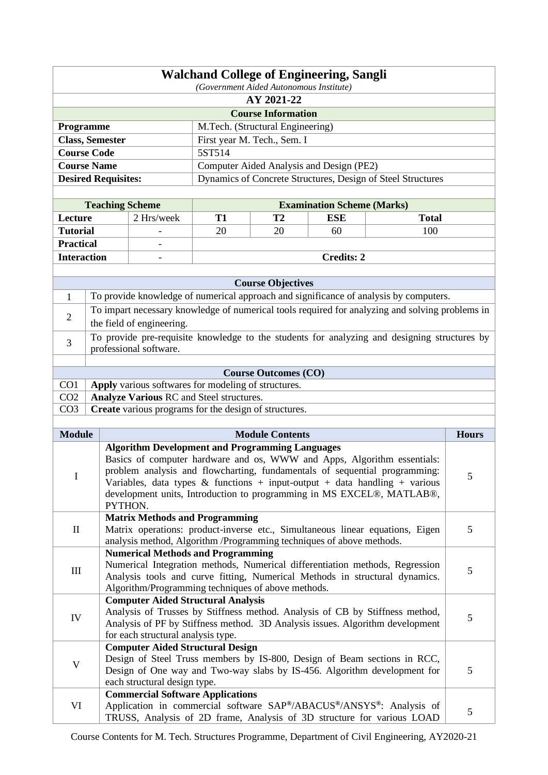|                                                                                     |                                                       |                                                                                                                                                       |           | (Government Aided Autonomous Institute) | <b>Walchand College of Engineering, Sangli</b> |                                                                                                 |              |  |
|-------------------------------------------------------------------------------------|-------------------------------------------------------|-------------------------------------------------------------------------------------------------------------------------------------------------------|-----------|-----------------------------------------|------------------------------------------------|-------------------------------------------------------------------------------------------------|--------------|--|
|                                                                                     |                                                       |                                                                                                                                                       |           | AY 2021-22                              |                                                |                                                                                                 |              |  |
|                                                                                     |                                                       |                                                                                                                                                       |           | <b>Course Information</b>               |                                                |                                                                                                 |              |  |
|                                                                                     | Programme<br>M.Tech. (Structural Engineering)         |                                                                                                                                                       |           |                                         |                                                |                                                                                                 |              |  |
|                                                                                     | <b>Class, Semester</b><br>First year M. Tech., Sem. I |                                                                                                                                                       |           |                                         |                                                |                                                                                                 |              |  |
|                                                                                     | <b>Course Code</b>                                    |                                                                                                                                                       | 5ST514    |                                         |                                                |                                                                                                 |              |  |
|                                                                                     | <b>Course Name</b>                                    |                                                                                                                                                       |           |                                         | Computer Aided Analysis and Design (PE2)       |                                                                                                 |              |  |
|                                                                                     |                                                       |                                                                                                                                                       |           |                                         |                                                | Dynamics of Concrete Structures, Design of Steel Structures                                     |              |  |
|                                                                                     | <b>Desired Requisites:</b>                            |                                                                                                                                                       |           |                                         |                                                |                                                                                                 |              |  |
|                                                                                     | <b>Teaching Scheme</b>                                |                                                                                                                                                       |           |                                         | <b>Examination Scheme (Marks)</b>              |                                                                                                 |              |  |
| Lecture                                                                             |                                                       | 2 Hrs/week                                                                                                                                            | <b>T1</b> | T <sub>2</sub>                          | <b>ESE</b>                                     | <b>Total</b>                                                                                    |              |  |
| <b>Tutorial</b>                                                                     |                                                       |                                                                                                                                                       | 20        | 20                                      | 60                                             | 100                                                                                             |              |  |
| <b>Practical</b>                                                                    |                                                       |                                                                                                                                                       |           |                                         |                                                |                                                                                                 |              |  |
| <b>Interaction</b>                                                                  |                                                       |                                                                                                                                                       |           |                                         | <b>Credits: 2</b>                              |                                                                                                 |              |  |
|                                                                                     |                                                       |                                                                                                                                                       |           |                                         |                                                |                                                                                                 |              |  |
|                                                                                     |                                                       |                                                                                                                                                       |           | <b>Course Objectives</b>                |                                                |                                                                                                 |              |  |
| 1                                                                                   |                                                       |                                                                                                                                                       |           |                                         |                                                | To provide knowledge of numerical approach and significance of analysis by computers.           |              |  |
|                                                                                     |                                                       |                                                                                                                                                       |           |                                         |                                                | To impart necessary knowledge of numerical tools required for analyzing and solving problems in |              |  |
| 2                                                                                   |                                                       | the field of engineering.                                                                                                                             |           |                                         |                                                |                                                                                                 |              |  |
|                                                                                     |                                                       |                                                                                                                                                       |           |                                         |                                                | To provide pre-requisite knowledge to the students for analyzing and designing structures by    |              |  |
| 3                                                                                   |                                                       | professional software.                                                                                                                                |           |                                         |                                                |                                                                                                 |              |  |
|                                                                                     |                                                       |                                                                                                                                                       |           |                                         |                                                |                                                                                                 |              |  |
|                                                                                     |                                                       |                                                                                                                                                       |           | <b>Course Outcomes (CO)</b>             |                                                |                                                                                                 |              |  |
| CO1                                                                                 |                                                       | Apply various softwares for modeling of structures.                                                                                                   |           |                                         |                                                |                                                                                                 |              |  |
| CO <sub>2</sub>                                                                     |                                                       | <b>Analyze Various RC</b> and Steel structures.                                                                                                       |           |                                         |                                                |                                                                                                 |              |  |
| CO <sub>3</sub>                                                                     |                                                       | Create various programs for the design of structures.                                                                                                 |           |                                         |                                                |                                                                                                 |              |  |
| <b>Module</b>                                                                       |                                                       |                                                                                                                                                       |           | <b>Module Contents</b>                  |                                                |                                                                                                 | <b>Hours</b> |  |
|                                                                                     |                                                       | <b>Algorithm Development and Programming Languages</b>                                                                                                |           |                                         |                                                |                                                                                                 |              |  |
|                                                                                     |                                                       |                                                                                                                                                       |           |                                         |                                                |                                                                                                 |              |  |
|                                                                                     |                                                       | Basics of computer hardware and os, WWW and Apps, Algorithm essentials:<br>problem analysis and flowcharting, fundamentals of sequential programming: |           |                                         |                                                |                                                                                                 |              |  |
|                                                                                     |                                                       | Variables, data types & functions + input-output + data handling + various                                                                            |           |                                         |                                                |                                                                                                 |              |  |
|                                                                                     |                                                       | development units, Introduction to programming in MS EXCEL®, MATLAB®,                                                                                 |           |                                         |                                                |                                                                                                 |              |  |
|                                                                                     | PYTHON.                                               |                                                                                                                                                       |           |                                         |                                                |                                                                                                 |              |  |
|                                                                                     |                                                       | <b>Matrix Methods and Programming</b>                                                                                                                 |           |                                         |                                                |                                                                                                 |              |  |
| $\mathbf H$                                                                         |                                                       |                                                                                                                                                       |           |                                         |                                                | Matrix operations: product-inverse etc., Simultaneous linear equations, Eigen                   | 5            |  |
|                                                                                     |                                                       | analysis method, Algorithm /Programming techniques of above methods.                                                                                  |           |                                         |                                                |                                                                                                 |              |  |
|                                                                                     |                                                       | <b>Numerical Methods and Programming</b>                                                                                                              |           |                                         |                                                | Numerical Integration methods, Numerical differentiation methods, Regression                    |              |  |
| Ш                                                                                   |                                                       |                                                                                                                                                       |           |                                         |                                                | Analysis tools and curve fitting, Numerical Methods in structural dynamics.                     | 5            |  |
|                                                                                     |                                                       | Algorithm/Programming techniques of above methods.                                                                                                    |           |                                         |                                                |                                                                                                 |              |  |
|                                                                                     |                                                       | <b>Computer Aided Structural Analysis</b>                                                                                                             |           |                                         |                                                |                                                                                                 |              |  |
|                                                                                     |                                                       |                                                                                                                                                       |           |                                         |                                                | Analysis of Trusses by Stiffness method. Analysis of CB by Stiffness method,                    | 5            |  |
| IV<br>Analysis of PF by Stiffness method. 3D Analysis issues. Algorithm development |                                                       |                                                                                                                                                       |           |                                         |                                                |                                                                                                 |              |  |
|                                                                                     | for each structural analysis type.                    |                                                                                                                                                       |           |                                         |                                                |                                                                                                 |              |  |
|                                                                                     |                                                       | <b>Computer Aided Structural Design</b>                                                                                                               |           |                                         |                                                |                                                                                                 |              |  |
| $\mathbf V$                                                                         |                                                       |                                                                                                                                                       |           |                                         |                                                | Design of Steel Truss members by IS-800, Design of Beam sections in RCC,                        |              |  |
|                                                                                     |                                                       |                                                                                                                                                       |           |                                         |                                                | Design of One way and Two-way slabs by IS-456. Algorithm development for                        | 5            |  |
|                                                                                     |                                                       | each structural design type.                                                                                                                          |           |                                         |                                                |                                                                                                 |              |  |
|                                                                                     |                                                       | <b>Commercial Software Applications</b>                                                                                                               |           |                                         |                                                |                                                                                                 |              |  |
| VI                                                                                  |                                                       |                                                                                                                                                       |           |                                         |                                                | Application in commercial software SAP®/ABACUS®/ANSYS®: Analysis of                             | 5            |  |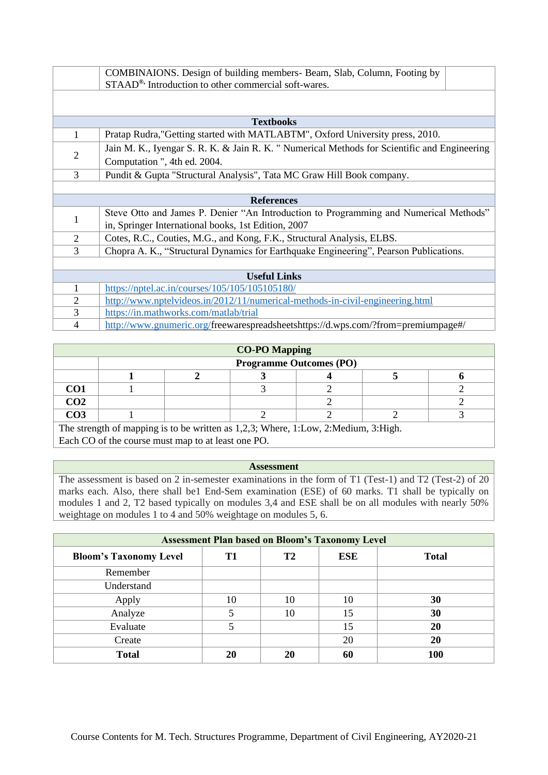|                | COMBINAIONS. Design of building members- Beam, Slab, Column, Footing by                      |  |  |  |  |  |  |
|----------------|----------------------------------------------------------------------------------------------|--|--|--|--|--|--|
|                | STAAD <sup>®</sup> , Introduction to other commercial soft-wares.                            |  |  |  |  |  |  |
|                |                                                                                              |  |  |  |  |  |  |
|                |                                                                                              |  |  |  |  |  |  |
|                | <b>Textbooks</b>                                                                             |  |  |  |  |  |  |
| 1              | Pratap Rudra,"Getting started with MATLABTM", Oxford University press, 2010.                 |  |  |  |  |  |  |
|                | Jain M. K., Iyengar S. R. K. & Jain R. K. " Numerical Methods for Scientific and Engineering |  |  |  |  |  |  |
| 2              | Computation ", 4th ed. 2004.                                                                 |  |  |  |  |  |  |
| 3              | Pundit & Gupta "Structural Analysis", Tata MC Graw Hill Book company.                        |  |  |  |  |  |  |
|                |                                                                                              |  |  |  |  |  |  |
|                | <b>References</b>                                                                            |  |  |  |  |  |  |
| 1              | Steve Otto and James P. Denier "An Introduction to Programming and Numerical Methods"        |  |  |  |  |  |  |
|                | in, Springer International books, 1st Edition, 2007                                          |  |  |  |  |  |  |
| 2              | Cotes, R.C., Couties, M.G., and Kong, F.K., Structural Analysis, ELBS.                       |  |  |  |  |  |  |
| 3              | Chopra A. K., "Structural Dynamics for Earthquake Engineering", Pearson Publications.        |  |  |  |  |  |  |
|                |                                                                                              |  |  |  |  |  |  |
|                | <b>Useful Links</b>                                                                          |  |  |  |  |  |  |
| 1              | https://nptel.ac.in/courses/105/105/105105180/                                               |  |  |  |  |  |  |
| $\overline{2}$ | http://www.nptelvideos.in/2012/11/numerical-methods-in-civil-engineering.html                |  |  |  |  |  |  |
| 3              | https://in.mathworks.com/matlab/trial                                                        |  |  |  |  |  |  |
| $\overline{4}$ | http://www.gnumeric.org/freewarespreadsheetshttps://d.wps.com/?from=premiumpage#/            |  |  |  |  |  |  |

| <b>CO-PO Mapping</b> |                                |  |  |  |  |  |  |  |  |  |
|----------------------|--------------------------------|--|--|--|--|--|--|--|--|--|
|                      | <b>Programme Outcomes (PO)</b> |  |  |  |  |  |  |  |  |  |
|                      |                                |  |  |  |  |  |  |  |  |  |
| CO1                  |                                |  |  |  |  |  |  |  |  |  |
| CO <sub>2</sub>      |                                |  |  |  |  |  |  |  |  |  |
| CO <sub>3</sub>      |                                |  |  |  |  |  |  |  |  |  |

The strength of mapping is to be written as 1,2,3; Where, 1:Low, 2:Medium, 3:High. Each CO of the course must map to at least one PO.

### **Assessment**

| <b>Assessment Plan based on Bloom's Taxonomy Level</b> |    |                |            |              |  |  |  |
|--------------------------------------------------------|----|----------------|------------|--------------|--|--|--|
| <b>Bloom's Taxonomy Level</b>                          | T1 | T <sub>2</sub> | <b>ESE</b> | <b>Total</b> |  |  |  |
| Remember                                               |    |                |            |              |  |  |  |
| Understand                                             |    |                |            |              |  |  |  |
| Apply                                                  | 10 | 10             | 10         | 30           |  |  |  |
| Analyze                                                |    | 10             | 15         | 30           |  |  |  |
| Evaluate                                               |    |                | 15         | 20           |  |  |  |
| Create                                                 |    |                | 20         | 20           |  |  |  |
| <b>Total</b>                                           | 20 | 20             | 60         | 100          |  |  |  |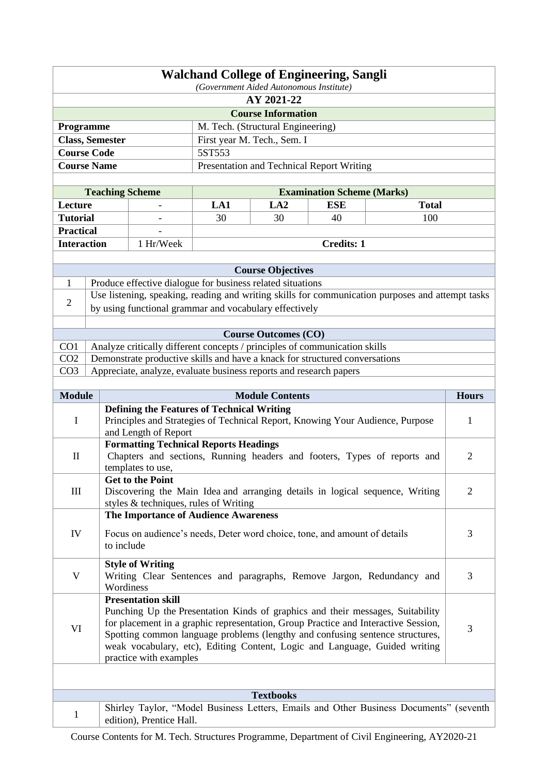|                    | <b>Walchand College of Engineering, Sangli</b><br>(Government Aided Autonomous Institute) |                                                                             |        |                                   |                                           |                                                                                                  |                |  |
|--------------------|-------------------------------------------------------------------------------------------|-----------------------------------------------------------------------------|--------|-----------------------------------|-------------------------------------------|--------------------------------------------------------------------------------------------------|----------------|--|
|                    | AY 2021-22                                                                                |                                                                             |        |                                   |                                           |                                                                                                  |                |  |
|                    | <b>Course Information</b>                                                                 |                                                                             |        |                                   |                                           |                                                                                                  |                |  |
| Programme          |                                                                                           |                                                                             |        | M. Tech. (Structural Engineering) |                                           |                                                                                                  |                |  |
|                    | <b>Class, Semester</b>                                                                    |                                                                             |        | First year M. Tech., Sem. I       |                                           |                                                                                                  |                |  |
|                    | <b>Course Code</b>                                                                        |                                                                             | 5ST553 |                                   |                                           |                                                                                                  |                |  |
|                    | <b>Course Name</b>                                                                        |                                                                             |        |                                   | Presentation and Technical Report Writing |                                                                                                  |                |  |
|                    |                                                                                           |                                                                             |        |                                   |                                           |                                                                                                  |                |  |
|                    | <b>Teaching Scheme</b>                                                                    |                                                                             |        |                                   | <b>Examination Scheme (Marks)</b>         |                                                                                                  |                |  |
| Lecture            |                                                                                           |                                                                             | LA1    | LA2                               | <b>ESE</b>                                | <b>Total</b>                                                                                     |                |  |
| <b>Tutorial</b>    |                                                                                           |                                                                             | 30     | 30                                | 40                                        | 100                                                                                              |                |  |
| <b>Practical</b>   |                                                                                           |                                                                             |        |                                   |                                           |                                                                                                  |                |  |
| <b>Interaction</b> |                                                                                           | 1 Hr/Week                                                                   |        |                                   | <b>Credits: 1</b>                         |                                                                                                  |                |  |
|                    |                                                                                           |                                                                             |        |                                   |                                           |                                                                                                  |                |  |
|                    |                                                                                           |                                                                             |        | <b>Course Objectives</b>          |                                           |                                                                                                  |                |  |
| 1                  |                                                                                           | Produce effective dialogue for business related situations                  |        |                                   |                                           |                                                                                                  |                |  |
|                    |                                                                                           |                                                                             |        |                                   |                                           | Use listening, speaking, reading and writing skills for communication purposes and attempt tasks |                |  |
| 2                  |                                                                                           | by using functional grammar and vocabulary effectively                      |        |                                   |                                           |                                                                                                  |                |  |
|                    |                                                                                           |                                                                             |        |                                   |                                           |                                                                                                  |                |  |
|                    |                                                                                           |                                                                             |        | <b>Course Outcomes (CO)</b>       |                                           |                                                                                                  |                |  |
| CO <sub>1</sub>    |                                                                                           | Analyze critically different concepts / principles of communication skills  |        |                                   |                                           |                                                                                                  |                |  |
| CO <sub>2</sub>    |                                                                                           | Demonstrate productive skills and have a knack for structured conversations |        |                                   |                                           |                                                                                                  |                |  |
| CO <sub>3</sub>    |                                                                                           | Appreciate, analyze, evaluate business reports and research papers          |        |                                   |                                           |                                                                                                  |                |  |
|                    |                                                                                           |                                                                             |        |                                   |                                           |                                                                                                  |                |  |
| <b>Module</b>      |                                                                                           |                                                                             |        | <b>Module Contents</b>            |                                           |                                                                                                  | <b>Hours</b>   |  |
| $\bf I$            |                                                                                           | <b>Defining the Features of Technical Writing</b>                           |        |                                   |                                           | Principles and Strategies of Technical Report, Knowing Your Audience, Purpose                    | 1              |  |
|                    |                                                                                           | and Length of Report                                                        |        |                                   |                                           |                                                                                                  |                |  |
|                    |                                                                                           | <b>Formatting Technical Reports Headings</b>                                |        |                                   |                                           |                                                                                                  |                |  |
| $\mathbf{I}$       |                                                                                           |                                                                             |        |                                   |                                           | Chapters and sections, Running headers and footers, Types of reports and                         | $\overline{2}$ |  |
|                    |                                                                                           | templates to use,                                                           |        |                                   |                                           |                                                                                                  |                |  |
|                    |                                                                                           | <b>Get to the Point</b>                                                     |        |                                   |                                           |                                                                                                  |                |  |
| $\rm III$          |                                                                                           |                                                                             |        |                                   |                                           | Discovering the Main Idea and arranging details in logical sequence, Writing                     | $\overline{2}$ |  |
|                    |                                                                                           | styles & techniques, rules of Writing                                       |        |                                   |                                           |                                                                                                  |                |  |
|                    |                                                                                           | The Importance of Audience Awareness                                        |        |                                   |                                           |                                                                                                  |                |  |
| IV                 |                                                                                           | Focus on audience's needs, Deter word choice, tone, and amount of details   |        |                                   |                                           |                                                                                                  | 3              |  |
|                    | to include                                                                                |                                                                             |        |                                   |                                           |                                                                                                  |                |  |
|                    |                                                                                           | <b>Style of Writing</b>                                                     |        |                                   |                                           |                                                                                                  |                |  |
| $\mathbf V$        |                                                                                           |                                                                             |        |                                   |                                           | Writing Clear Sentences and paragraphs, Remove Jargon, Redundancy and                            | 3              |  |
|                    |                                                                                           | Wordiness                                                                   |        |                                   |                                           |                                                                                                  |                |  |
|                    |                                                                                           | <b>Presentation skill</b>                                                   |        |                                   |                                           |                                                                                                  |                |  |
|                    |                                                                                           |                                                                             |        |                                   |                                           | Punching Up the Presentation Kinds of graphics and their messages, Suitability                   |                |  |
| VI                 | for placement in a graphic representation, Group Practice and Interactive Session,        |                                                                             |        |                                   |                                           |                                                                                                  | 3              |  |
|                    |                                                                                           |                                                                             |        |                                   |                                           | Spotting common language problems (lengthy and confusing sentence structures,                    |                |  |
|                    |                                                                                           |                                                                             |        |                                   |                                           | weak vocabulary, etc), Editing Content, Logic and Language, Guided writing                       |                |  |
|                    |                                                                                           | practice with examples                                                      |        |                                   |                                           |                                                                                                  |                |  |
|                    |                                                                                           |                                                                             |        |                                   |                                           |                                                                                                  |                |  |
|                    |                                                                                           |                                                                             |        | <b>Textbooks</b>                  |                                           |                                                                                                  |                |  |
|                    |                                                                                           |                                                                             |        |                                   |                                           | Shirley Taylor, "Model Business Letters, Emails and Other Business Documents" (seventh           |                |  |
| $\mathbf{1}$       |                                                                                           | edition), Prentice Hall.                                                    |        |                                   |                                           |                                                                                                  |                |  |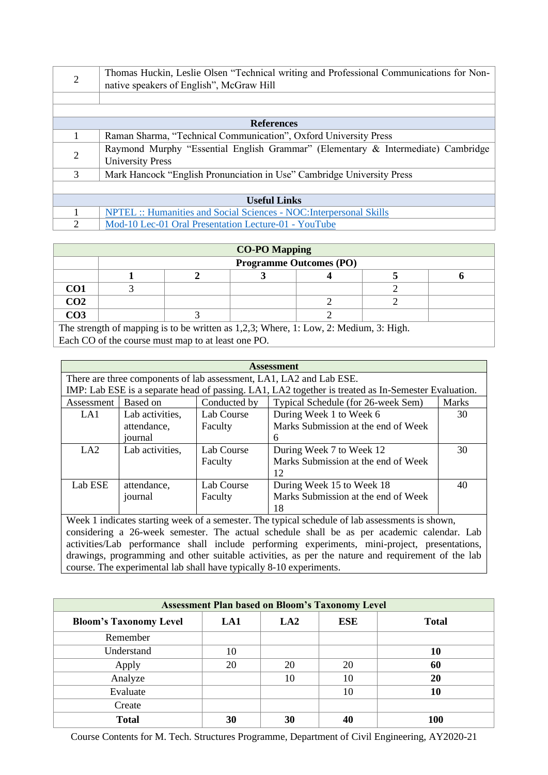| 2                   | Thomas Huckin, Leslie Olsen "Technical writing and Professional Communications for Non-<br>native speakers of English", McGraw Hill |  |  |  |  |
|---------------------|-------------------------------------------------------------------------------------------------------------------------------------|--|--|--|--|
|                     |                                                                                                                                     |  |  |  |  |
|                     |                                                                                                                                     |  |  |  |  |
|                     | <b>References</b>                                                                                                                   |  |  |  |  |
|                     | Raman Sharma, "Technical Communication", Oxford University Press                                                                    |  |  |  |  |
|                     | Raymond Murphy "Essential English Grammar" (Elementary & Intermediate) Cambridge                                                    |  |  |  |  |
| 2                   | <b>University Press</b>                                                                                                             |  |  |  |  |
| 3                   | Mark Hancock "English Pronunciation in Use" Cambridge University Press                                                              |  |  |  |  |
|                     |                                                                                                                                     |  |  |  |  |
| <b>Useful Links</b> |                                                                                                                                     |  |  |  |  |
|                     | <b>NPTEL</b> :: Humanities and Social Sciences - NOC: Interpersonal Skills                                                          |  |  |  |  |
| 2                   | Mod-10 Lec-01 Oral Presentation Lecture-01 - YouTube                                                                                |  |  |  |  |

| <b>CO-PO Mapping</b>                                                                  |                                |  |  |  |  |  |  |  |  |  |
|---------------------------------------------------------------------------------------|--------------------------------|--|--|--|--|--|--|--|--|--|
|                                                                                       | <b>Programme Outcomes (PO)</b> |  |  |  |  |  |  |  |  |  |
|                                                                                       |                                |  |  |  |  |  |  |  |  |  |
| CO <sub>1</sub>                                                                       |                                |  |  |  |  |  |  |  |  |  |
| CO <sub>2</sub>                                                                       |                                |  |  |  |  |  |  |  |  |  |
| CO <sub>3</sub>                                                                       |                                |  |  |  |  |  |  |  |  |  |
| The strength of mapping is to be written as 1,2,3; Where, 1: Low, 2: Medium, 3: High. |                                |  |  |  |  |  |  |  |  |  |
| Each CO of the course must map to at least one PO.                                    |                                |  |  |  |  |  |  |  |  |  |

| <b>Assessment</b>                                                                             |                                                                                                 |              |                                                                                                     |    |  |  |  |
|-----------------------------------------------------------------------------------------------|-------------------------------------------------------------------------------------------------|--------------|-----------------------------------------------------------------------------------------------------|----|--|--|--|
|                                                                                               | There are three components of lab assessment, LA1, LA2 and Lab ESE.                             |              |                                                                                                     |    |  |  |  |
|                                                                                               |                                                                                                 |              | IMP: Lab ESE is a separate head of passing. LA1, LA2 together is treated as In-Semester Evaluation. |    |  |  |  |
| Assessment                                                                                    | Based on                                                                                        | Conducted by | Marks<br>Typical Schedule (for 26-week Sem)                                                         |    |  |  |  |
| LA1                                                                                           | Lab activities.                                                                                 | Lab Course   | During Week 1 to Week 6                                                                             | 30 |  |  |  |
|                                                                                               | attendance,                                                                                     | Faculty      | Marks Submission at the end of Week                                                                 |    |  |  |  |
|                                                                                               | iournal                                                                                         |              | 6                                                                                                   |    |  |  |  |
| LA2                                                                                           | Lab activities,                                                                                 | Lab Course   | During Week 7 to Week 12                                                                            | 30 |  |  |  |
|                                                                                               |                                                                                                 | Faculty      | Marks Submission at the end of Week                                                                 |    |  |  |  |
|                                                                                               |                                                                                                 |              | 12                                                                                                  |    |  |  |  |
| Lab ESE                                                                                       | attendance,                                                                                     | Lab Course   | During Week 15 to Week 18                                                                           | 40 |  |  |  |
|                                                                                               | journal                                                                                         | Faculty      | Marks Submission at the end of Week                                                                 |    |  |  |  |
|                                                                                               |                                                                                                 |              | 18                                                                                                  |    |  |  |  |
|                                                                                               | Week 1 indicates starting week of a semester. The typical schedule of lab assessments is shown, |              |                                                                                                     |    |  |  |  |
| considering a 26-week semester. The actual schedule shall be as per academic calendar. Lab    |                                                                                                 |              |                                                                                                     |    |  |  |  |
| activities/Lab performance shall include performing experiments, mini-project, presentations, |                                                                                                 |              |                                                                                                     |    |  |  |  |
|                                                                                               |                                                                                                 |              | drawings, programming and other suitable activities, as per the nature and requirement of the lab   |    |  |  |  |
|                                                                                               | course. The experimental lab shall have typically 8-10 experiments.                             |              |                                                                                                     |    |  |  |  |

| <b>Assessment Plan based on Bloom's Taxonomy Level</b> |     |                 |            |              |  |
|--------------------------------------------------------|-----|-----------------|------------|--------------|--|
| <b>Bloom's Taxonomy Level</b>                          | LA1 | LA <sub>2</sub> | <b>ESE</b> | <b>Total</b> |  |
| Remember                                               |     |                 |            |              |  |
| Understand                                             | 10  |                 |            | 10           |  |
| Apply                                                  | 20  | 20              | 20         | 60           |  |
| Analyze                                                |     | 10              | 10         | 20           |  |
| Evaluate                                               |     |                 | 10         | 10           |  |
| Create                                                 |     |                 |            |              |  |
| <b>Total</b>                                           | 30  | 30              | 40         | <b>100</b>   |  |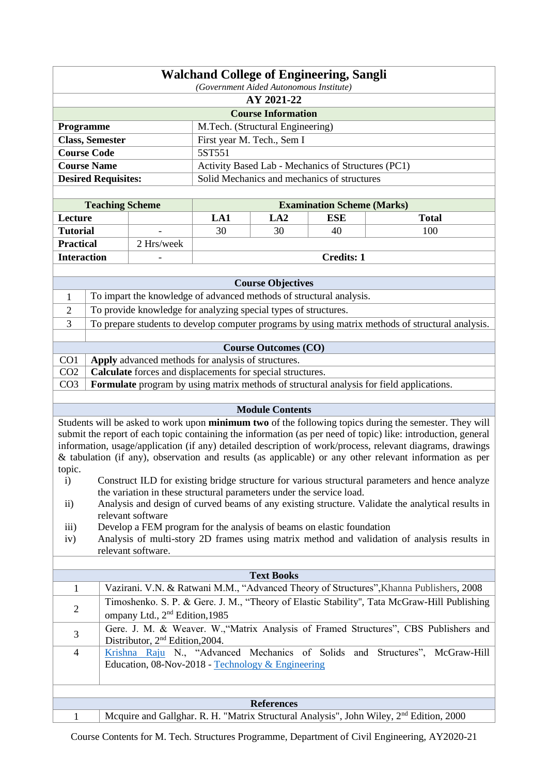|                                                                           | <b>Walchand College of Engineering, Sangli</b>     |  |  |  |  |  |
|---------------------------------------------------------------------------|----------------------------------------------------|--|--|--|--|--|
|                                                                           | (Government Aided Autonomous Institute)            |  |  |  |  |  |
|                                                                           | AY 2021-22                                         |  |  |  |  |  |
| <b>Course Information</b>                                                 |                                                    |  |  |  |  |  |
| M.Tech. (Structural Engineering)<br><b>Programme</b>                      |                                                    |  |  |  |  |  |
| <b>Class, Semester</b><br>First year M. Tech., Sem I                      |                                                    |  |  |  |  |  |
| <b>Course Code</b>                                                        | 5ST551                                             |  |  |  |  |  |
| <b>Course Name</b>                                                        | Activity Based Lab - Mechanics of Structures (PC1) |  |  |  |  |  |
| Solid Mechanics and mechanics of structures<br><b>Desired Requisites:</b> |                                                    |  |  |  |  |  |
|                                                                           |                                                    |  |  |  |  |  |

| <b>Teaching Scheme</b> |            |                   |     | <b>Examination Scheme (Marks)</b> |       |
|------------------------|------------|-------------------|-----|-----------------------------------|-------|
| Lecture                |            | LA1               | LA2 | ESE                               | Total |
| <b>Tutorial</b>        |            | 30                | 30  | 40                                | 100   |
| <b>Practical</b>       | 2 Hrs/week |                   |     |                                   |       |
| <b>Interaction</b>     | -          | <b>Credits: 1</b> |     |                                   |       |

| <b>Course Objectives</b>                                                                         |  |  |  |  |  |
|--------------------------------------------------------------------------------------------------|--|--|--|--|--|
|                                                                                                  |  |  |  |  |  |
|                                                                                                  |  |  |  |  |  |
| To prepare students to develop computer programs by using matrix methods of structural analysis. |  |  |  |  |  |
|                                                                                                  |  |  |  |  |  |
| <b>Course Outcomes (CO)</b>                                                                      |  |  |  |  |  |
|                                                                                                  |  |  |  |  |  |
|                                                                                                  |  |  |  |  |  |
|                                                                                                  |  |  |  |  |  |
|                                                                                                  |  |  |  |  |  |

Students will be asked to work upon **minimum two** of the following topics during the semester. They will submit the report of each topic containing the information (as per need of topic) like: introduction, general information, usage/application (if any) detailed description of work/process, relevant diagrams, drawings & tabulation (if any), observation and results (as applicable) or any other relevant information as per topic.

- i) Construct ILD for existing bridge structure for various structural parameters and hence analyze the variation in these structural parameters under the service load.
- ii) Analysis and design of curved beams of any existing structure. Validate the analytical results in relevant software
- iii) Develop a FEM program for the analysis of beams on elastic foundation
- iv) Analysis of multi-story 2D frames using matrix method and validation of analysis results in relevant software.

|                   | <b>Text Books</b>                                                                                                                         |  |  |  |  |  |
|-------------------|-------------------------------------------------------------------------------------------------------------------------------------------|--|--|--|--|--|
|                   | Vazirani. V.N. & Ratwani M.M., "Advanced Theory of Structures", Khanna Publishers, 2008                                                   |  |  |  |  |  |
| 2                 | Timoshenko. S. P. & Gere. J. M., "Theory of Elastic Stability", Tata McGraw-Hill Publishing<br>ompany Ltd., 2 <sup>nd</sup> Edition, 1985 |  |  |  |  |  |
| 3                 | Gere. J. M. & Weaver. W., "Matrix Analysis of Framed Structures", CBS Publishers and<br>Distributor, 2 <sup>nd</sup> Edition, 2004.       |  |  |  |  |  |
| $\overline{4}$    | Krishna Raju N., "Advanced Mechanics of Solids and Structures", McGraw-Hill<br>Education, $08$ -Nov-2018 - Technology & Engineering       |  |  |  |  |  |
|                   |                                                                                                                                           |  |  |  |  |  |
| <b>References</b> |                                                                                                                                           |  |  |  |  |  |
|                   | Mcquire and Gallghar. R. H. "Matrix Structural Analysis", John Wiley, 2 <sup>nd</sup> Edition, 2000                                       |  |  |  |  |  |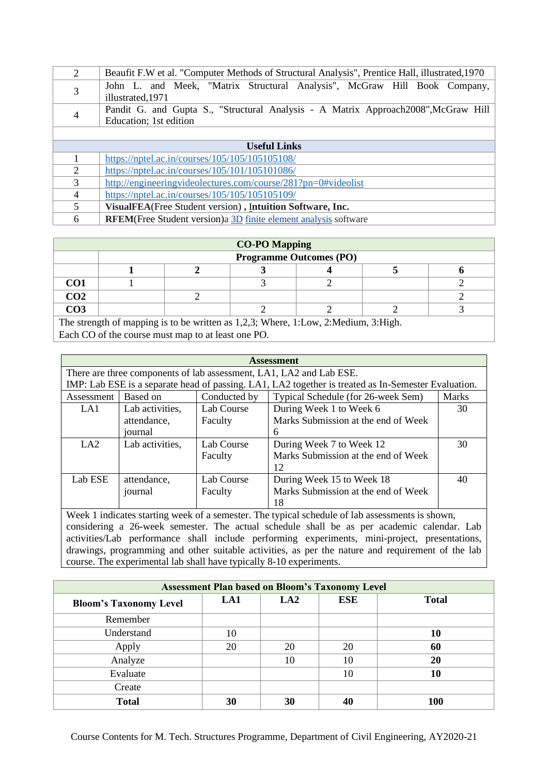| 2                   | Beaufit F.W et al. "Computer Methods of Structural Analysis", Prentice Hall, illustrated, 1970 |  |  |  |  |  |  |  |
|---------------------|------------------------------------------------------------------------------------------------|--|--|--|--|--|--|--|
|                     | John L. and Meek, "Matrix Structural Analysis", McGraw Hill Book Company,                      |  |  |  |  |  |  |  |
| 3                   | illustrated, 1971                                                                              |  |  |  |  |  |  |  |
| 4                   | Pandit G. and Gupta S., "Structural Analysis - A Matrix Approach 2008", McGraw Hill            |  |  |  |  |  |  |  |
|                     | Education; 1st edition                                                                         |  |  |  |  |  |  |  |
|                     |                                                                                                |  |  |  |  |  |  |  |
| <b>Useful Links</b> |                                                                                                |  |  |  |  |  |  |  |
|                     | https://nptel.ac.in/courses/105/105/105105108/                                                 |  |  |  |  |  |  |  |
| $\overline{2}$      | https://nptel.ac.in/courses/105/101/105101086/                                                 |  |  |  |  |  |  |  |
| 3                   | http://engineeringvideolectures.com/course/281?pn=0#videolist                                  |  |  |  |  |  |  |  |
| 4                   | https://nptel.ac.in/courses/105/105/105105109/                                                 |  |  |  |  |  |  |  |
| $\overline{5}$      | VisualFEA(Free Student version), Intuition Software, Inc.                                      |  |  |  |  |  |  |  |
| 6                   | <b>RFEM</b> (Free Student version) a 3D finite element analysis software                       |  |  |  |  |  |  |  |

| <b>CO-PO Mapping</b>                                                                      |  |  |  |  |  |  |  |  |
|-------------------------------------------------------------------------------------------|--|--|--|--|--|--|--|--|
| <b>Programme Outcomes (PO)</b>                                                            |  |  |  |  |  |  |  |  |
|                                                                                           |  |  |  |  |  |  |  |  |
| CO <sub>1</sub>                                                                           |  |  |  |  |  |  |  |  |
| CO <sub>2</sub>                                                                           |  |  |  |  |  |  |  |  |
| CO <sub>3</sub>                                                                           |  |  |  |  |  |  |  |  |
| The strength of manning is to be written as $1.23$ . Where $1.1$ ow $2.$ Medium $3.$ High |  |  |  |  |  |  |  |  |

The strength of mapping is to be written as 1,2,3; Where, 1:Low, 2:Medium, 3:High. Each CO of the course must map to at least one PO.

| <b>Assessment</b>                                                                               |                                                                                |            |                                                                                                     |    |  |  |
|-------------------------------------------------------------------------------------------------|--------------------------------------------------------------------------------|------------|-----------------------------------------------------------------------------------------------------|----|--|--|
|                                                                                                 |                                                                                |            | There are three components of lab assessment, LA1, LA2 and Lab ESE.                                 |    |  |  |
|                                                                                                 |                                                                                |            | IMP: Lab ESE is a separate head of passing. LA1, LA2 together is treated as In-Semester Evaluation. |    |  |  |
| Assessment                                                                                      | Conducted by<br>Typical Schedule (for 26-week Sem)<br><b>Marks</b><br>Based on |            |                                                                                                     |    |  |  |
| LA1                                                                                             | Lab activities,                                                                | Lab Course | During Week 1 to Week 6                                                                             | 30 |  |  |
|                                                                                                 | attendance,                                                                    | Faculty    | Marks Submission at the end of Week                                                                 |    |  |  |
|                                                                                                 | journal                                                                        |            | 6                                                                                                   |    |  |  |
| LA2                                                                                             | Lab activities,                                                                | Lab Course | During Week 7 to Week 12                                                                            | 30 |  |  |
|                                                                                                 |                                                                                | Faculty    | Marks Submission at the end of Week                                                                 |    |  |  |
|                                                                                                 |                                                                                |            | 12                                                                                                  |    |  |  |
| Lab ESE                                                                                         | attendance,                                                                    | Lab Course | During Week 15 to Week 18                                                                           | 40 |  |  |
|                                                                                                 | journal                                                                        | Faculty    | Marks Submission at the end of Week                                                                 |    |  |  |
|                                                                                                 |                                                                                |            | 18                                                                                                  |    |  |  |
| Week 1 indicates starting week of a semester. The typical schedule of lab assessments is shown, |                                                                                |            |                                                                                                     |    |  |  |
| considering a 26-week semester. The actual schedule shall be as per academic calendar. Lab      |                                                                                |            |                                                                                                     |    |  |  |
|                                                                                                 |                                                                                |            | activities/Lab performance shall include performing experiments, mini-project, presentations,       |    |  |  |
|                                                                                                 |                                                                                |            |                                                                                                     |    |  |  |

drawings, programming and other suitable activities, as per the nature and requirement of the lab course. The experimental lab shall have typically 8-10 experiments.

| <b>Assessment Plan based on Bloom's Taxonomy Level</b> |     |     |            |              |  |
|--------------------------------------------------------|-----|-----|------------|--------------|--|
| <b>Bloom's Taxonomy Level</b>                          | LA1 | LA2 | <b>ESE</b> | <b>Total</b> |  |
| Remember                                               |     |     |            |              |  |
| Understand                                             | 10  |     |            | 10           |  |
| Apply                                                  | 20  | 20  | 20         | 60           |  |
| Analyze                                                |     | 10  | 10         | 20           |  |
| Evaluate                                               |     |     | 10         | 10           |  |
| Create                                                 |     |     |            |              |  |
| <b>Total</b>                                           | 30  | 30  | 40         | <b>100</b>   |  |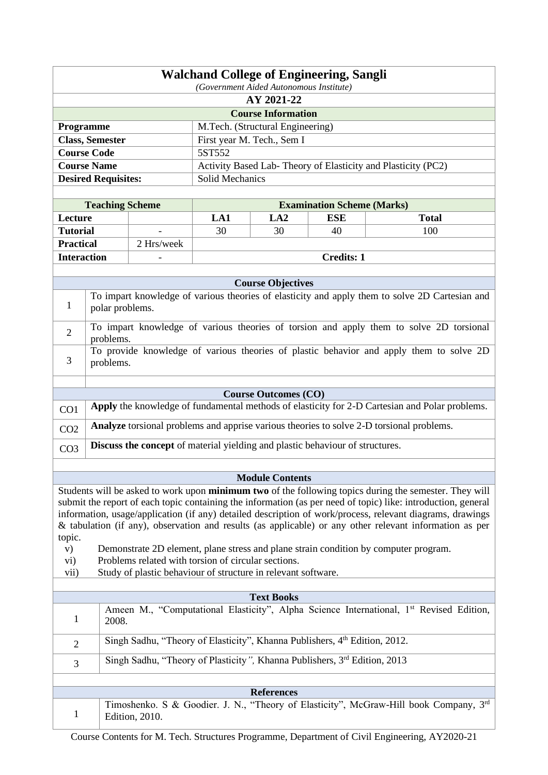|                                                      | <b>Walchand College of Engineering, Sangli</b>               |  |  |  |  |  |
|------------------------------------------------------|--------------------------------------------------------------|--|--|--|--|--|
|                                                      | (Government Aided Autonomous Institute)                      |  |  |  |  |  |
|                                                      | AY 2021-22                                                   |  |  |  |  |  |
| <b>Course Information</b>                            |                                                              |  |  |  |  |  |
| M.Tech. (Structural Engineering)<br><b>Programme</b> |                                                              |  |  |  |  |  |
| <b>Class, Semester</b><br>First year M. Tech., Sem I |                                                              |  |  |  |  |  |
| <b>Course Code</b>                                   | 5ST552                                                       |  |  |  |  |  |
| <b>Course Name</b>                                   | Activity Based Lab-Theory of Elasticity and Plasticity (PC2) |  |  |  |  |  |
| Solid Mechanics<br><b>Desired Requisites:</b>        |                                                              |  |  |  |  |  |
|                                                      |                                                              |  |  |  |  |  |

| <b>Teaching Scheme</b> |            | <b>Examination Scheme (Marks)</b> |     |     |              |  |
|------------------------|------------|-----------------------------------|-----|-----|--------------|--|
| Lecture                |            | LA1                               | LA2 | ESE | <b>Total</b> |  |
| <b>Tutorial</b>        | -          | 30                                | 30  | 40  | 100          |  |
| <b>Practical</b>       | 2 Hrs/week |                                   |     |     |              |  |
| <b>Interaction</b>     | -          | <b>Credits: 1</b>                 |     |     |              |  |

|                 | <b>Course Objectives</b>                                                                                          |
|-----------------|-------------------------------------------------------------------------------------------------------------------|
| 1               | To impart knowledge of various theories of elasticity and apply them to solve 2D Cartesian and<br>polar problems. |
| $\overline{2}$  | To impart knowledge of various theories of torsion and apply them to solve 2D torsional<br>problems.              |
| 3               | To provide knowledge of various theories of plastic behavior and apply them to solve 2D<br>problems.              |
|                 |                                                                                                                   |
|                 | <b>Course Outcomes (CO)</b>                                                                                       |
| CO <sub>1</sub> | Apply the knowledge of fundamental methods of elasticity for 2-D Cartesian and Polar problems.                    |
| CO <sub>2</sub> | Analyze torsional problems and apprise various theories to solve 2-D torsional problems.                          |
| CO <sub>3</sub> | Discuss the concept of material yielding and plastic behaviour of structures.                                     |
|                 |                                                                                                                   |

Students will be asked to work upon **minimum two** of the following topics during the semester. They will submit the report of each topic containing the information (as per need of topic) like: introduction, general information, usage/application (if any) detailed description of work/process, relevant diagrams, drawings & tabulation (if any), observation and results (as applicable) or any other relevant information as per topic.

- v) Demonstrate 2D element, plane stress and plane strain condition by computer program.
- vi) Problems related with torsion of circular sections.
- vii) Study of plastic behaviour of structure in relevant software.

|               | <b>Text Books</b>                                                                                            |
|---------------|--------------------------------------------------------------------------------------------------------------|
|               | Ameen M., "Computational Elasticity", Alpha Science International, 1 <sup>st</sup> Revised Edition,<br>2008. |
| $\mathcal{D}$ | Singh Sadhu, "Theory of Elasticity", Khanna Publishers, 4 <sup>th</sup> Edition, 2012.                       |
| 3             | Singh Sadhu, "Theory of Plasticity", Khanna Publishers, 3rd Edition, 2013                                    |
|               |                                                                                                              |
|               | <b>References</b>                                                                                            |

1 Timoshenko. S & Goodier. J. N., "Theory of Elasticity", McGraw-Hill book Company, 3rd Edition, 2010.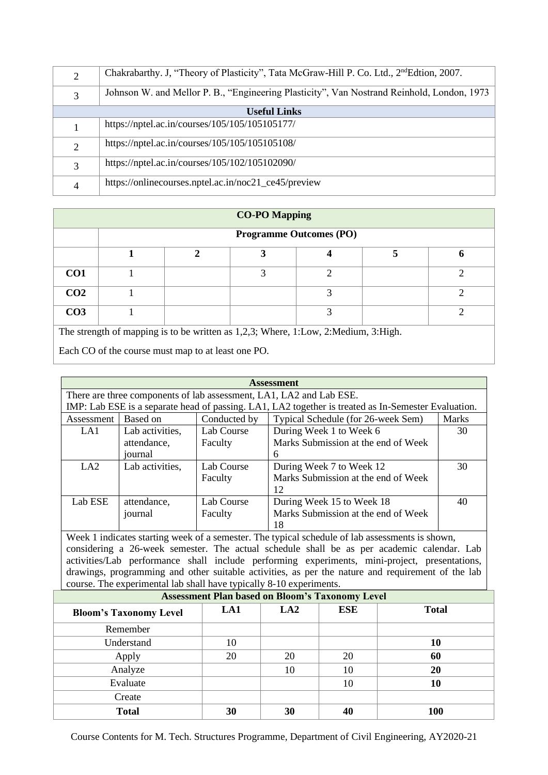| 2 | Chakrabarthy. J, "Theory of Plasticity", Tata McGraw-Hill P. Co. Ltd., 2 <sup>nd</sup> Edtion, 2007. |
|---|------------------------------------------------------------------------------------------------------|
| 3 | Johnson W. and Mellor P. B., "Engineering Plasticity", Van Nostrand Reinhold, London, 1973           |
|   | <b>Useful Links</b>                                                                                  |
|   | https://nptel.ac.in/courses/105/105/105105177/                                                       |
| 2 | https://nptel.ac.in/courses/105/105/105105108/                                                       |
| 3 | https://nptel.ac.in/courses/105/102/105102090/                                                       |
| 4 | https://onlinecourses.nptel.ac.in/noc21_ce45/preview                                                 |

|                 |                                |  | <b>CO-PO Mapping</b> |   |  |  |  |
|-----------------|--------------------------------|--|----------------------|---|--|--|--|
|                 | <b>Programme Outcomes (PO)</b> |  |                      |   |  |  |  |
|                 |                                |  |                      |   |  |  |  |
| CO <sub>1</sub> |                                |  |                      | ◠ |  |  |  |
| CO <sub>2</sub> |                                |  |                      | 3 |  |  |  |
| CO <sub>3</sub> |                                |  |                      | 2 |  |  |  |

Each CO of the course must map to at least one PO.

|                                                                                                 | <b>Assessment</b> |              |                                                                                                     |              |  |  |
|-------------------------------------------------------------------------------------------------|-------------------|--------------|-----------------------------------------------------------------------------------------------------|--------------|--|--|
|                                                                                                 |                   |              | There are three components of lab assessment, LA1, LA2 and Lab ESE.                                 |              |  |  |
|                                                                                                 |                   |              | IMP: Lab ESE is a separate head of passing. LA1, LA2 together is treated as In-Semester Evaluation. |              |  |  |
| Assessment                                                                                      | Based on          | Conducted by | Typical Schedule (for 26-week Sem)                                                                  | <b>Marks</b> |  |  |
| LA1                                                                                             | Lab activities,   | Lab Course   | During Week 1 to Week 6                                                                             | 30           |  |  |
|                                                                                                 | attendance,       | Faculty      | Marks Submission at the end of Week                                                                 |              |  |  |
|                                                                                                 | journal           |              | 6                                                                                                   |              |  |  |
| LA <sub>2</sub>                                                                                 | Lab activities,   | Lab Course   | During Week 7 to Week 12                                                                            | 30           |  |  |
|                                                                                                 |                   | Faculty      | Marks Submission at the end of Week                                                                 |              |  |  |
|                                                                                                 |                   |              | 12                                                                                                  |              |  |  |
| Lab ESE                                                                                         | attendance,       | Lab Course   | During Week 15 to Week 18                                                                           | 40           |  |  |
|                                                                                                 | journal           | Faculty      | Marks Submission at the end of Week                                                                 |              |  |  |
|                                                                                                 |                   |              | 18                                                                                                  |              |  |  |
| Week 1 indicates starting week of a semester. The typical schedule of lab assessments is shown, |                   |              |                                                                                                     |              |  |  |
|                                                                                                 |                   |              | considering a 26-week semester. The actual schedule shall be as per academic calendar. Lab          |              |  |  |
|                                                                                                 |                   |              | activities/Lab performance shall include performing experiments, mini-project, presentations,       |              |  |  |
|                                                                                                 |                   |              | drawings, programming and other suitable activities, as per the nature and requirement of the lab   |              |  |  |

| course. The experimental lab shall have typically 8-10 experiments.                   |    |    |                                                        |     |  |  |
|---------------------------------------------------------------------------------------|----|----|--------------------------------------------------------|-----|--|--|
|                                                                                       |    |    | <b>Assessment Plan based on Bloom's Taxonomy Level</b> |     |  |  |
| <b>Total</b><br><b>ESE</b><br>LA1<br>LA <sub>2</sub><br><b>Bloom's Taxonomy Level</b> |    |    |                                                        |     |  |  |
| Remember                                                                              |    |    |                                                        |     |  |  |
| Understand                                                                            | 10 |    |                                                        | 10  |  |  |
| Apply                                                                                 | 20 | 20 | 20                                                     | 60  |  |  |
| Analyze                                                                               |    | 10 | 10                                                     | 20  |  |  |
| Evaluate                                                                              |    |    | 10                                                     | 10  |  |  |
| Create                                                                                |    |    |                                                        |     |  |  |
| <b>Total</b>                                                                          | 30 | 30 | 40                                                     | 100 |  |  |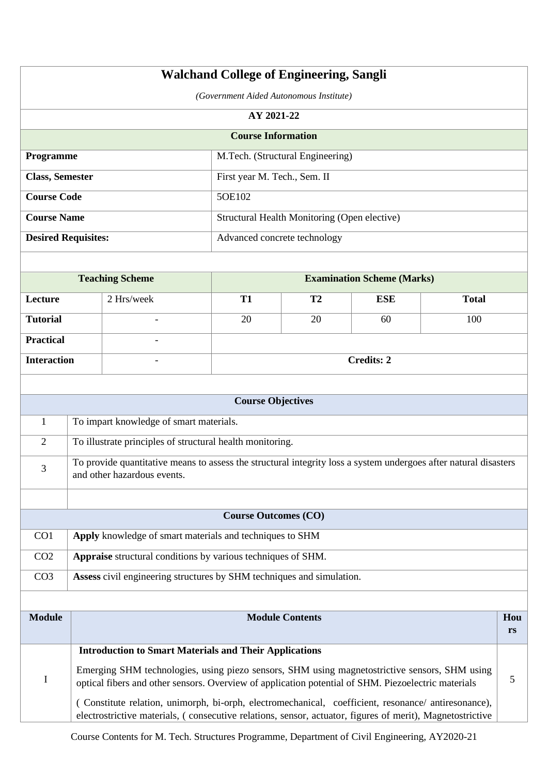|                            |                                                                                                                                                 |                                                                                                                                                                                                                  | <b>Walchand College of Engineering, Sangli</b><br>(Government Aided Autonomous Institute) |                                              |                                   |              |     |  |
|----------------------------|-------------------------------------------------------------------------------------------------------------------------------------------------|------------------------------------------------------------------------------------------------------------------------------------------------------------------------------------------------------------------|-------------------------------------------------------------------------------------------|----------------------------------------------|-----------------------------------|--------------|-----|--|
|                            | AY 2021-22                                                                                                                                      |                                                                                                                                                                                                                  |                                                                                           |                                              |                                   |              |     |  |
|                            |                                                                                                                                                 |                                                                                                                                                                                                                  | <b>Course Information</b>                                                                 |                                              |                                   |              |     |  |
| Programme                  |                                                                                                                                                 |                                                                                                                                                                                                                  |                                                                                           | M.Tech. (Structural Engineering)             |                                   |              |     |  |
| <b>Class, Semester</b>     |                                                                                                                                                 |                                                                                                                                                                                                                  |                                                                                           |                                              |                                   |              |     |  |
|                            |                                                                                                                                                 |                                                                                                                                                                                                                  | First year M. Tech., Sem. II                                                              |                                              |                                   |              |     |  |
| <b>Course Code</b>         |                                                                                                                                                 |                                                                                                                                                                                                                  | 5OE102                                                                                    |                                              |                                   |              |     |  |
| <b>Course Name</b>         |                                                                                                                                                 |                                                                                                                                                                                                                  |                                                                                           | Structural Health Monitoring (Open elective) |                                   |              |     |  |
| <b>Desired Requisites:</b> |                                                                                                                                                 |                                                                                                                                                                                                                  | Advanced concrete technology                                                              |                                              |                                   |              |     |  |
|                            |                                                                                                                                                 |                                                                                                                                                                                                                  |                                                                                           |                                              |                                   |              |     |  |
|                            |                                                                                                                                                 | <b>Teaching Scheme</b>                                                                                                                                                                                           |                                                                                           |                                              | <b>Examination Scheme (Marks)</b> |              |     |  |
| Lecture                    | 2 Hrs/week                                                                                                                                      |                                                                                                                                                                                                                  | <b>T1</b>                                                                                 | T2                                           | <b>ESE</b>                        | <b>Total</b> |     |  |
| <b>Tutorial</b>            |                                                                                                                                                 |                                                                                                                                                                                                                  | 20                                                                                        | 20                                           | 60                                | 100          |     |  |
| <b>Practical</b>           |                                                                                                                                                 |                                                                                                                                                                                                                  |                                                                                           |                                              |                                   |              |     |  |
|                            | <b>Interaction</b><br>$\overline{\phantom{0}}$                                                                                                  |                                                                                                                                                                                                                  |                                                                                           | <b>Credits: 2</b>                            |                                   |              |     |  |
|                            |                                                                                                                                                 |                                                                                                                                                                                                                  |                                                                                           |                                              |                                   |              |     |  |
|                            |                                                                                                                                                 |                                                                                                                                                                                                                  | <b>Course Objectives</b>                                                                  |                                              |                                   |              |     |  |
| $\mathbf{1}$               |                                                                                                                                                 | To impart knowledge of smart materials.                                                                                                                                                                          |                                                                                           |                                              |                                   |              |     |  |
| 2                          |                                                                                                                                                 | To illustrate principles of structural health monitoring.                                                                                                                                                        |                                                                                           |                                              |                                   |              |     |  |
| 3                          |                                                                                                                                                 |                                                                                                                                                                                                                  |                                                                                           |                                              |                                   |              |     |  |
|                            | To provide quantitative means to assess the structural integrity loss a system undergoes after natural disasters<br>and other hazardous events. |                                                                                                                                                                                                                  |                                                                                           |                                              |                                   |              |     |  |
|                            |                                                                                                                                                 |                                                                                                                                                                                                                  |                                                                                           |                                              |                                   |              |     |  |
|                            |                                                                                                                                                 |                                                                                                                                                                                                                  | <b>Course Outcomes (CO)</b>                                                               |                                              |                                   |              |     |  |
| CO <sub>1</sub>            |                                                                                                                                                 | Apply knowledge of smart materials and techniques to SHM                                                                                                                                                         |                                                                                           |                                              |                                   |              |     |  |
| CO <sub>2</sub>            |                                                                                                                                                 | Appraise structural conditions by various techniques of SHM.                                                                                                                                                     |                                                                                           |                                              |                                   |              |     |  |
| CO <sub>3</sub>            |                                                                                                                                                 | Assess civil engineering structures by SHM techniques and simulation.                                                                                                                                            |                                                                                           |                                              |                                   |              |     |  |
|                            |                                                                                                                                                 |                                                                                                                                                                                                                  |                                                                                           |                                              |                                   |              |     |  |
| <b>Module</b>              |                                                                                                                                                 |                                                                                                                                                                                                                  |                                                                                           | <b>Module Contents</b>                       |                                   |              | Hou |  |
|                            |                                                                                                                                                 |                                                                                                                                                                                                                  |                                                                                           |                                              |                                   |              | rs  |  |
|                            |                                                                                                                                                 | <b>Introduction to Smart Materials and Their Applications</b>                                                                                                                                                    |                                                                                           |                                              |                                   |              |     |  |
| I                          |                                                                                                                                                 | Emerging SHM technologies, using piezo sensors, SHM using magnetostrictive sensors, SHM using<br>optical fibers and other sensors. Overview of application potential of SHM. Piezoelectric materials             |                                                                                           |                                              |                                   |              | 5   |  |
|                            |                                                                                                                                                 | (Constitute relation, unimorph, bi-orph, electromechanical, coefficient, resonance/ antiresonance),<br>electrostrictive materials, (consecutive relations, sensor, actuator, figures of merit), Magnetostrictive |                                                                                           |                                              |                                   |              |     |  |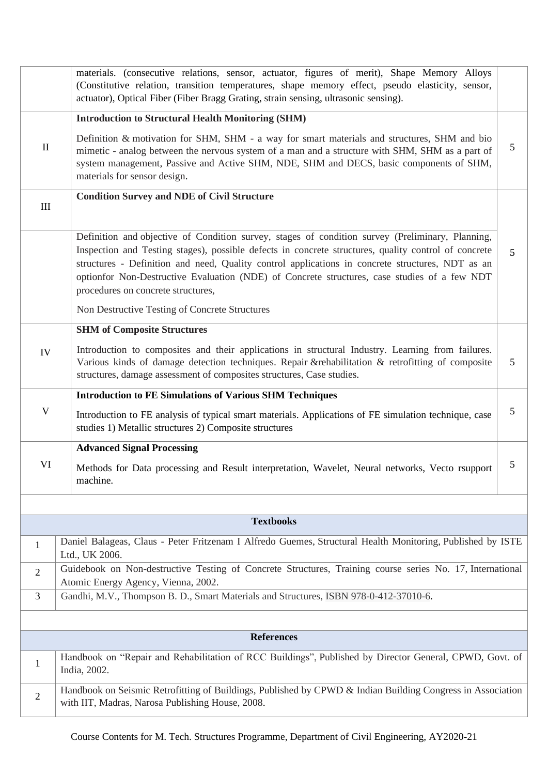|                | materials. (consecutive relations, sensor, actuator, figures of merit), Shape Memory Alloys<br>(Constitutive relation, transition temperatures, shape memory effect, pseudo elasticity, sensor,<br>actuator), Optical Fiber (Fiber Bragg Grating, strain sensing, ultrasonic sensing).                                                                                                                                                             |                |  |
|----------------|----------------------------------------------------------------------------------------------------------------------------------------------------------------------------------------------------------------------------------------------------------------------------------------------------------------------------------------------------------------------------------------------------------------------------------------------------|----------------|--|
|                | <b>Introduction to Structural Health Monitoring (SHM)</b>                                                                                                                                                                                                                                                                                                                                                                                          |                |  |
| $\mathbf{I}$   | Definition & motivation for SHM, SHM - a way for smart materials and structures, SHM and bio<br>mimetic - analog between the nervous system of a man and a structure with SHM, SHM as a part of<br>system management, Passive and Active SHM, NDE, SHM and DECS, basic components of SHM,<br>materials for sensor design.                                                                                                                          | $\mathfrak{S}$ |  |
| Ш              | <b>Condition Survey and NDE of Civil Structure</b>                                                                                                                                                                                                                                                                                                                                                                                                 |                |  |
|                | Definition and objective of Condition survey, stages of condition survey (Preliminary, Planning,<br>Inspection and Testing stages), possible defects in concrete structures, quality control of concrete<br>structures - Definition and need, Quality control applications in concrete structures, NDT as an<br>optionfor Non-Destructive Evaluation (NDE) of Concrete structures, case studies of a few NDT<br>procedures on concrete structures, | 5              |  |
|                | Non Destructive Testing of Concrete Structures                                                                                                                                                                                                                                                                                                                                                                                                     |                |  |
|                | <b>SHM of Composite Structures</b>                                                                                                                                                                                                                                                                                                                                                                                                                 |                |  |
| IV             | Introduction to composites and their applications in structural Industry. Learning from failures.<br>Various kinds of damage detection techniques. Repair &rehabilitation & retrofitting of composite<br>structures, damage assessment of composites structures, Case studies.                                                                                                                                                                     | $\mathfrak{S}$ |  |
|                | <b>Introduction to FE Simulations of Various SHM Techniques</b>                                                                                                                                                                                                                                                                                                                                                                                    |                |  |
| $\mathbf V$    | Introduction to FE analysis of typical smart materials. Applications of FE simulation technique, case<br>studies 1) Metallic structures 2) Composite structures                                                                                                                                                                                                                                                                                    |                |  |
|                | <b>Advanced Signal Processing</b>                                                                                                                                                                                                                                                                                                                                                                                                                  |                |  |
| VI             | Methods for Data processing and Result interpretation, Wavelet, Neural networks, Vecto rsupport<br>machine.                                                                                                                                                                                                                                                                                                                                        | 5              |  |
|                |                                                                                                                                                                                                                                                                                                                                                                                                                                                    |                |  |
|                | <b>Textbooks</b>                                                                                                                                                                                                                                                                                                                                                                                                                                   |                |  |
| $\mathbf{1}$   | Daniel Balageas, Claus - Peter Fritzenam I Alfredo Guemes, Structural Health Monitoring, Published by ISTE<br>Ltd., UK 2006.                                                                                                                                                                                                                                                                                                                       |                |  |
| $\overline{2}$ | Guidebook on Non-destructive Testing of Concrete Structures, Training course series No. 17, International<br>Atomic Energy Agency, Vienna, 2002.                                                                                                                                                                                                                                                                                                   |                |  |
| 3              | Gandhi, M.V., Thompson B. D., Smart Materials and Structures, ISBN 978-0-412-37010-6.                                                                                                                                                                                                                                                                                                                                                              |                |  |
|                |                                                                                                                                                                                                                                                                                                                                                                                                                                                    |                |  |
|                | <b>References</b>                                                                                                                                                                                                                                                                                                                                                                                                                                  |                |  |
| 1              | Handbook on "Repair and Rehabilitation of RCC Buildings", Published by Director General, CPWD, Govt. of<br>India, 2002.                                                                                                                                                                                                                                                                                                                            |                |  |
| $\overline{2}$ | Handbook on Seismic Retrofitting of Buildings, Published by CPWD & Indian Building Congress in Association<br>with IIT, Madras, Narosa Publishing House, 2008.                                                                                                                                                                                                                                                                                     |                |  |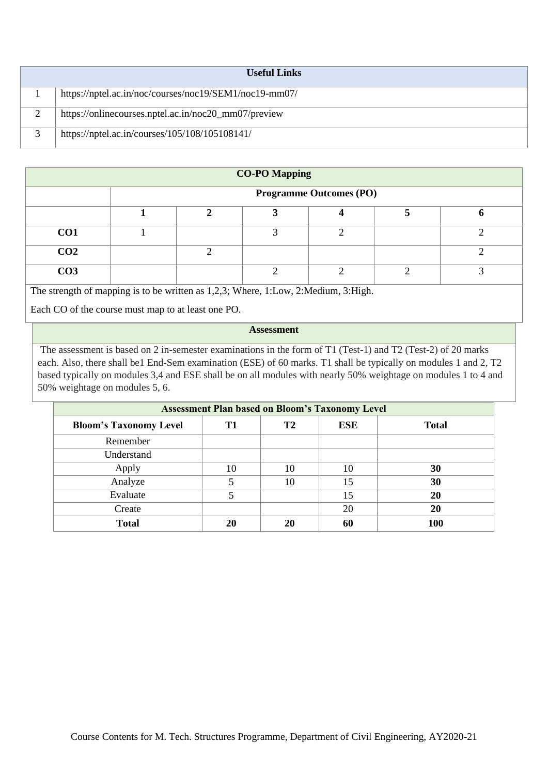| <b>Useful Links</b>                                    |
|--------------------------------------------------------|
| https://nptel.ac.in/noc/courses/noc19/SEM1/noc19-mm07/ |
| https://onlinecourses.nptel.ac.in/noc20_mm07/preview   |
| https://nptel.ac.in/courses/105/108/105108141/         |

|                 |                                |  | <b>CO-PO Mapping</b> |  |  |  |
|-----------------|--------------------------------|--|----------------------|--|--|--|
|                 | <b>Programme Outcomes (PO)</b> |  |                      |  |  |  |
|                 |                                |  |                      |  |  |  |
| CO1             |                                |  |                      |  |  |  |
| CO <sub>2</sub> |                                |  |                      |  |  |  |
| CO <sub>3</sub> |                                |  |                      |  |  |  |

Each CO of the course must map to at least one PO.

## **Assessment**

|                               | <b>Assessment Plan based on Bloom's Taxonomy Level</b> |                |            |              |
|-------------------------------|--------------------------------------------------------|----------------|------------|--------------|
| <b>Bloom's Taxonomy Level</b> | <b>T1</b>                                              | T <sub>2</sub> | <b>ESE</b> | <b>Total</b> |
| Remember                      |                                                        |                |            |              |
| Understand                    |                                                        |                |            |              |
| Apply                         | 10                                                     | 10             | 10         | 30           |
| Analyze                       |                                                        | 10             | 15         | 30           |
| Evaluate                      |                                                        |                | 15         | 20           |
| Create                        |                                                        |                | 20         | 20           |
| <b>Total</b>                  | 20                                                     | 20             | 60         | 100          |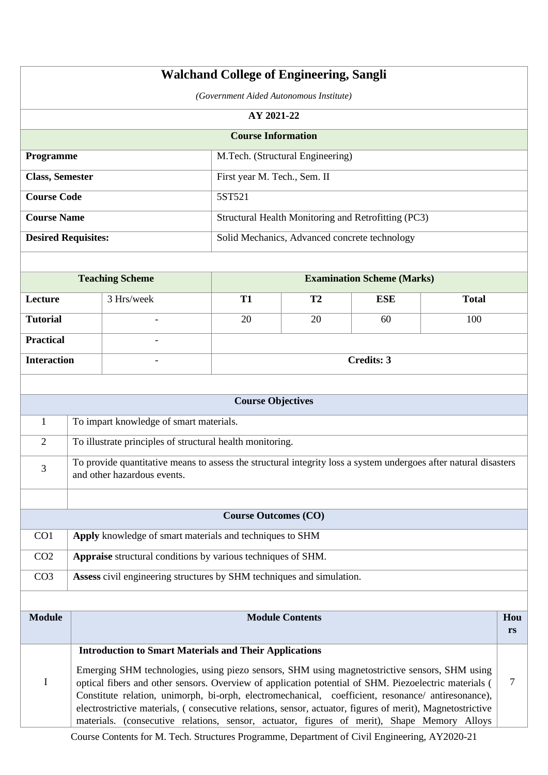| (Government Aided Autonomous Institute)<br>AY 2021-22<br><b>Course Information</b><br>Programme<br>M.Tech. (Structural Engineering)<br><b>Class, Semester</b><br>First year M. Tech., Sem. II<br><b>Course Code</b><br>5ST521<br>Structural Health Monitoring and Retrofitting (PC3)<br><b>Course Name</b><br><b>Desired Requisites:</b><br>Solid Mechanics, Advanced concrete technology<br><b>Teaching Scheme</b><br><b>Examination Scheme (Marks)</b><br>3 Hrs/week<br>Lecture<br><b>T1</b><br>T <sub>2</sub><br><b>ESE</b><br><b>Total</b><br><b>Tutorial</b><br>20<br>20<br>100<br>60<br><b>Practical</b><br><b>Interaction</b><br><b>Credits: 3</b><br>$\overline{\phantom{0}}$<br><b>Course Objectives</b><br>To impart knowledge of smart materials.<br>1<br>To illustrate principles of structural health monitoring.<br>$\overline{2}$<br>To provide quantitative means to assess the structural integrity loss a system undergoes after natural disasters<br>3<br>and other hazardous events.<br><b>Course Outcomes (CO)</b><br>Apply knowledge of smart materials and techniques to SHM<br>CO <sub>1</sub> |                |  |  |  |  |
|------------------------------------------------------------------------------------------------------------------------------------------------------------------------------------------------------------------------------------------------------------------------------------------------------------------------------------------------------------------------------------------------------------------------------------------------------------------------------------------------------------------------------------------------------------------------------------------------------------------------------------------------------------------------------------------------------------------------------------------------------------------------------------------------------------------------------------------------------------------------------------------------------------------------------------------------------------------------------------------------------------------------------------------------------------------------------------------------------------------------|----------------|--|--|--|--|
|                                                                                                                                                                                                                                                                                                                                                                                                                                                                                                                                                                                                                                                                                                                                                                                                                                                                                                                                                                                                                                                                                                                        |                |  |  |  |  |
|                                                                                                                                                                                                                                                                                                                                                                                                                                                                                                                                                                                                                                                                                                                                                                                                                                                                                                                                                                                                                                                                                                                        |                |  |  |  |  |
|                                                                                                                                                                                                                                                                                                                                                                                                                                                                                                                                                                                                                                                                                                                                                                                                                                                                                                                                                                                                                                                                                                                        |                |  |  |  |  |
|                                                                                                                                                                                                                                                                                                                                                                                                                                                                                                                                                                                                                                                                                                                                                                                                                                                                                                                                                                                                                                                                                                                        |                |  |  |  |  |
|                                                                                                                                                                                                                                                                                                                                                                                                                                                                                                                                                                                                                                                                                                                                                                                                                                                                                                                                                                                                                                                                                                                        |                |  |  |  |  |
|                                                                                                                                                                                                                                                                                                                                                                                                                                                                                                                                                                                                                                                                                                                                                                                                                                                                                                                                                                                                                                                                                                                        |                |  |  |  |  |
|                                                                                                                                                                                                                                                                                                                                                                                                                                                                                                                                                                                                                                                                                                                                                                                                                                                                                                                                                                                                                                                                                                                        |                |  |  |  |  |
|                                                                                                                                                                                                                                                                                                                                                                                                                                                                                                                                                                                                                                                                                                                                                                                                                                                                                                                                                                                                                                                                                                                        |                |  |  |  |  |
|                                                                                                                                                                                                                                                                                                                                                                                                                                                                                                                                                                                                                                                                                                                                                                                                                                                                                                                                                                                                                                                                                                                        |                |  |  |  |  |
|                                                                                                                                                                                                                                                                                                                                                                                                                                                                                                                                                                                                                                                                                                                                                                                                                                                                                                                                                                                                                                                                                                                        |                |  |  |  |  |
|                                                                                                                                                                                                                                                                                                                                                                                                                                                                                                                                                                                                                                                                                                                                                                                                                                                                                                                                                                                                                                                                                                                        |                |  |  |  |  |
|                                                                                                                                                                                                                                                                                                                                                                                                                                                                                                                                                                                                                                                                                                                                                                                                                                                                                                                                                                                                                                                                                                                        |                |  |  |  |  |
|                                                                                                                                                                                                                                                                                                                                                                                                                                                                                                                                                                                                                                                                                                                                                                                                                                                                                                                                                                                                                                                                                                                        |                |  |  |  |  |
|                                                                                                                                                                                                                                                                                                                                                                                                                                                                                                                                                                                                                                                                                                                                                                                                                                                                                                                                                                                                                                                                                                                        |                |  |  |  |  |
|                                                                                                                                                                                                                                                                                                                                                                                                                                                                                                                                                                                                                                                                                                                                                                                                                                                                                                                                                                                                                                                                                                                        |                |  |  |  |  |
|                                                                                                                                                                                                                                                                                                                                                                                                                                                                                                                                                                                                                                                                                                                                                                                                                                                                                                                                                                                                                                                                                                                        |                |  |  |  |  |
|                                                                                                                                                                                                                                                                                                                                                                                                                                                                                                                                                                                                                                                                                                                                                                                                                                                                                                                                                                                                                                                                                                                        |                |  |  |  |  |
|                                                                                                                                                                                                                                                                                                                                                                                                                                                                                                                                                                                                                                                                                                                                                                                                                                                                                                                                                                                                                                                                                                                        |                |  |  |  |  |
|                                                                                                                                                                                                                                                                                                                                                                                                                                                                                                                                                                                                                                                                                                                                                                                                                                                                                                                                                                                                                                                                                                                        |                |  |  |  |  |
|                                                                                                                                                                                                                                                                                                                                                                                                                                                                                                                                                                                                                                                                                                                                                                                                                                                                                                                                                                                                                                                                                                                        |                |  |  |  |  |
|                                                                                                                                                                                                                                                                                                                                                                                                                                                                                                                                                                                                                                                                                                                                                                                                                                                                                                                                                                                                                                                                                                                        |                |  |  |  |  |
|                                                                                                                                                                                                                                                                                                                                                                                                                                                                                                                                                                                                                                                                                                                                                                                                                                                                                                                                                                                                                                                                                                                        |                |  |  |  |  |
| Appraise structural conditions by various techniques of SHM.<br>CO <sub>2</sub>                                                                                                                                                                                                                                                                                                                                                                                                                                                                                                                                                                                                                                                                                                                                                                                                                                                                                                                                                                                                                                        |                |  |  |  |  |
| CO <sub>3</sub><br>Assess civil engineering structures by SHM techniques and simulation.                                                                                                                                                                                                                                                                                                                                                                                                                                                                                                                                                                                                                                                                                                                                                                                                                                                                                                                                                                                                                               |                |  |  |  |  |
|                                                                                                                                                                                                                                                                                                                                                                                                                                                                                                                                                                                                                                                                                                                                                                                                                                                                                                                                                                                                                                                                                                                        |                |  |  |  |  |
| <b>Module</b><br><b>Module Contents</b>                                                                                                                                                                                                                                                                                                                                                                                                                                                                                                                                                                                                                                                                                                                                                                                                                                                                                                                                                                                                                                                                                | Hou            |  |  |  |  |
|                                                                                                                                                                                                                                                                                                                                                                                                                                                                                                                                                                                                                                                                                                                                                                                                                                                                                                                                                                                                                                                                                                                        | rs             |  |  |  |  |
| <b>Introduction to Smart Materials and Their Applications</b><br>Emerging SHM technologies, using piezo sensors, SHM using magnetostrictive sensors, SHM using                                                                                                                                                                                                                                                                                                                                                                                                                                                                                                                                                                                                                                                                                                                                                                                                                                                                                                                                                         |                |  |  |  |  |
| I<br>optical fibers and other sensors. Overview of application potential of SHM. Piezoelectric materials (<br>Constitute relation, unimorph, bi-orph, electromechanical, coefficient, resonance/ antiresonance),<br>electrostrictive materials, (consecutive relations, sensor, actuator, figures of merit), Magnetostrictive<br>materials. (consecutive relations, sensor, actuator, figures of merit), Shape Memory Alloys                                                                                                                                                                                                                                                                                                                                                                                                                                                                                                                                                                                                                                                                                           | $\overline{7}$ |  |  |  |  |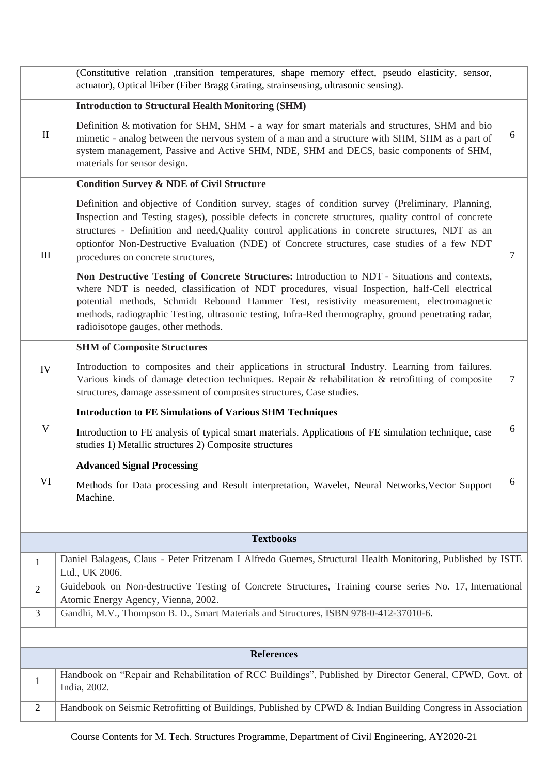|                                  | (Constitutive relation temperatures, shape memory effect, pseudo elasticity, sensor,<br>actuator), Optical IFiber (Fiber Bragg Grating, strainsensing, ultrasonic sensing).                                                                                                                                                                                                                                                                        |   |  |  |
|----------------------------------|----------------------------------------------------------------------------------------------------------------------------------------------------------------------------------------------------------------------------------------------------------------------------------------------------------------------------------------------------------------------------------------------------------------------------------------------------|---|--|--|
|                                  | <b>Introduction to Structural Health Monitoring (SHM)</b>                                                                                                                                                                                                                                                                                                                                                                                          |   |  |  |
| $\mathbf{I}$                     | Definition & motivation for SHM, SHM - a way for smart materials and structures, SHM and bio<br>mimetic - analog between the nervous system of a man and a structure with SHM, SHM as a part of<br>system management, Passive and Active SHM, NDE, SHM and DECS, basic components of SHM,<br>materials for sensor design.                                                                                                                          | 6 |  |  |
|                                  | <b>Condition Survey &amp; NDE of Civil Structure</b>                                                                                                                                                                                                                                                                                                                                                                                               |   |  |  |
| $\mathop{\mathrm{III}}\nolimits$ | Definition and objective of Condition survey, stages of condition survey (Preliminary, Planning,<br>Inspection and Testing stages), possible defects in concrete structures, quality control of concrete<br>structures - Definition and need, Quality control applications in concrete structures, NDT as an<br>optionfor Non-Destructive Evaluation (NDE) of Concrete structures, case studies of a few NDT<br>procedures on concrete structures, |   |  |  |
|                                  | Non Destructive Testing of Concrete Structures: Introduction to NDT - Situations and contexts,<br>where NDT is needed, classification of NDT procedures, visual Inspection, half-Cell electrical<br>potential methods, Schmidt Rebound Hammer Test, resistivity measurement, electromagnetic<br>methods, radiographic Testing, ultrasonic testing, Infra-Red thermography, ground penetrating radar,<br>radioisotope gauges, other methods.        |   |  |  |
|                                  | <b>SHM of Composite Structures</b>                                                                                                                                                                                                                                                                                                                                                                                                                 |   |  |  |
| IV                               | Introduction to composites and their applications in structural Industry. Learning from failures.<br>Various kinds of damage detection techniques. Repair & rehabilitation & retrofitting of composite<br>structures, damage assessment of composites structures, Case studies.                                                                                                                                                                    | 7 |  |  |
|                                  | <b>Introduction to FE Simulations of Various SHM Techniques</b>                                                                                                                                                                                                                                                                                                                                                                                    |   |  |  |
| $\mathbf V$                      | Introduction to FE analysis of typical smart materials. Applications of FE simulation technique, case<br>studies 1) Metallic structures 2) Composite structures                                                                                                                                                                                                                                                                                    | 6 |  |  |
|                                  | <b>Advanced Signal Processing</b>                                                                                                                                                                                                                                                                                                                                                                                                                  |   |  |  |
| VI                               | Methods for Data processing and Result interpretation, Wavelet, Neural Networks, Vector Support<br>Machine.                                                                                                                                                                                                                                                                                                                                        | 6 |  |  |
|                                  |                                                                                                                                                                                                                                                                                                                                                                                                                                                    |   |  |  |
|                                  | <b>Textbooks</b>                                                                                                                                                                                                                                                                                                                                                                                                                                   |   |  |  |
| 1                                | Daniel Balageas, Claus - Peter Fritzenam I Alfredo Guemes, Structural Health Monitoring, Published by ISTE<br>Ltd., UK 2006.                                                                                                                                                                                                                                                                                                                       |   |  |  |
| 2                                | Guidebook on Non-destructive Testing of Concrete Structures, Training course series No. 17, International<br>Atomic Energy Agency, Vienna, 2002.                                                                                                                                                                                                                                                                                                   |   |  |  |
| 3                                | Gandhi, M.V., Thompson B. D., Smart Materials and Structures, ISBN 978-0-412-37010-6.                                                                                                                                                                                                                                                                                                                                                              |   |  |  |
|                                  |                                                                                                                                                                                                                                                                                                                                                                                                                                                    |   |  |  |
|                                  | <b>References</b>                                                                                                                                                                                                                                                                                                                                                                                                                                  |   |  |  |
| $\mathbf{1}$                     | Handbook on "Repair and Rehabilitation of RCC Buildings", Published by Director General, CPWD, Govt. of<br>India, 2002.                                                                                                                                                                                                                                                                                                                            |   |  |  |
| $\overline{2}$                   | Handbook on Seismic Retrofitting of Buildings, Published by CPWD & Indian Building Congress in Association                                                                                                                                                                                                                                                                                                                                         |   |  |  |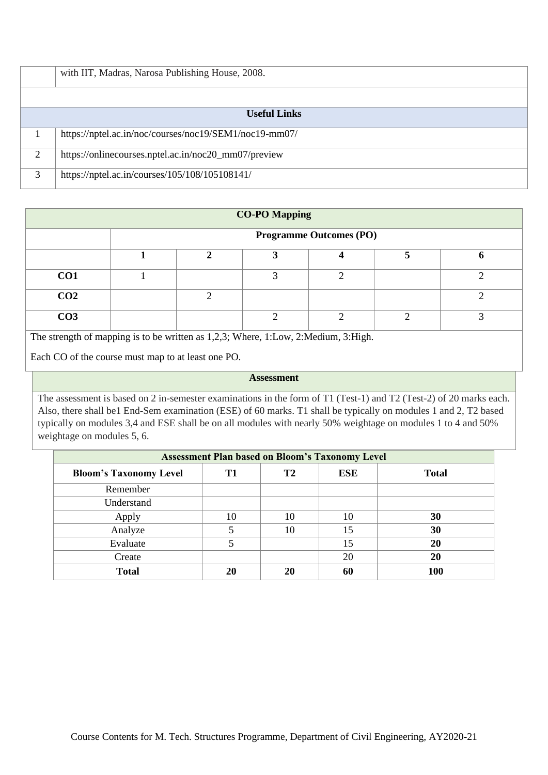|   | with IIT, Madras, Narosa Publishing House, 2008.       |
|---|--------------------------------------------------------|
|   |                                                        |
|   | <b>Useful Links</b>                                    |
|   | https://nptel.ac.in/noc/courses/noc19/SEM1/noc19-mm07/ |
| 2 | https://onlinecourses.nptel.ac.in/noc20_mm07/preview   |
| 3 | https://nptel.ac.in/courses/105/108/105108141/         |

|                 |                                | <b>CO-PO Mapping</b> |   |  |   |  |  |
|-----------------|--------------------------------|----------------------|---|--|---|--|--|
|                 | <b>Programme Outcomes (PO)</b> |                      |   |  |   |  |  |
|                 |                                |                      |   |  |   |  |  |
| CO1             |                                |                      | ◠ |  | ◠ |  |  |
| CO <sub>2</sub> | ◠                              |                      |   |  | ⌒ |  |  |
| CO <sub>3</sub> |                                |                      |   |  |   |  |  |

Each CO of the course must map to at least one PO.

# **Assessment**

| <b>Assessment Plan based on Bloom's Taxonomy Level</b> |    |           |            |              |  |  |
|--------------------------------------------------------|----|-----------|------------|--------------|--|--|
| <b>Bloom's Taxonomy Level</b>                          | T1 | <b>T2</b> | <b>ESE</b> | <b>Total</b> |  |  |
| Remember                                               |    |           |            |              |  |  |
| Understand                                             |    |           |            |              |  |  |
| Apply                                                  | 10 | 10        | 10         | 30           |  |  |
| Analyze                                                |    | 10        | 15         | 30           |  |  |
| Evaluate                                               |    |           | 15         | 20           |  |  |
| Create                                                 |    |           | 20         | 20           |  |  |
| <b>Total</b>                                           | 20 | 20        | 60         | <b>100</b>   |  |  |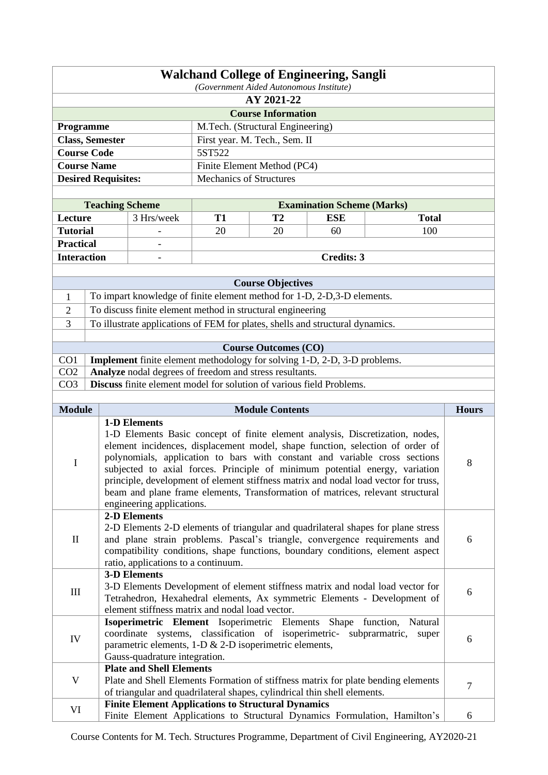|                                    | <b>Walchand College of Engineering, Sangli</b>        |                                                                                                                                 |                                |                                  |                                   |                                                                                     |              |  |
|------------------------------------|-------------------------------------------------------|---------------------------------------------------------------------------------------------------------------------------------|--------------------------------|----------------------------------|-----------------------------------|-------------------------------------------------------------------------------------|--------------|--|
|                                    | (Government Aided Autonomous Institute)<br>AY 2021-22 |                                                                                                                                 |                                |                                  |                                   |                                                                                     |              |  |
|                                    |                                                       |                                                                                                                                 |                                |                                  |                                   |                                                                                     |              |  |
|                                    |                                                       |                                                                                                                                 |                                | <b>Course Information</b>        |                                   |                                                                                     |              |  |
| Programme                          |                                                       |                                                                                                                                 |                                | M.Tech. (Structural Engineering) |                                   |                                                                                     |              |  |
|                                    | <b>Class, Semester</b>                                |                                                                                                                                 |                                | First year. M. Tech., Sem. II    |                                   |                                                                                     |              |  |
|                                    | <b>Course Code</b>                                    |                                                                                                                                 | 5ST522                         |                                  |                                   |                                                                                     |              |  |
|                                    | <b>Course Name</b>                                    |                                                                                                                                 |                                | Finite Element Method (PC4)      |                                   |                                                                                     |              |  |
|                                    | <b>Desired Requisites:</b>                            |                                                                                                                                 | <b>Mechanics of Structures</b> |                                  |                                   |                                                                                     |              |  |
|                                    |                                                       |                                                                                                                                 |                                |                                  |                                   |                                                                                     |              |  |
|                                    | <b>Teaching Scheme</b>                                |                                                                                                                                 |                                |                                  | <b>Examination Scheme (Marks)</b> |                                                                                     |              |  |
| Lecture                            |                                                       | 3 Hrs/week                                                                                                                      | <b>T1</b>                      | <b>T2</b>                        | <b>ESE</b>                        | <b>Total</b>                                                                        |              |  |
| <b>Tutorial</b>                    |                                                       | $\overline{\phantom{0}}$                                                                                                        | 20                             | 20                               | 60                                | 100                                                                                 |              |  |
| <b>Practical</b>                   |                                                       | $\overline{\phantom{0}}$                                                                                                        |                                |                                  |                                   |                                                                                     |              |  |
| <b>Interaction</b>                 |                                                       | $\overline{\phantom{0}}$                                                                                                        |                                |                                  | <b>Credits: 3</b>                 |                                                                                     |              |  |
|                                    |                                                       |                                                                                                                                 |                                |                                  |                                   |                                                                                     |              |  |
|                                    |                                                       |                                                                                                                                 |                                | <b>Course Objectives</b>         |                                   |                                                                                     |              |  |
| $\mathbf{1}$                       |                                                       | To impart knowledge of finite element method for 1-D, 2-D, 3-D elements.                                                        |                                |                                  |                                   |                                                                                     |              |  |
| $\overline{2}$                     |                                                       | To discuss finite element method in structural engineering                                                                      |                                |                                  |                                   |                                                                                     |              |  |
| 3                                  |                                                       | To illustrate applications of FEM for plates, shells and structural dynamics.                                                   |                                |                                  |                                   |                                                                                     |              |  |
|                                    |                                                       |                                                                                                                                 |                                |                                  |                                   |                                                                                     |              |  |
|                                    |                                                       |                                                                                                                                 |                                | <b>Course Outcomes (CO)</b>      |                                   |                                                                                     |              |  |
| CO <sub>1</sub><br>CO <sub>2</sub> |                                                       | <b>Implement</b> finite element methodology for solving 1-D, 2-D, 3-D problems.                                                 |                                |                                  |                                   |                                                                                     |              |  |
| CO <sub>3</sub>                    |                                                       | Analyze nodal degrees of freedom and stress resultants.<br>Discuss finite element model for solution of various field Problems. |                                |                                  |                                   |                                                                                     |              |  |
|                                    |                                                       |                                                                                                                                 |                                |                                  |                                   |                                                                                     |              |  |
| <b>Module</b>                      |                                                       |                                                                                                                                 |                                | <b>Module Contents</b>           |                                   |                                                                                     | <b>Hours</b> |  |
|                                    |                                                       | 1-D Elements                                                                                                                    |                                |                                  |                                   |                                                                                     |              |  |
|                                    |                                                       |                                                                                                                                 |                                |                                  |                                   | 1-D Elements Basic concept of finite element analysis, Discretization, nodes,       |              |  |
|                                    |                                                       |                                                                                                                                 |                                |                                  |                                   |                                                                                     |              |  |
|                                    |                                                       |                                                                                                                                 |                                |                                  |                                   | element incidences, displacement model, shape function, selection of order of       |              |  |
|                                    |                                                       |                                                                                                                                 |                                |                                  |                                   | polynomials, application to bars with constant and variable cross sections          |              |  |
| I                                  |                                                       |                                                                                                                                 |                                |                                  |                                   | subjected to axial forces. Principle of minimum potential energy, variation         | 8            |  |
|                                    |                                                       |                                                                                                                                 |                                |                                  |                                   | principle, development of element stiffness matrix and nodal load vector for truss, |              |  |
|                                    |                                                       |                                                                                                                                 |                                |                                  |                                   | beam and plane frame elements, Transformation of matrices, relevant structural      |              |  |
|                                    |                                                       | engineering applications.                                                                                                       |                                |                                  |                                   |                                                                                     |              |  |
|                                    |                                                       | 2-D Elements                                                                                                                    |                                |                                  |                                   |                                                                                     |              |  |
|                                    |                                                       |                                                                                                                                 |                                |                                  |                                   | 2-D Elements 2-D elements of triangular and quadrilateral shapes for plane stress   |              |  |
| $\rm II$                           |                                                       |                                                                                                                                 |                                |                                  |                                   | and plane strain problems. Pascal's triangle, convergence requirements and          | 6            |  |
|                                    |                                                       | ratio, applications to a continuum.                                                                                             |                                |                                  |                                   | compatibility conditions, shape functions, boundary conditions, element aspect      |              |  |
|                                    |                                                       | <b>3-D Elements</b>                                                                                                             |                                |                                  |                                   |                                                                                     |              |  |
|                                    |                                                       |                                                                                                                                 |                                |                                  |                                   | 3-D Elements Development of element stiffness matrix and nodal load vector for      |              |  |
| III                                |                                                       |                                                                                                                                 |                                |                                  |                                   | Tetrahedron, Hexahedral elements, Ax symmetric Elements - Development of            | 6            |  |
|                                    |                                                       | element stiffness matrix and nodal load vector.                                                                                 |                                |                                  |                                   |                                                                                     |              |  |
|                                    |                                                       | Isoperimetric Element Isoperimetric Elements Shape function,                                                                    |                                |                                  |                                   | Natural                                                                             |              |  |
| IV                                 |                                                       | coordinate systems, classification of isoperimetric- subprarmatric,                                                             |                                |                                  |                                   | super                                                                               | 6            |  |
|                                    |                                                       | parametric elements, 1-D & 2-D isoperimetric elements,                                                                          |                                |                                  |                                   |                                                                                     |              |  |
|                                    |                                                       | Gauss-quadrature integration.                                                                                                   |                                |                                  |                                   |                                                                                     |              |  |
| $\mathbf{V}$                       |                                                       | <b>Plate and Shell Elements</b>                                                                                                 |                                |                                  |                                   |                                                                                     |              |  |
|                                    |                                                       | of triangular and quadrilateral shapes, cylindrical thin shell elements.                                                        |                                |                                  |                                   | Plate and Shell Elements Formation of stiffness matrix for plate bending elements   | 7            |  |
| VI                                 |                                                       | <b>Finite Element Applications to Structural Dynamics</b>                                                                       |                                |                                  |                                   | Finite Element Applications to Structural Dynamics Formulation, Hamilton's          |              |  |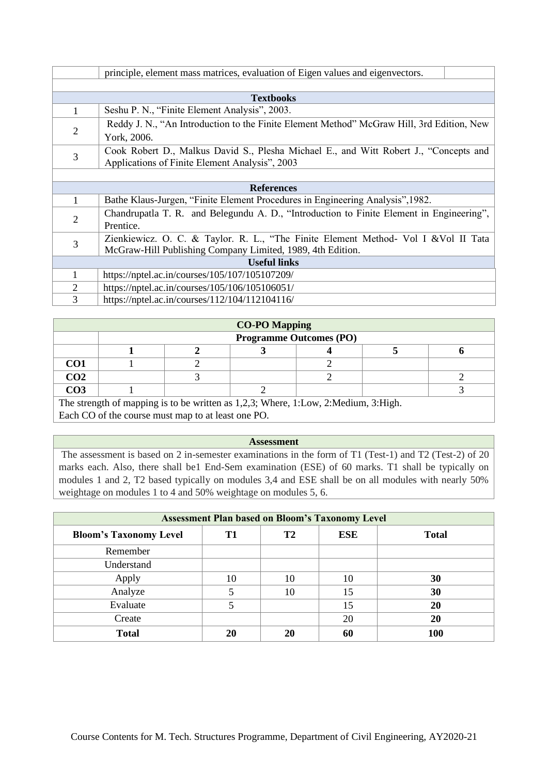|                                                                                           | principle, element mass matrices, evaluation of Eigen values and eigenvectors.           |  |  |  |  |  |
|-------------------------------------------------------------------------------------------|------------------------------------------------------------------------------------------|--|--|--|--|--|
|                                                                                           |                                                                                          |  |  |  |  |  |
|                                                                                           | <b>Textbooks</b>                                                                         |  |  |  |  |  |
| $\mathbf{1}$                                                                              | Seshu P. N., "Finite Element Analysis", 2003.                                            |  |  |  |  |  |
| Reddy J. N., "An Introduction to the Finite Element Method" McGraw Hill, 3rd Edition, New |                                                                                          |  |  |  |  |  |
| 2<br>York, 2006.                                                                          |                                                                                          |  |  |  |  |  |
| Cook Robert D., Malkus David S., Plesha Michael E., and Witt Robert J., "Concepts and     |                                                                                          |  |  |  |  |  |
| 3<br>Applications of Finite Element Analysis", 2003                                       |                                                                                          |  |  |  |  |  |
|                                                                                           |                                                                                          |  |  |  |  |  |
|                                                                                           | <b>References</b>                                                                        |  |  |  |  |  |
| $\mathbf{1}$                                                                              | Bathe Klaus-Jurgen, "Finite Element Procedures in Engineering Analysis", 1982.           |  |  |  |  |  |
|                                                                                           | Chandrupatla T. R. and Belegundu A. D., "Introduction to Finite Element in Engineering", |  |  |  |  |  |
| 2                                                                                         | Prentice.                                                                                |  |  |  |  |  |
| 3                                                                                         | Zienkiewicz. O. C. & Taylor. R. L., "The Finite Element Method- Vol I & Vol II Tata      |  |  |  |  |  |
|                                                                                           | McGraw-Hill Publishing Company Limited, 1989, 4th Edition.                               |  |  |  |  |  |
|                                                                                           | <b>Useful links</b>                                                                      |  |  |  |  |  |
| 1                                                                                         | https://nptel.ac.in/courses/105/107/105107209/                                           |  |  |  |  |  |
| $\overline{2}$                                                                            | https://nptel.ac.in/courses/105/106/105106051/                                           |  |  |  |  |  |
| 3                                                                                         | https://nptel.ac.in/courses/112/104/112104116/                                           |  |  |  |  |  |

| <b>CO-PO Mapping</b> |                                                                                      |  |  |  |  |  |  |  |  |
|----------------------|--------------------------------------------------------------------------------------|--|--|--|--|--|--|--|--|
|                      | <b>Programme Outcomes (PO)</b>                                                       |  |  |  |  |  |  |  |  |
|                      |                                                                                      |  |  |  |  |  |  |  |  |
| CO1                  |                                                                                      |  |  |  |  |  |  |  |  |
| CO <sub>2</sub>      |                                                                                      |  |  |  |  |  |  |  |  |
| CO <sub>3</sub>      |                                                                                      |  |  |  |  |  |  |  |  |
|                      | The strength of manning is to be written as $1.2.3$ . Where 1.1 ow 2. Medium 3. High |  |  |  |  |  |  |  |  |

The strength of mapping is to be written as 1,2,3; Where, 1:Low, 2:Medium, 3:High. Each CO of the course must map to at least one PO.

#### **Assessment**

| <b>Assessment Plan based on Bloom's Taxonomy Level</b> |           |                |            |              |  |  |  |
|--------------------------------------------------------|-----------|----------------|------------|--------------|--|--|--|
| <b>Bloom's Taxonomy Level</b>                          | <b>T1</b> | T <sub>2</sub> | <b>ESE</b> | <b>Total</b> |  |  |  |
| Remember                                               |           |                |            |              |  |  |  |
| Understand                                             |           |                |            |              |  |  |  |
| Apply                                                  | 10        | 10             | 10         | 30           |  |  |  |
| Analyze                                                |           | 10             | 15         | 30           |  |  |  |
| Evaluate                                               |           |                | 15         | 20           |  |  |  |
| Create                                                 |           |                | 20         | 20           |  |  |  |
| <b>Total</b>                                           | 20        | 20             | 60         | 100          |  |  |  |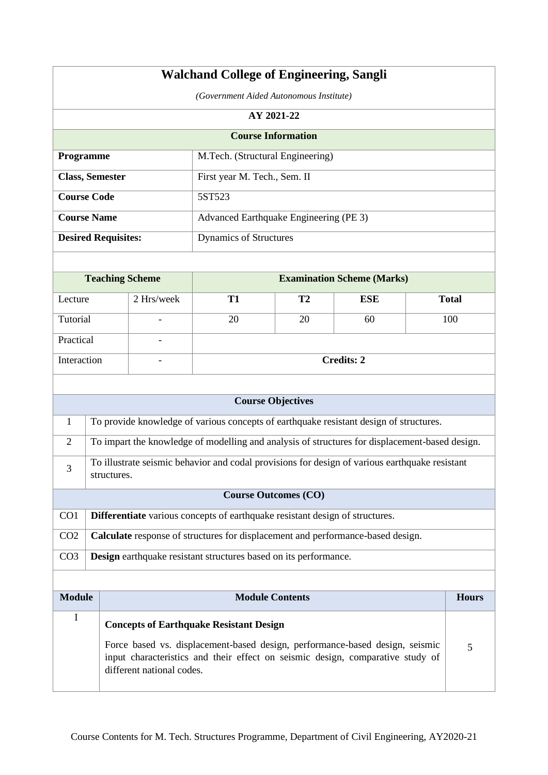|                            | <b>Walchand College of Engineering, Sangli</b>                                                                                                                                                                                                     |                        |            |                                                                                                |                             |                   |  |              |
|----------------------------|----------------------------------------------------------------------------------------------------------------------------------------------------------------------------------------------------------------------------------------------------|------------------------|------------|------------------------------------------------------------------------------------------------|-----------------------------|-------------------|--|--------------|
|                            |                                                                                                                                                                                                                                                    |                        |            | (Government Aided Autonomous Institute)                                                        |                             |                   |  |              |
|                            |                                                                                                                                                                                                                                                    |                        |            |                                                                                                | AY 2021-22                  |                   |  |              |
|                            | <b>Course Information</b>                                                                                                                                                                                                                          |                        |            |                                                                                                |                             |                   |  |              |
| Programme                  |                                                                                                                                                                                                                                                    |                        |            | M.Tech. (Structural Engineering)                                                               |                             |                   |  |              |
|                            |                                                                                                                                                                                                                                                    | <b>Class, Semester</b> |            | First year M. Tech., Sem. II                                                                   |                             |                   |  |              |
| <b>Course Code</b>         |                                                                                                                                                                                                                                                    |                        |            | 5ST523                                                                                         |                             |                   |  |              |
| <b>Course Name</b>         |                                                                                                                                                                                                                                                    |                        |            | Advanced Earthquake Engineering (PE 3)                                                         |                             |                   |  |              |
| <b>Desired Requisites:</b> |                                                                                                                                                                                                                                                    |                        |            | Dynamics of Structures                                                                         |                             |                   |  |              |
|                            |                                                                                                                                                                                                                                                    |                        |            |                                                                                                |                             |                   |  |              |
|                            | <b>Teaching Scheme</b><br><b>Examination Scheme (Marks)</b>                                                                                                                                                                                        |                        |            |                                                                                                |                             |                   |  |              |
| Lecture                    |                                                                                                                                                                                                                                                    |                        | 2 Hrs/week | <b>T1</b>                                                                                      | T <sub>2</sub>              | <b>ESE</b>        |  | <b>Total</b> |
| Tutorial                   |                                                                                                                                                                                                                                                    |                        |            | 20                                                                                             | 20                          | 60                |  | 100          |
| Practical                  |                                                                                                                                                                                                                                                    |                        |            |                                                                                                |                             |                   |  |              |
| Interaction                |                                                                                                                                                                                                                                                    |                        |            |                                                                                                |                             | <b>Credits: 2</b> |  |              |
|                            |                                                                                                                                                                                                                                                    |                        |            |                                                                                                |                             |                   |  |              |
|                            |                                                                                                                                                                                                                                                    |                        |            |                                                                                                | <b>Course Objectives</b>    |                   |  |              |
| 1                          |                                                                                                                                                                                                                                                    |                        |            | To provide knowledge of various concepts of earthquake resistant design of structures.         |                             |                   |  |              |
| $\overline{2}$             |                                                                                                                                                                                                                                                    |                        |            | To impart the knowledge of modelling and analysis of structures for displacement-based design. |                             |                   |  |              |
| 3                          |                                                                                                                                                                                                                                                    |                        |            | To illustrate seismic behavior and codal provisions for design of various earthquake resistant |                             |                   |  |              |
|                            |                                                                                                                                                                                                                                                    | structures             |            |                                                                                                |                             |                   |  |              |
|                            |                                                                                                                                                                                                                                                    |                        |            |                                                                                                | <b>Course Outcomes (CO)</b> |                   |  |              |
| CO1                        |                                                                                                                                                                                                                                                    |                        |            | Differentiate various concepts of earthquake resistant design of structures.                   |                             |                   |  |              |
| CO <sub>2</sub>            |                                                                                                                                                                                                                                                    |                        |            | Calculate response of structures for displacement and performance-based design.                |                             |                   |  |              |
| CO <sub>3</sub>            |                                                                                                                                                                                                                                                    |                        |            | <b>Design</b> earthquake resistant structures based on its performance.                        |                             |                   |  |              |
|                            |                                                                                                                                                                                                                                                    |                        |            |                                                                                                |                             |                   |  |              |
| <b>Module</b>              |                                                                                                                                                                                                                                                    |                        |            | <b>Module Contents</b>                                                                         |                             |                   |  | <b>Hours</b> |
| I                          |                                                                                                                                                                                                                                                    |                        |            |                                                                                                |                             |                   |  |              |
|                            | <b>Concepts of Earthquake Resistant Design</b><br>Force based vs. displacement-based design, performance-based design, seismic<br>5<br>input characteristics and their effect on seismic design, comparative study of<br>different national codes. |                        |            |                                                                                                |                             |                   |  |              |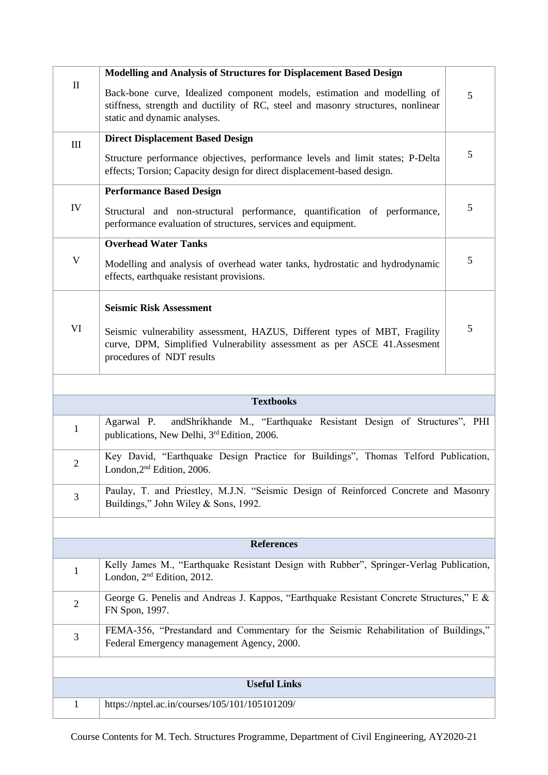|                | Modelling and Analysis of Structures for Displacement Based Design                                                                                                                           |   |
|----------------|----------------------------------------------------------------------------------------------------------------------------------------------------------------------------------------------|---|
| $\mathbf{I}$   | Back-bone curve, Idealized component models, estimation and modelling of<br>stiffness, strength and ductility of RC, steel and masonry structures, nonlinear<br>static and dynamic analyses. | 5 |
| III            | <b>Direct Displacement Based Design</b>                                                                                                                                                      |   |
|                | Structure performance objectives, performance levels and limit states; P-Delta<br>effects; Torsion; Capacity design for direct displacement-based design.                                    | 5 |
|                | <b>Performance Based Design</b>                                                                                                                                                              |   |
| IV             | Structural and non-structural performance, quantification of performance,<br>performance evaluation of structures, services and equipment.                                                   | 5 |
|                | <b>Overhead Water Tanks</b>                                                                                                                                                                  |   |
| $\mathbf V$    | Modelling and analysis of overhead water tanks, hydrostatic and hydrodynamic<br>effects, earthquake resistant provisions.                                                                    | 5 |
|                | <b>Seismic Risk Assessment</b>                                                                                                                                                               |   |
| VI             | Seismic vulnerability assessment, HAZUS, Different types of MBT, Fragility<br>curve, DPM, Simplified Vulnerability assessment as per ASCE 41.Assesment<br>procedures of NDT results          | 5 |
|                |                                                                                                                                                                                              |   |
|                |                                                                                                                                                                                              |   |
|                | <b>Textbooks</b>                                                                                                                                                                             |   |
| $\mathbf{1}$   | andShrikhande M., "Earthquake Resistant Design of Structures", PHI<br>Agarwal P.<br>publications, New Delhi, 3 <sup>rd</sup> Edition, 2006.                                                  |   |
|                |                                                                                                                                                                                              |   |
| $\overline{2}$ | Key David, "Earthquake Design Practice for Buildings", Thomas Telford Publication,<br>London, 2 <sup>nd</sup> Edition, 2006.                                                                 |   |
| 3              | Paulay, T. and Priestley, M.J.N. "Seismic Design of Reinforced Concrete and Masonry<br>Buildings," John Wiley & Sons, 1992.                                                                  |   |
|                |                                                                                                                                                                                              |   |
|                | <b>References</b>                                                                                                                                                                            |   |
| $\mathbf{1}$   | Kelly James M., "Earthquake Resistant Design with Rubber", Springer-Verlag Publication,<br>London, 2 <sup>nd</sup> Edition, 2012.                                                            |   |
| $\mathfrak{2}$ | George G. Penelis and Andreas J. Kappos, "Earthquake Resistant Concrete Structures," E &<br>FN Spon, 1997.                                                                                   |   |
| 3              | FEMA-356, "Prestandard and Commentary for the Seismic Rehabilitation of Buildings,"<br>Federal Emergency management Agency, 2000.                                                            |   |
|                |                                                                                                                                                                                              |   |
|                | <b>Useful Links</b>                                                                                                                                                                          |   |
| $\mathbf{1}$   | https://nptel.ac.in/courses/105/101/105101209/                                                                                                                                               |   |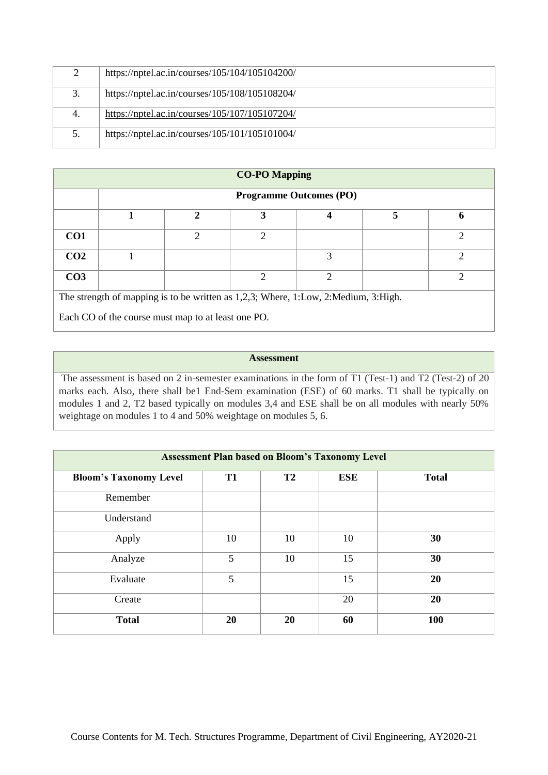| https://nptel.ac.in/courses/105/104/105104200/ |
|------------------------------------------------|
| https://nptel.ac.in/courses/105/108/105108204/ |
| https://nptel.ac.in/courses/105/107/105107204/ |
| https://nptel.ac.in/courses/105/101/105101004/ |

| <b>CO-PO Mapping</b> |                                                                                    |   |   |               |   |   |  |  |  |
|----------------------|------------------------------------------------------------------------------------|---|---|---------------|---|---|--|--|--|
|                      | <b>Programme Outcomes (PO)</b>                                                     |   |   |               |   |   |  |  |  |
|                      |                                                                                    | ∍ |   |               | 5 |   |  |  |  |
| CO <sub>1</sub>      |                                                                                    | ◠ | ↑ |               |   | ◠ |  |  |  |
| CO <sub>2</sub>      |                                                                                    |   |   | 3             |   | ⌒ |  |  |  |
| CO <sub>3</sub>      |                                                                                    |   | ↑ | $\mathcal{D}$ |   | ⌒ |  |  |  |
|                      | The strength of mapping is to be written as 1,2,3; Where, 1:Low, 2:Medium, 3:High. |   |   |               |   |   |  |  |  |

Each CO of the course must map to at least one PO.

# **Assessment**

| <b>Assessment Plan based on Bloom's Taxonomy Level</b> |           |           |            |              |  |
|--------------------------------------------------------|-----------|-----------|------------|--------------|--|
| <b>Bloom's Taxonomy Level</b>                          | <b>T1</b> | <b>T2</b> | <b>ESE</b> | <b>Total</b> |  |
| Remember                                               |           |           |            |              |  |
| Understand                                             |           |           |            |              |  |
| Apply                                                  | 10        | 10        | 10         | 30           |  |
| Analyze                                                | 5         | 10        | 15         | 30           |  |
| Evaluate                                               | 5         |           | 15         | 20           |  |
| Create                                                 |           |           | 20         | 20           |  |
| <b>Total</b>                                           | 20        | 20        | 60         | 100          |  |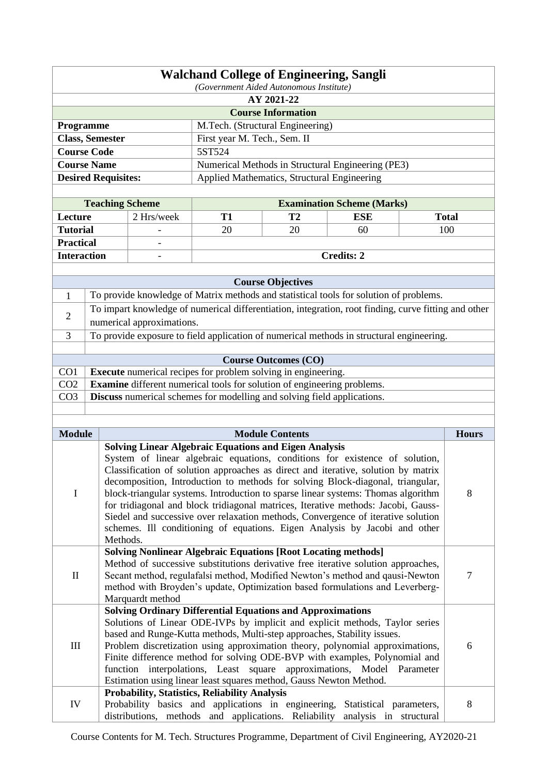| <b>Walchand College of Engineering, Sangli</b>                          |                                             |  |  |  |
|-------------------------------------------------------------------------|---------------------------------------------|--|--|--|
| (Government Aided Autonomous Institute)                                 |                                             |  |  |  |
| AY 2021-22                                                              |                                             |  |  |  |
| <b>Course Information</b>                                               |                                             |  |  |  |
| <b>Programme</b>                                                        | M.Tech. (Structural Engineering)            |  |  |  |
| <b>Class, Semester</b>                                                  | First year M. Tech., Sem. II                |  |  |  |
| <b>Course Code</b>                                                      | 5ST524                                      |  |  |  |
| <b>Course Name</b><br>Numerical Methods in Structural Engineering (PE3) |                                             |  |  |  |
| <b>Desired Requisites:</b>                                              | Applied Mathematics, Structural Engineering |  |  |  |
|                                                                         |                                             |  |  |  |

|                    | <b>Teaching Scheme</b>   |            |    | <b>Examination Scheme (Marks)</b> |              |  |
|--------------------|--------------------------|------------|----|-----------------------------------|--------------|--|
| <b>Lecture</b>     | 2 Hrs/week               | T1         | T2 | ESE                               | <b>Total</b> |  |
| <b>Tutorial</b>    | $\overline{\phantom{a}}$ | 20         | 20 | 60                                | 00           |  |
| <b>Practical</b>   | $\overline{\phantom{a}}$ |            |    |                                   |              |  |
| <b>Interaction</b> | $\overline{\phantom{a}}$ | Credits: 2 |    |                                   |              |  |
|                    |                          |            |    |                                   |              |  |

|                 | <b>Course Objectives</b>                                                                             |
|-----------------|------------------------------------------------------------------------------------------------------|
|                 | To provide knowledge of Matrix methods and statistical tools for solution of problems.               |
|                 | To impart knowledge of numerical differentiation, integration, root finding, curve fitting and other |
| $\overline{2}$  | numerical approximations.                                                                            |
| 3               | To provide exposure to field application of numerical methods in structural engineering.             |
|                 |                                                                                                      |
|                 | <b>Course Outcomes (CO)</b>                                                                          |
| CO <sub>1</sub> | <b>Execute</b> numerical recipes for problem solving in engineering.                                 |
| CO <sub>2</sub> | <b>Examine</b> different numerical tools for solution of engineering problems.                       |
| CO <sub>3</sub> | <b>Discuss</b> numerical schemes for modelling and solving field applications.                       |
|                 |                                                                                                      |
|                 |                                                                                                      |

| <b>Module</b> | <b>Module Contents</b>                                                                                                                                                                                                                                                                                                                                                                                                                                                                                                                                                                                                                                                     | <b>Hours</b> |
|---------------|----------------------------------------------------------------------------------------------------------------------------------------------------------------------------------------------------------------------------------------------------------------------------------------------------------------------------------------------------------------------------------------------------------------------------------------------------------------------------------------------------------------------------------------------------------------------------------------------------------------------------------------------------------------------------|--------------|
| $\mathbf I$   | <b>Solving Linear Algebraic Equations and Eigen Analysis</b><br>System of linear algebraic equations, conditions for existence of solution,<br>Classification of solution approaches as direct and iterative, solution by matrix<br>decomposition, Introduction to methods for solving Block-diagonal, triangular,<br>block-triangular systems. Introduction to sparse linear systems: Thomas algorithm<br>for tridiagonal and block tridiagonal matrices, Iterative methods: Jacobi, Gauss-<br>Siedel and successive over relaxation methods, Convergence of iterative solution<br>schemes. Ill conditioning of equations. Eigen Analysis by Jacobi and other<br>Methods. | 8            |
| $\mathbf{I}$  | <b>Solving Nonlinear Algebraic Equations [Root Locating methods]</b><br>Method of successive substitutions derivative free iterative solution approaches,<br>Secant method, regulafalsi method, Modified Newton's method and qausi-Newton<br>method with Broyden's update, Optimization based formulations and Leverberg-<br>Marquardt method                                                                                                                                                                                                                                                                                                                              | 7            |
| Ш             | <b>Solving Ordinary Differential Equations and Approximations</b><br>Solutions of Linear ODE-IVPs by implicit and explicit methods, Taylor series<br>based and Runge-Kutta methods, Multi-step approaches, Stability issues.<br>Problem discretization using approximation theory, polynomial approximations,<br>Finite difference method for solving ODE-BVP with examples, Polynomial and<br>function interpolations, Least square approximations, Model Parameter<br>Estimation using linear least squares method, Gauss Newton Method.                                                                                                                                 | 6            |
| IV            | <b>Probability, Statistics, Reliability Analysis</b><br>Probability basics and applications in engineering,<br>Statistical parameters,<br>distributions, methods and applications. Reliability<br>analysis in structural                                                                                                                                                                                                                                                                                                                                                                                                                                                   | 8            |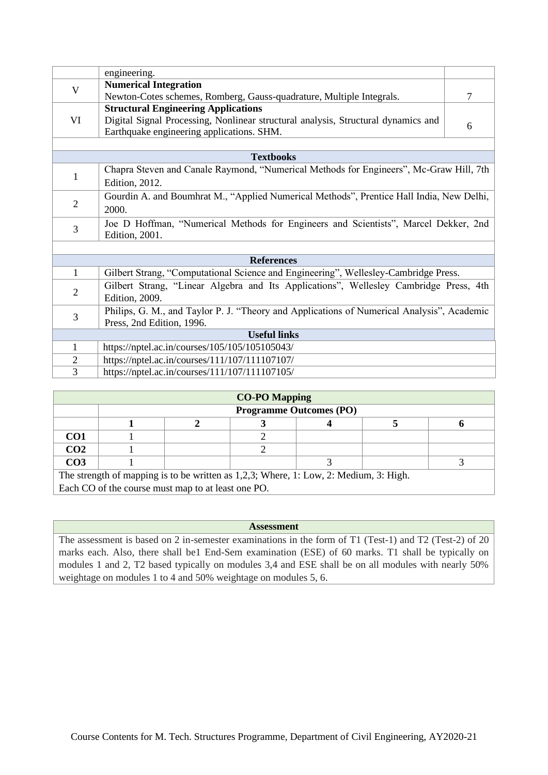|                | engineering.                                                                               |   |  |  |  |
|----------------|--------------------------------------------------------------------------------------------|---|--|--|--|
| $\mathbf V$    | <b>Numerical Integration</b>                                                               |   |  |  |  |
|                | Newton-Cotes schemes, Romberg, Gauss-quadrature, Multiple Integrals.                       | 7 |  |  |  |
|                | <b>Structural Engineering Applications</b>                                                 |   |  |  |  |
| VI             | Digital Signal Processing, Nonlinear structural analysis, Structural dynamics and          | 6 |  |  |  |
|                | Earthquake engineering applications. SHM.                                                  |   |  |  |  |
|                |                                                                                            |   |  |  |  |
|                | <b>Textbooks</b>                                                                           |   |  |  |  |
| $\mathbf{1}$   | Chapra Steven and Canale Raymond, "Numerical Methods for Engineers", Mc-Graw Hill, 7th     |   |  |  |  |
|                | Edition, 2012.                                                                             |   |  |  |  |
|                | Gourdin A. and Boumhrat M., "Applied Numerical Methods", Prentice Hall India, New Delhi,   |   |  |  |  |
|                | $\overline{2}$<br>2000.                                                                    |   |  |  |  |
|                | Joe D Hoffman, "Numerical Methods for Engineers and Scientists", Marcel Dekker, 2nd        |   |  |  |  |
| 3              | Edition, 2001.                                                                             |   |  |  |  |
|                |                                                                                            |   |  |  |  |
|                | <b>References</b>                                                                          |   |  |  |  |
| 1              | Gilbert Strang, "Computational Science and Engineering", Wellesley-Cambridge Press.        |   |  |  |  |
| $\overline{2}$ | Gilbert Strang, "Linear Algebra and Its Applications", Wellesley Cambridge Press, 4th      |   |  |  |  |
|                | Edition, 2009.                                                                             |   |  |  |  |
| 3              | Philips, G. M., and Taylor P. J. "Theory and Applications of Numerical Analysis", Academic |   |  |  |  |
|                | Press, 2nd Edition, 1996.                                                                  |   |  |  |  |
|                | <b>Useful links</b>                                                                        |   |  |  |  |
| $\mathbf{1}$   | https://nptel.ac.in/courses/105/105/105105043/                                             |   |  |  |  |
| $\overline{2}$ | https://nptel.ac.in/courses/111/107/111107107/                                             |   |  |  |  |
| 3              | https://nptel.ac.in/courses/111/107/111107105/                                             |   |  |  |  |

| <b>CO-PO Mapping</b> |                                                                                       |  |  |  |  |  |  |  |
|----------------------|---------------------------------------------------------------------------------------|--|--|--|--|--|--|--|
|                      | <b>Programme Outcomes (PO)</b>                                                        |  |  |  |  |  |  |  |
|                      |                                                                                       |  |  |  |  |  |  |  |
| CO <sub>1</sub>      |                                                                                       |  |  |  |  |  |  |  |
| CO <sub>2</sub>      |                                                                                       |  |  |  |  |  |  |  |
| CO <sub>3</sub>      |                                                                                       |  |  |  |  |  |  |  |
|                      | The strength of mapping is to be written as 1,2,3; Where, 1: Low, 2: Medium, 3: High. |  |  |  |  |  |  |  |

Each CO of the course must map to at least one PO.

## **Assessment**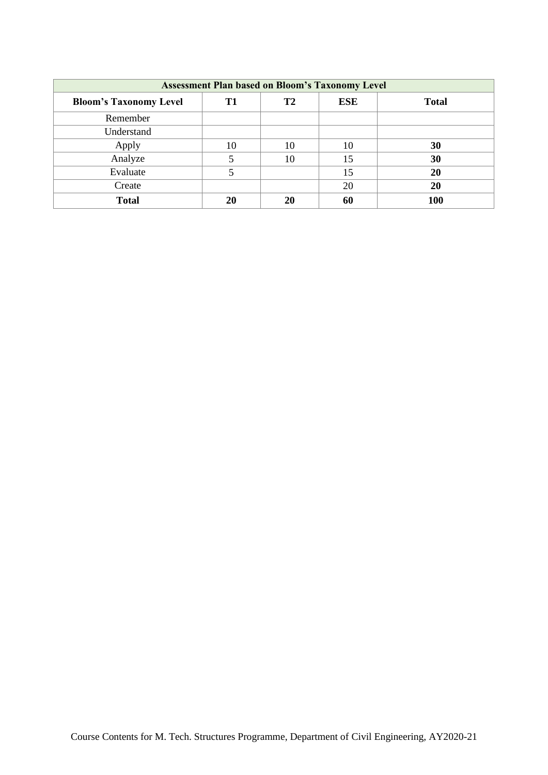| <b>Assessment Plan based on Bloom's Taxonomy Level</b> |    |                |            |              |  |  |
|--------------------------------------------------------|----|----------------|------------|--------------|--|--|
| <b>Bloom's Taxonomy Level</b>                          | T1 | T <sub>2</sub> | <b>ESE</b> | <b>Total</b> |  |  |
| Remember                                               |    |                |            |              |  |  |
| Understand                                             |    |                |            |              |  |  |
| Apply                                                  | 10 | 10             | 10         | 30           |  |  |
| Analyze                                                |    | 10             | 15         | 30           |  |  |
| Evaluate                                               |    |                | 15         | 20           |  |  |
| Create                                                 |    |                | 20         | 20           |  |  |
| <b>Total</b>                                           | 20 | 20             | 60         | 100          |  |  |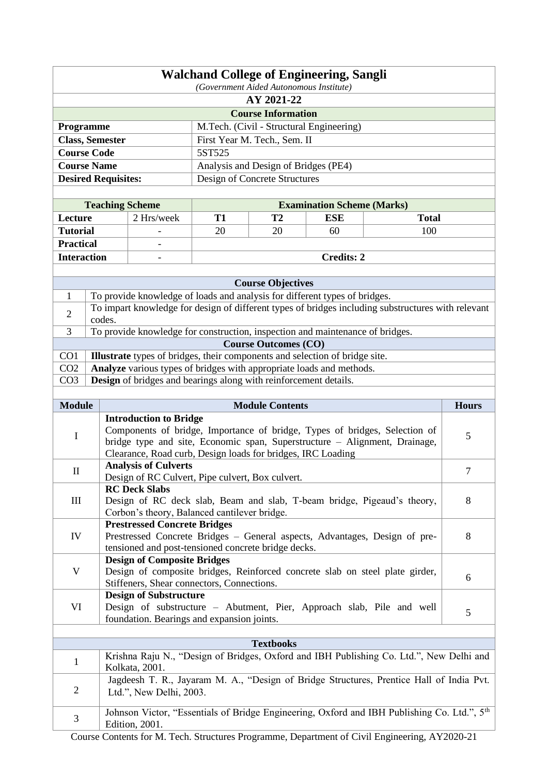|                                                             | <b>Walchand College of Engineering, Sangli</b>        |                                                                               |           |                              |                                   |                                                                                                         |              |
|-------------------------------------------------------------|-------------------------------------------------------|-------------------------------------------------------------------------------|-----------|------------------------------|-----------------------------------|---------------------------------------------------------------------------------------------------------|--------------|
|                                                             | (Government Aided Autonomous Institute)<br>AY 2021-22 |                                                                               |           |                              |                                   |                                                                                                         |              |
|                                                             | <b>Course Information</b>                             |                                                                               |           |                              |                                   |                                                                                                         |              |
|                                                             | M.Tech. (Civil - Structural Engineering)<br>Programme |                                                                               |           |                              |                                   |                                                                                                         |              |
|                                                             |                                                       |                                                                               |           |                              |                                   |                                                                                                         |              |
|                                                             | <b>Class, Semester</b>                                |                                                                               |           | First Year M. Tech., Sem. II |                                   |                                                                                                         |              |
|                                                             | <b>Course Code</b><br>5ST525                          |                                                                               |           |                              |                                   |                                                                                                         |              |
| <b>Course Name</b><br>Analysis and Design of Bridges (PE4)  |                                                       |                                                                               |           |                              |                                   |                                                                                                         |              |
| Design of Concrete Structures<br><b>Desired Requisites:</b> |                                                       |                                                                               |           |                              |                                   |                                                                                                         |              |
|                                                             | <b>Teaching Scheme</b>                                |                                                                               |           |                              | <b>Examination Scheme (Marks)</b> |                                                                                                         |              |
| Lecture                                                     |                                                       | 2 Hrs/week                                                                    | <b>T1</b> | T2                           | <b>ESE</b>                        | <b>Total</b>                                                                                            |              |
| <b>Tutorial</b>                                             |                                                       | $\qquad \qquad -$                                                             | 20        | 20                           | 60                                | 100                                                                                                     |              |
| <b>Practical</b>                                            |                                                       |                                                                               |           |                              |                                   |                                                                                                         |              |
| <b>Interaction</b>                                          |                                                       |                                                                               |           |                              | <b>Credits: 2</b>                 |                                                                                                         |              |
|                                                             |                                                       |                                                                               |           |                              |                                   |                                                                                                         |              |
|                                                             |                                                       |                                                                               |           | <b>Course Objectives</b>     |                                   |                                                                                                         |              |
| $\mathbf{1}$                                                |                                                       | To provide knowledge of loads and analysis for different types of bridges.    |           |                              |                                   |                                                                                                         |              |
|                                                             |                                                       |                                                                               |           |                              |                                   | To impart knowledge for design of different types of bridges including substructures with relevant      |              |
| $\overline{2}$                                              | codes.                                                |                                                                               |           |                              |                                   |                                                                                                         |              |
| 3                                                           |                                                       | To provide knowledge for construction, inspection and maintenance of bridges. |           |                              |                                   |                                                                                                         |              |
|                                                             |                                                       |                                                                               |           | <b>Course Outcomes (CO)</b>  |                                   |                                                                                                         |              |
| CO <sub>1</sub>                                             |                                                       | Illustrate types of bridges, their components and selection of bridge site.   |           |                              |                                   |                                                                                                         |              |
| CO <sub>2</sub>                                             |                                                       | Analyze various types of bridges with appropriate loads and methods.          |           |                              |                                   |                                                                                                         |              |
| CO <sub>3</sub>                                             |                                                       | Design of bridges and bearings along with reinforcement details.              |           |                              |                                   |                                                                                                         |              |
| <b>Module</b>                                               |                                                       |                                                                               |           | <b>Module Contents</b>       |                                   |                                                                                                         | <b>Hours</b> |
|                                                             |                                                       |                                                                               |           |                              |                                   |                                                                                                         |              |
|                                                             | <b>Introduction to Bridge</b>                         |                                                                               |           |                              |                                   |                                                                                                         |              |
|                                                             |                                                       |                                                                               |           |                              |                                   |                                                                                                         |              |
| I                                                           |                                                       |                                                                               |           |                              |                                   | Components of bridge, Importance of bridge, Types of bridges, Selection of                              | 5            |
|                                                             |                                                       | Clearance, Road curb, Design loads for bridges, IRC Loading                   |           |                              |                                   | bridge type and site, Economic span, Superstructure - Alignment, Drainage,                              |              |
|                                                             |                                                       | <b>Analysis of Culverts</b>                                                   |           |                              |                                   |                                                                                                         |              |
| $\mathbf{I}$                                                |                                                       | Design of RC Culvert, Pipe culvert, Box culvert.                              |           |                              |                                   |                                                                                                         | $\tau$       |
|                                                             |                                                       | <b>RC</b> Deck Slabs                                                          |           |                              |                                   |                                                                                                         |              |
| III                                                         |                                                       |                                                                               |           |                              |                                   | Design of RC deck slab, Beam and slab, T-beam bridge, Pigeaud's theory,                                 | 8            |
|                                                             |                                                       | Corbon's theory, Balanced cantilever bridge.                                  |           |                              |                                   |                                                                                                         |              |
|                                                             |                                                       | <b>Prestressed Concrete Bridges</b>                                           |           |                              |                                   |                                                                                                         |              |
| IV                                                          |                                                       |                                                                               |           |                              |                                   | Prestressed Concrete Bridges - General aspects, Advantages, Design of pre-                              | 8            |
|                                                             |                                                       | tensioned and post-tensioned concrete bridge decks.                           |           |                              |                                   |                                                                                                         |              |
| V                                                           |                                                       | <b>Design of Composite Bridges</b>                                            |           |                              |                                   |                                                                                                         |              |
|                                                             |                                                       | Stiffeners, Shear connectors, Connections.                                    |           |                              |                                   | Design of composite bridges, Reinforced concrete slab on steel plate girder,                            | 6            |
|                                                             |                                                       | <b>Design of Substructure</b>                                                 |           |                              |                                   |                                                                                                         |              |
| VI                                                          |                                                       |                                                                               |           |                              |                                   | Design of substructure - Abutment, Pier, Approach slab, Pile and well                                   |              |
|                                                             |                                                       | foundation. Bearings and expansion joints.                                    |           |                              |                                   |                                                                                                         | 5            |
|                                                             |                                                       |                                                                               |           |                              |                                   |                                                                                                         |              |
|                                                             |                                                       |                                                                               |           | <b>Textbooks</b>             |                                   |                                                                                                         |              |
| $\mathbf{1}$                                                |                                                       |                                                                               |           |                              |                                   | Krishna Raju N., "Design of Bridges, Oxford and IBH Publishing Co. Ltd.", New Delhi and                 |              |
|                                                             |                                                       | Kolkata, 2001.                                                                |           |                              |                                   |                                                                                                         |              |
| $\overline{c}$                                              |                                                       | Ltd.", New Delhi, 2003.                                                       |           |                              |                                   | Jagdeesh T. R., Jayaram M. A., "Design of Bridge Structures, Prentice Hall of India Pvt.                |              |
|                                                             |                                                       |                                                                               |           |                              |                                   |                                                                                                         |              |
| 3                                                           |                                                       | Edition, 2001.                                                                |           |                              |                                   | Johnson Victor, "Essentials of Bridge Engineering, Oxford and IBH Publishing Co. Ltd.", 5 <sup>th</sup> |              |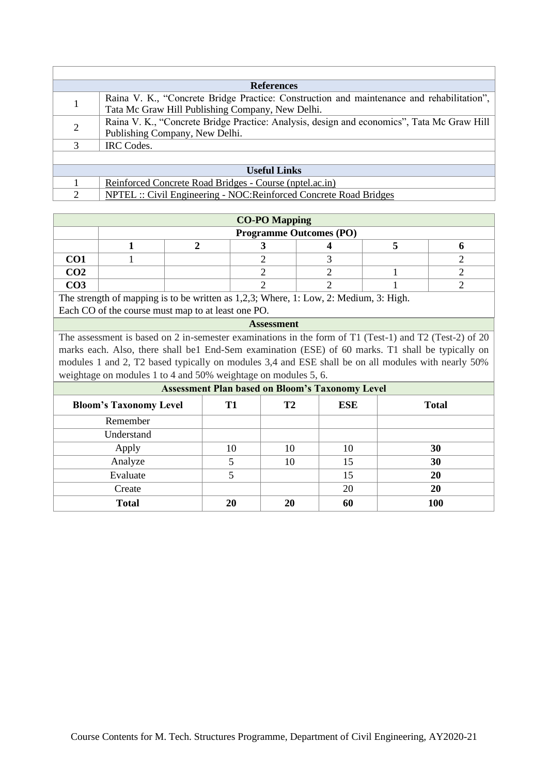|                     | <b>References</b>                                                                                                                             |  |  |  |  |  |
|---------------------|-----------------------------------------------------------------------------------------------------------------------------------------------|--|--|--|--|--|
|                     | Raina V. K., "Concrete Bridge Practice: Construction and maintenance and rehabilitation",<br>Tata Mc Graw Hill Publishing Company, New Delhi. |  |  |  |  |  |
| 2                   | Raina V. K., "Concrete Bridge Practice: Analysis, design and economics", Tata Mc Graw Hill<br>Publishing Company, New Delhi.                  |  |  |  |  |  |
|                     | IRC Codes.                                                                                                                                    |  |  |  |  |  |
|                     |                                                                                                                                               |  |  |  |  |  |
| <b>Useful Links</b> |                                                                                                                                               |  |  |  |  |  |
|                     | Reinforced Concrete Road Bridges - Course (nptel.ac.in)                                                                                       |  |  |  |  |  |
| $\mathcal{L}$       | NPTEL :: Civil Engineering - NOC: Reinforced Concrete Road Bridges                                                                            |  |  |  |  |  |

| <b>CO-PO Mapping</b> |                                |  |  |  |  |  |  |
|----------------------|--------------------------------|--|--|--|--|--|--|
|                      | <b>Programme Outcomes (PO)</b> |  |  |  |  |  |  |
|                      |                                |  |  |  |  |  |  |
| CO1                  |                                |  |  |  |  |  |  |
| CO <sub>2</sub>      |                                |  |  |  |  |  |  |
| CO3                  |                                |  |  |  |  |  |  |

The strength of mapping is to be written as 1,2,3; Where, 1: Low, 2: Medium, 3: High. Each CO of the course must map to at least one PO.

## **Assessment**

| <b>Assessment Plan based on Bloom's Taxonomy Level</b> |    |                |            |              |  |  |
|--------------------------------------------------------|----|----------------|------------|--------------|--|--|
| <b>Bloom's Taxonomy Level</b>                          | T1 | T <sub>2</sub> | <b>ESE</b> | <b>Total</b> |  |  |
| Remember                                               |    |                |            |              |  |  |
| Understand                                             |    |                |            |              |  |  |
| Apply                                                  | 10 | 10             | 10         | 30           |  |  |
| Analyze                                                |    | 10             | 15         | 30           |  |  |
| Evaluate                                               |    |                | 15         | 20           |  |  |
| Create                                                 |    |                | 20         | 20           |  |  |
| <b>Total</b>                                           | 20 | 20             | 60         | 100          |  |  |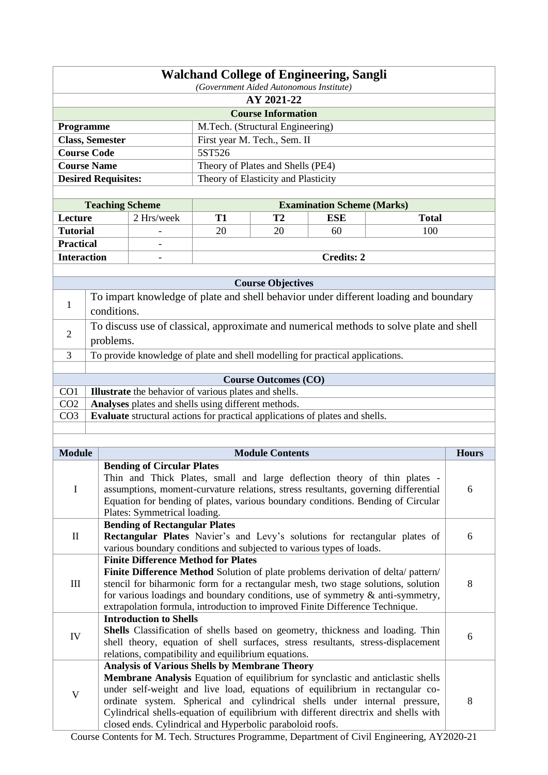|                                                         | <b>Walchand College of Engineering, Sangli</b> |  |  |  |  |
|---------------------------------------------------------|------------------------------------------------|--|--|--|--|
|                                                         | (Government Aided Autonomous Institute)        |  |  |  |  |
| AY 2021-22                                              |                                                |  |  |  |  |
|                                                         | <b>Course Information</b>                      |  |  |  |  |
| <b>Programme</b>                                        | M.Tech. (Structural Engineering)               |  |  |  |  |
| <b>Class, Semester</b>                                  | First year M. Tech., Sem. II                   |  |  |  |  |
| <b>Course Code</b>                                      | 5ST526                                         |  |  |  |  |
| <b>Course Name</b><br>Theory of Plates and Shells (PE4) |                                                |  |  |  |  |
| <b>Desired Requisites:</b>                              | Theory of Elasticity and Plasticity            |  |  |  |  |
|                                                         |                                                |  |  |  |  |

| <b>Teaching Scheme</b> |                          |            |    | <b>Examination Scheme (Marks)</b> |              |  |
|------------------------|--------------------------|------------|----|-----------------------------------|--------------|--|
| Lecture                | 2 Hrs/week               | <b>T1</b>  | T2 | <b>ESE</b>                        | <b>Total</b> |  |
| <b>Tutorial</b>        | $\overline{\phantom{a}}$ | 20         | 20 | 60                                | 100          |  |
| <b>Practical</b>       | $\overline{\phantom{0}}$ |            |    |                                   |              |  |
| <b>Interaction</b>     | $\overline{\phantom{a}}$ | Credits: 2 |    |                                   |              |  |
|                        |                          |            |    |                                   |              |  |

|                 | <b>Course Objectives</b>                                                                |  |  |  |  |  |
|-----------------|-----------------------------------------------------------------------------------------|--|--|--|--|--|
|                 | To impart knowledge of plate and shell behavior under different loading and boundary    |  |  |  |  |  |
| 1               | conditions.                                                                             |  |  |  |  |  |
|                 | To discuss use of classical, approximate and numerical methods to solve plate and shell |  |  |  |  |  |
| 2               | problems.                                                                               |  |  |  |  |  |
| 3               | To provide knowledge of plate and shell modelling for practical applications.           |  |  |  |  |  |
|                 |                                                                                         |  |  |  |  |  |
|                 | <b>Course Outcomes (CO)</b>                                                             |  |  |  |  |  |
| CO <sub>1</sub> | <b>Illustrate</b> the behavior of various plates and shells.                            |  |  |  |  |  |
| CO <sub>2</sub> | Analyses plates and shells using different methods.                                     |  |  |  |  |  |
| CO <sub>3</sub> | <b>Evaluate</b> structural actions for practical applications of plates and shells.     |  |  |  |  |  |
|                 |                                                                                         |  |  |  |  |  |

| <b>Module</b> | <b>Module Contents</b>                                                                                                                                                                                                                                                                                                                                                                                                                                           | <b>Hours</b> |
|---------------|------------------------------------------------------------------------------------------------------------------------------------------------------------------------------------------------------------------------------------------------------------------------------------------------------------------------------------------------------------------------------------------------------------------------------------------------------------------|--------------|
| I             | <b>Bending of Circular Plates</b><br>Thin and Thick Plates, small and large deflection theory of thin plates -<br>assumptions, moment-curvature relations, stress resultants, governing differential<br>Equation for bending of plates, various boundary conditions. Bending of Circular<br>Plates: Symmetrical loading.                                                                                                                                         | 6            |
| $\mathbf{I}$  | <b>Bending of Rectangular Plates</b><br>Rectangular Plates Navier's and Levy's solutions for rectangular plates of<br>various boundary conditions and subjected to various types of loads.                                                                                                                                                                                                                                                                       | 6            |
| Ш             | <b>Finite Difference Method for Plates</b><br><b>Finite Difference Method</b> Solution of plate problems derivation of delta/ pattern/<br>stencil for biharmonic form for a rectangular mesh, two stage solutions, solution<br>for various loadings and boundary conditions, use of symmetry $\&$ anti-symmetry,<br>extrapolation formula, introduction to improved Finite Difference Technique.                                                                 | 8            |
| IV            | <b>Introduction to Shells</b><br><b>Shells</b> Classification of shells based on geometry, thickness and loading. Thin<br>shell theory, equation of shell surfaces, stress resultants, stress-displacement<br>relations, compatibility and equilibrium equations.                                                                                                                                                                                                | 6            |
| V             | <b>Analysis of Various Shells by Membrane Theory</b><br><b>Membrane Analysis</b> Equation of equilibrium for synclastic and anticlastic shells<br>under self-weight and live load, equations of equilibrium in rectangular co-<br>ordinate system. Spherical and cylindrical shells under internal pressure,<br>Cylindrical shells-equation of equilibrium with different directrix and shells with<br>closed ends. Cylindrical and Hyperbolic paraboloid roofs. | 8            |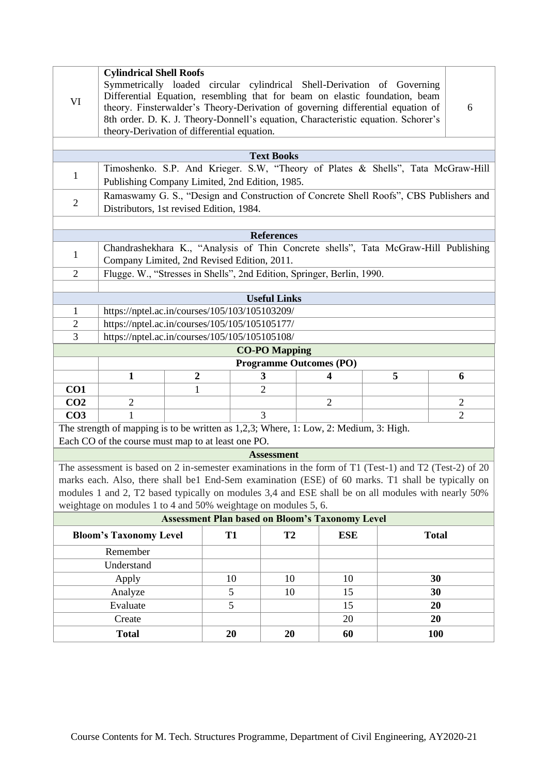| VI                             | <b>Cylindrical Shell Roofs</b><br>Symmetrically loaded circular cylindrical Shell-Derivation of Governing<br>Differential Equation, resembling that for beam on elastic foundation, beam<br>theory. Finsterwalder's Theory-Derivation of governing differential equation of<br>6<br>8th order. D. K. J. Theory-Donnell's equation, Characteristic equation. Schorer's<br>theory-Derivation of differential equation. |                  |           |                                |  |                                                        |   |                |
|--------------------------------|----------------------------------------------------------------------------------------------------------------------------------------------------------------------------------------------------------------------------------------------------------------------------------------------------------------------------------------------------------------------------------------------------------------------|------------------|-----------|--------------------------------|--|--------------------------------------------------------|---|----------------|
|                                |                                                                                                                                                                                                                                                                                                                                                                                                                      |                  |           | <b>Text Books</b>              |  |                                                        |   |                |
| $\mathbf{1}$                   | Timoshenko. S.P. And Krieger. S.W., "Theory of Plates & Shells", Tata McGraw-Hill<br>Publishing Company Limited, 2nd Edition, 1985.                                                                                                                                                                                                                                                                                  |                  |           |                                |  |                                                        |   |                |
| $\mathbf{2}$                   | Ramaswamy G. S., "Design and Construction of Concrete Shell Roofs", CBS Publishers and<br>Distributors, 1st revised Edition, 1984.                                                                                                                                                                                                                                                                                   |                  |           |                                |  |                                                        |   |                |
|                                |                                                                                                                                                                                                                                                                                                                                                                                                                      |                  |           |                                |  |                                                        |   |                |
|                                |                                                                                                                                                                                                                                                                                                                                                                                                                      |                  |           | <b>References</b>              |  |                                                        |   |                |
| $\mathbf{1}$                   | Chandrashekhara K., "Analysis of Thin Concrete shells", Tata McGraw-Hill Publishing<br>Company Limited, 2nd Revised Edition, 2011.                                                                                                                                                                                                                                                                                   |                  |           |                                |  |                                                        |   |                |
| $\mathbf{2}$                   | Flugge. W., "Stresses in Shells", 2nd Edition, Springer, Berlin, 1990.                                                                                                                                                                                                                                                                                                                                               |                  |           |                                |  |                                                        |   |                |
|                                |                                                                                                                                                                                                                                                                                                                                                                                                                      |                  |           |                                |  |                                                        |   |                |
|                                | <b>Useful Links</b><br>https://nptel.ac.in/courses/105/103/105103209/                                                                                                                                                                                                                                                                                                                                                |                  |           |                                |  |                                                        |   |                |
| $\mathbf{1}$<br>$\overline{2}$ | https://nptel.ac.in/courses/105/105/105105177/                                                                                                                                                                                                                                                                                                                                                                       |                  |           |                                |  |                                                        |   |                |
| 3                              | https://nptel.ac.in/courses/105/105/105105108/                                                                                                                                                                                                                                                                                                                                                                       |                  |           |                                |  |                                                        |   |                |
|                                |                                                                                                                                                                                                                                                                                                                                                                                                                      |                  |           | <b>CO-PO Mapping</b>           |  |                                                        |   |                |
|                                |                                                                                                                                                                                                                                                                                                                                                                                                                      |                  |           | <b>Programme Outcomes (PO)</b> |  |                                                        |   |                |
|                                | $\mathbf{1}$                                                                                                                                                                                                                                                                                                                                                                                                         | $\boldsymbol{2}$ |           | 3                              |  | 4                                                      | 5 | 6              |
| CO1                            |                                                                                                                                                                                                                                                                                                                                                                                                                      | $\mathbf{1}$     |           | $\overline{2}$                 |  |                                                        |   |                |
| CO <sub>2</sub>                | $\overline{2}$                                                                                                                                                                                                                                                                                                                                                                                                       |                  |           |                                |  | $\overline{2}$                                         |   | 2              |
| CO <sub>3</sub>                | 1                                                                                                                                                                                                                                                                                                                                                                                                                    |                  |           | 3                              |  |                                                        |   | $\overline{2}$ |
|                                | The strength of mapping is to be written as 1,2,3; Where, 1: Low, 2: Medium, 3: High.                                                                                                                                                                                                                                                                                                                                |                  |           |                                |  |                                                        |   |                |
|                                | Each CO of the course must map to at least one PO.                                                                                                                                                                                                                                                                                                                                                                   |                  |           |                                |  |                                                        |   |                |
|                                |                                                                                                                                                                                                                                                                                                                                                                                                                      |                  |           | <b>Assessment</b>              |  |                                                        |   |                |
|                                | The assessment is based on 2 in-semester examinations in the form of T1 (Test-1) and T2 (Test-2) of 20<br>marks each. Also, there shall be1 End-Sem examination (ESE) of 60 marks. T1 shall be typically on                                                                                                                                                                                                          |                  |           |                                |  |                                                        |   |                |
|                                | modules 1 and 2, T2 based typically on modules 3,4 and ESE shall be on all modules with nearly 50%                                                                                                                                                                                                                                                                                                                   |                  |           |                                |  |                                                        |   |                |
|                                | weightage on modules 1 to 4 and 50% weightage on modules 5, 6.                                                                                                                                                                                                                                                                                                                                                       |                  |           |                                |  |                                                        |   |                |
|                                |                                                                                                                                                                                                                                                                                                                                                                                                                      |                  |           |                                |  | <b>Assessment Plan based on Bloom's Taxonomy Level</b> |   |                |
|                                | <b>Bloom's Taxonomy Level</b>                                                                                                                                                                                                                                                                                                                                                                                        |                  | <b>T1</b> | <b>T2</b>                      |  | <b>ESE</b>                                             |   | <b>Total</b>   |
|                                | Remember                                                                                                                                                                                                                                                                                                                                                                                                             |                  |           |                                |  |                                                        |   |                |
| Understand                     |                                                                                                                                                                                                                                                                                                                                                                                                                      |                  |           |                                |  |                                                        |   |                |
| Apply<br>10<br>10<br>10<br>30  |                                                                                                                                                                                                                                                                                                                                                                                                                      |                  |           |                                |  |                                                        |   |                |
|                                | Analyze                                                                                                                                                                                                                                                                                                                                                                                                              |                  | 5         | 10                             |  | 15                                                     |   | 30             |
|                                | Evaluate                                                                                                                                                                                                                                                                                                                                                                                                             |                  | 5         |                                |  | 15                                                     |   | 20             |
|                                | Create                                                                                                                                                                                                                                                                                                                                                                                                               |                  |           |                                |  | 20                                                     |   | 20             |
| <b>Total</b><br>60<br>20<br>20 |                                                                                                                                                                                                                                                                                                                                                                                                                      |                  |           |                                |  | <b>100</b>                                             |   |                |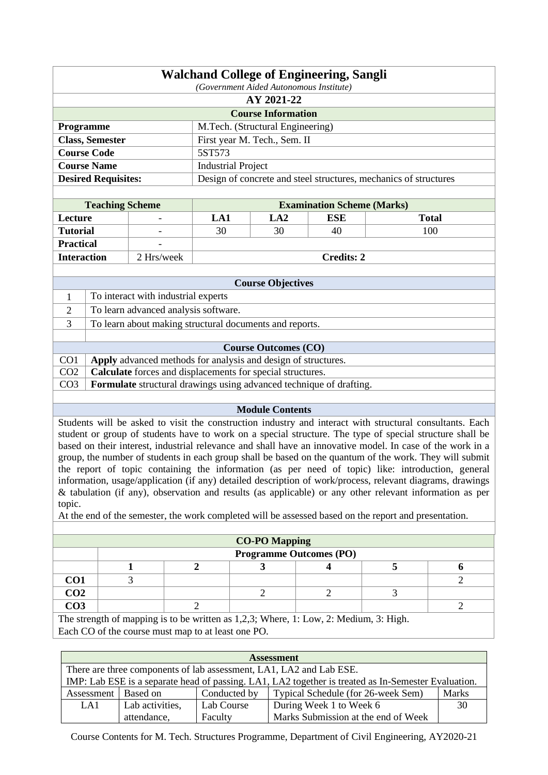| <b>Walchand College of Engineering, Sangli</b>  |                                                                  |  |  |  |
|-------------------------------------------------|------------------------------------------------------------------|--|--|--|
|                                                 | (Government Aided Autonomous Institute)                          |  |  |  |
|                                                 | AY 2021-22                                                       |  |  |  |
| <b>Course Information</b>                       |                                                                  |  |  |  |
| <b>Programme</b>                                | M.Tech. (Structural Engineering)                                 |  |  |  |
| <b>Class, Semester</b>                          | First year M. Tech., Sem. II                                     |  |  |  |
| <b>Course Code</b><br>5ST573                    |                                                                  |  |  |  |
| <b>Course Name</b><br><b>Industrial Project</b> |                                                                  |  |  |  |
| <b>Desired Requisites:</b>                      | Design of concrete and steel structures, mechanics of structures |  |  |  |

| <b>Teaching Scheme</b> |            | <b>Examination Scheme (Marks)</b> |                 |            |       |  |  |
|------------------------|------------|-----------------------------------|-----------------|------------|-------|--|--|
| Lecture                |            | LA1                               | LA <sub>2</sub> | <b>ESE</b> | Total |  |  |
| <b>Tutorial</b>        | -          | 30                                | 30              | 40         | 100   |  |  |
| <b>Practical</b>       |            |                                   |                 |            |       |  |  |
| <b>Interaction</b>     | 2 Hrs/week | <b>Credits: 2</b>                 |                 |            |       |  |  |

|                 | <b>Course Objectives</b>                                                   |  |  |  |  |  |
|-----------------|----------------------------------------------------------------------------|--|--|--|--|--|
|                 | To interact with industrial experts                                        |  |  |  |  |  |
| 2               | To learn advanced analysis software.                                       |  |  |  |  |  |
| 3               | To learn about making structural documents and reports.                    |  |  |  |  |  |
|                 |                                                                            |  |  |  |  |  |
|                 | <b>Course Outcomes (CO)</b>                                                |  |  |  |  |  |
| CO <sub>1</sub> | Apply advanced methods for analysis and design of structures.              |  |  |  |  |  |
| CO <sub>2</sub> | <b>Calculate</b> forces and displacements for special structures.          |  |  |  |  |  |
| CO <sub>3</sub> | <b>Formulate</b> structural drawings using advanced technique of drafting. |  |  |  |  |  |
|                 |                                                                            |  |  |  |  |  |

Students will be asked to visit the construction industry and interact with structural consultants. Each student or group of students have to work on a special structure. The type of special structure shall be based on their interest, industrial relevance and shall have an innovative model. In case of the work in a group, the number of students in each group shall be based on the quantum of the work. They will submit the report of topic containing the information (as per need of topic) like: introduction, general information, usage/application (if any) detailed description of work/process, relevant diagrams, drawings & tabulation (if any), observation and results (as applicable) or any other relevant information as per topic.

At the end of the semester, the work completed will be assessed based on the report and presentation.

| <b>CO-PO Mapping</b> |                                |  |  |  |  |  |  |  |
|----------------------|--------------------------------|--|--|--|--|--|--|--|
|                      | <b>Programme Outcomes (PO)</b> |  |  |  |  |  |  |  |
|                      |                                |  |  |  |  |  |  |  |
| CO <sub>1</sub>      |                                |  |  |  |  |  |  |  |
| CO <sub>2</sub>      |                                |  |  |  |  |  |  |  |
| CO <sub>3</sub>      |                                |  |  |  |  |  |  |  |

The strength of mapping is to be written as 1,2,3; Where, 1: Low, 2: Medium, 3: High. Each CO of the course must map to at least one PO.

| <b>Assessment</b>     |                                                                                                     |              |                                     |              |  |  |
|-----------------------|-----------------------------------------------------------------------------------------------------|--------------|-------------------------------------|--------------|--|--|
|                       | There are three components of lab assessment, LA1, LA2 and Lab ESE.                                 |              |                                     |              |  |  |
|                       | IMP: Lab ESE is a separate head of passing. LA1, LA2 together is treated as In-Semester Evaluation. |              |                                     |              |  |  |
| Assessment   Based on |                                                                                                     | Conducted by | Typical Schedule (for 26-week Sem)  | <b>Marks</b> |  |  |
| LA1                   | Lab activities,                                                                                     | Lab Course   | During Week 1 to Week 6             | 30           |  |  |
|                       | attendance,                                                                                         | Faculty      | Marks Submission at the end of Week |              |  |  |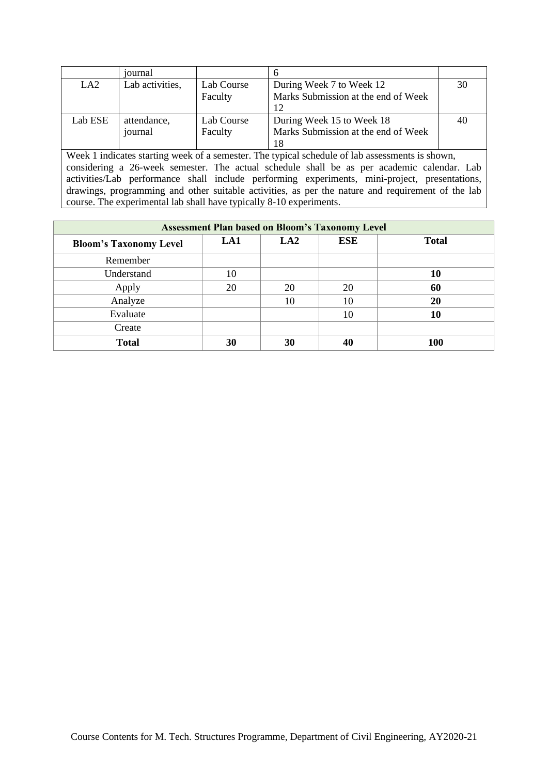|                                                                                               | iournal                                                                                           |            | 6                                                                                               |    |  |  |
|-----------------------------------------------------------------------------------------------|---------------------------------------------------------------------------------------------------|------------|-------------------------------------------------------------------------------------------------|----|--|--|
| LA <sub>2</sub>                                                                               | Lab activities,                                                                                   | Lab Course | During Week 7 to Week 12                                                                        | 30 |  |  |
|                                                                                               |                                                                                                   | Faculty    | Marks Submission at the end of Week                                                             |    |  |  |
|                                                                                               |                                                                                                   |            | 12                                                                                              |    |  |  |
| Lab ESE                                                                                       | attendance,                                                                                       | Lab Course | During Week 15 to Week 18                                                                       | 40 |  |  |
|                                                                                               | journal                                                                                           | Faculty    | Marks Submission at the end of Week                                                             |    |  |  |
|                                                                                               |                                                                                                   |            | 18                                                                                              |    |  |  |
|                                                                                               |                                                                                                   |            | Week 1 indicates starting week of a semester. The typical schedule of lab assessments is shown, |    |  |  |
|                                                                                               |                                                                                                   |            | considering a 26-week semester. The actual schedule shall be as per academic calendar. Lab      |    |  |  |
| activities/Lab performance shall include performing experiments, mini-project, presentations, |                                                                                                   |            |                                                                                                 |    |  |  |
|                                                                                               | drawings, programming and other suitable activities, as per the nature and requirement of the lab |            |                                                                                                 |    |  |  |
|                                                                                               | course. The experimental lab shall have typically 8-10 experiments.                               |            |                                                                                                 |    |  |  |

| <b>Assessment Plan based on Bloom's Taxonomy Level</b> |     |     |            |              |  |  |
|--------------------------------------------------------|-----|-----|------------|--------------|--|--|
| <b>Bloom's Taxonomy Level</b>                          | LA1 | LA2 | <b>ESE</b> | <b>Total</b> |  |  |
| Remember                                               |     |     |            |              |  |  |
| Understand                                             | 10  |     |            | <b>10</b>    |  |  |
| Apply                                                  | 20  | 20  | 20         | 60           |  |  |
| Analyze                                                |     | 10  | 10         | 20           |  |  |
| Evaluate                                               |     |     | 10         | 10           |  |  |
| Create                                                 |     |     |            |              |  |  |
| <b>Total</b>                                           | 30  | 30  | 40         | <b>100</b>   |  |  |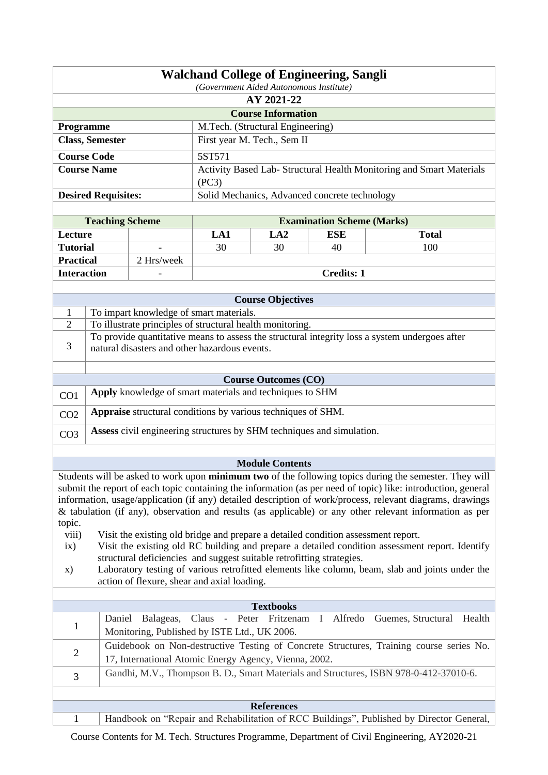|                                                                             | <b>Walchand College of Engineering, Sangli</b>                      |  |  |  |  |  |
|-----------------------------------------------------------------------------|---------------------------------------------------------------------|--|--|--|--|--|
|                                                                             | (Government Aided Autonomous Institute)                             |  |  |  |  |  |
| AY 2021-22                                                                  |                                                                     |  |  |  |  |  |
| <b>Course Information</b>                                                   |                                                                     |  |  |  |  |  |
| <b>Programme</b>                                                            | M.Tech. (Structural Engineering)                                    |  |  |  |  |  |
| <b>Class, Semester</b>                                                      | First year M. Tech., Sem II                                         |  |  |  |  |  |
| <b>Course Code</b>                                                          | 5ST571                                                              |  |  |  |  |  |
| <b>Course Name</b>                                                          | Activity Based Lab-Structural Health Monitoring and Smart Materials |  |  |  |  |  |
|                                                                             | (PC3)                                                               |  |  |  |  |  |
| Solid Mechanics, Advanced concrete technology<br><b>Desired Requisites:</b> |                                                                     |  |  |  |  |  |
|                                                                             |                                                                     |  |  |  |  |  |

| <b>Teaching Scheme</b> |            |                   |     | <b>Examination Scheme (Marks)</b> |              |
|------------------------|------------|-------------------|-----|-----------------------------------|--------------|
| <b>Lecture</b>         |            | LA1               | LA2 | ESE                               | <b>Total</b> |
| <b>Tutorial</b>        | -          | 30                | 30  | 40                                | 100          |
| <b>Practical</b>       | 2 Hrs/week |                   |     |                                   |              |
| <b>Interaction</b>     |            | <b>Credits: 1</b> |     |                                   |              |

|                 | <b>Course Objectives</b>                                                                                                                        |  |  |  |  |  |
|-----------------|-------------------------------------------------------------------------------------------------------------------------------------------------|--|--|--|--|--|
|                 | To impart knowledge of smart materials.                                                                                                         |  |  |  |  |  |
| 2               | To illustrate principles of structural health monitoring.                                                                                       |  |  |  |  |  |
| 3               | To provide quantitative means to assess the structural integrity loss a system undergoes after<br>natural disasters and other hazardous events. |  |  |  |  |  |
|                 |                                                                                                                                                 |  |  |  |  |  |
|                 | <b>Course Outcomes (CO)</b>                                                                                                                     |  |  |  |  |  |
| CO <sub>1</sub> | Apply knowledge of smart materials and techniques to SHM                                                                                        |  |  |  |  |  |

| $CO2$ <b>Appraise</b> structural conditions by various techniques of SHM. |
|---------------------------------------------------------------------------|
|                                                                           |

| $CO3$ Assess civil engineering structures by SHM techniques and simulation. |
|-----------------------------------------------------------------------------|

Students will be asked to work upon **minimum two** of the following topics during the semester. They will submit the report of each topic containing the information (as per need of topic) like: introduction, general information, usage/application (if any) detailed description of work/process, relevant diagrams, drawings & tabulation (if any), observation and results (as applicable) or any other relevant information as per topic.

- viii) Visit the existing old bridge and prepare a detailed condition assessment report.
- ix) Visit the existing old RC building and prepare a detailed condition assessment report. Identify structural deficiencies and suggest suitable retrofitting strategies.
- x) Laboratory testing of various retrofitted elements like column, beam, slab and joints under the action of flexure, shear and axial loading.

| <b>Textbooks</b>  |                                                                                          |  |  |  |  |  |  |
|-------------------|------------------------------------------------------------------------------------------|--|--|--|--|--|--|
|                   | Daniel Balageas, Claus - Peter Fritzenam I Alfredo Guemes, Structural Health             |  |  |  |  |  |  |
|                   | Monitoring, Published by ISTE Ltd., UK 2006.                                             |  |  |  |  |  |  |
|                   | Guidebook on Non-destructive Testing of Concrete Structures, Training course series No.  |  |  |  |  |  |  |
| 2                 | 17, International Atomic Energy Agency, Vienna, 2002.                                    |  |  |  |  |  |  |
| 3                 | Gandhi, M.V., Thompson B. D., Smart Materials and Structures, ISBN 978-0-412-37010-6.    |  |  |  |  |  |  |
|                   |                                                                                          |  |  |  |  |  |  |
| <b>References</b> |                                                                                          |  |  |  |  |  |  |
|                   | Handbook on "Repair and Rehabilitation of RCC Buildings", Published by Director General, |  |  |  |  |  |  |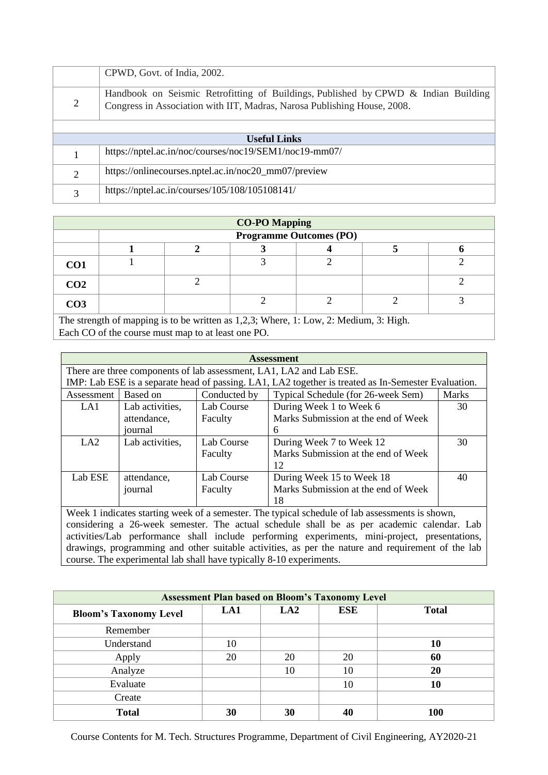|   | CPWD, Govt. of India, 2002.                                                                                                                                    |
|---|----------------------------------------------------------------------------------------------------------------------------------------------------------------|
| 2 | Handbook on Seismic Retrofitting of Buildings, Published by CPWD & Indian Building<br>Congress in Association with IIT, Madras, Narosa Publishing House, 2008. |
|   |                                                                                                                                                                |
|   | <b>Useful Links</b>                                                                                                                                            |
|   | https://nptel.ac.in/noc/courses/noc19/SEM1/noc19-mm07/                                                                                                         |
| 2 | https://onlinecourses.nptel.ac.in/noc20_mm07/preview                                                                                                           |
| 3 | https://nptel.ac.in/courses/105/108/105108141/                                                                                                                 |

| <b>CO-PO Mapping</b> |                                |  |  |  |  |  |  |  |  |
|----------------------|--------------------------------|--|--|--|--|--|--|--|--|
|                      | <b>Programme Outcomes (PO)</b> |  |  |  |  |  |  |  |  |
|                      |                                |  |  |  |  |  |  |  |  |
| CO <sub>1</sub>      |                                |  |  |  |  |  |  |  |  |
| CO <sub>2</sub>      |                                |  |  |  |  |  |  |  |  |
| CO <sub>3</sub>      |                                |  |  |  |  |  |  |  |  |

The strength of mapping is to be written as 1,2,3; Where, 1: Low, 2: Medium, 3: High. Each CO of the course must map to at least one PO.

| <b>Assessment</b>                                                                               |                 |              |                                                                                                     |              |  |
|-------------------------------------------------------------------------------------------------|-----------------|--------------|-----------------------------------------------------------------------------------------------------|--------------|--|
|                                                                                                 |                 |              | There are three components of lab assessment, LA1, LA2 and Lab ESE.                                 |              |  |
|                                                                                                 |                 |              | IMP: Lab ESE is a separate head of passing. LA1, LA2 together is treated as In-Semester Evaluation. |              |  |
| Assessment                                                                                      | Based on        | Conducted by | Typical Schedule (for 26-week Sem)                                                                  | <b>Marks</b> |  |
| LA1                                                                                             | Lab activities, | Lab Course   | During Week 1 to Week 6                                                                             | 30           |  |
|                                                                                                 | attendance,     | Faculty      | Marks Submission at the end of Week                                                                 |              |  |
|                                                                                                 | journal         |              | 6                                                                                                   |              |  |
| LA2                                                                                             | Lab activities, | Lab Course   | During Week 7 to Week 12                                                                            | 30           |  |
|                                                                                                 |                 | Faculty      | Marks Submission at the end of Week                                                                 |              |  |
|                                                                                                 |                 |              | 12                                                                                                  |              |  |
| Lab ESE                                                                                         | attendance,     | Lab Course   | During Week 15 to Week 18                                                                           | 40           |  |
|                                                                                                 | journal         | Faculty      | Marks Submission at the end of Week                                                                 |              |  |
|                                                                                                 |                 |              | 18                                                                                                  |              |  |
| Week 1 indicates starting week of a semester. The typical schedule of lab assessments is shown, |                 |              |                                                                                                     |              |  |
| considering a 26-week semester. The actual schedule shall be as per academic calendar. Lab      |                 |              |                                                                                                     |              |  |

activities/Lab performance shall include performing experiments, mini-project, presentations, drawings, programming and other suitable activities, as per the nature and requirement of the lab course. The experimental lab shall have typically 8-10 experiments.

| <b>Assessment Plan based on Bloom's Taxonomy Level</b> |     |     |            |              |  |  |
|--------------------------------------------------------|-----|-----|------------|--------------|--|--|
| <b>Bloom's Taxonomy Level</b>                          | LA1 | LA2 | <b>ESE</b> | <b>Total</b> |  |  |
| Remember                                               |     |     |            |              |  |  |
| Understand                                             | 10  |     |            | 10           |  |  |
| Apply                                                  | 20  | 20  | 20         | 60           |  |  |
| Analyze                                                |     | 10  | 10         | <b>20</b>    |  |  |
| Evaluate                                               |     |     | 10         | 10           |  |  |
| Create                                                 |     |     |            |              |  |  |
| <b>Total</b>                                           | 30  | 30  | 40         | <b>100</b>   |  |  |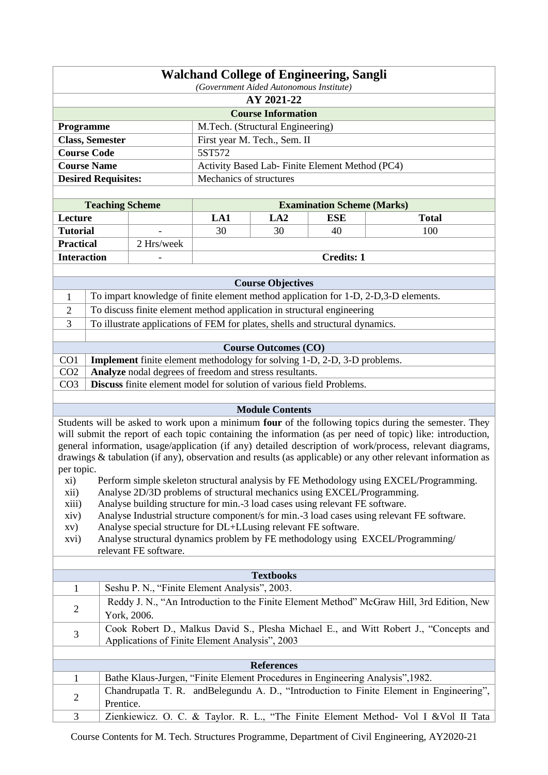| <b>Walchand College of Engineering, Sangli</b>                       |                                  |  |  |  |  |
|----------------------------------------------------------------------|----------------------------------|--|--|--|--|
| (Government Aided Autonomous Institute)                              |                                  |  |  |  |  |
| AY 2021-22                                                           |                                  |  |  |  |  |
| <b>Course Information</b>                                            |                                  |  |  |  |  |
| <b>Programme</b>                                                     | M.Tech. (Structural Engineering) |  |  |  |  |
| <b>Class, Semester</b><br>First year M. Tech., Sem. II               |                                  |  |  |  |  |
| <b>Course Code</b><br>5ST572                                         |                                  |  |  |  |  |
| <b>Course Name</b><br>Activity Based Lab-Finite Element Method (PC4) |                                  |  |  |  |  |
| <b>Desired Requisites:</b><br>Mechanics of structures                |                                  |  |  |  |  |

| <b>Teaching Scheme</b> |            |                   |     | <b>Examination Scheme (Marks)</b> |       |
|------------------------|------------|-------------------|-----|-----------------------------------|-------|
| Lecture                |            | LA1               | LA2 | ESE                               | Total |
| <b>Tutorial</b>        | -          | 30                | 30  | 40                                | 100   |
| <b>Practical</b>       | 2 Hrs/week |                   |     |                                   |       |
| <b>Interaction</b>     | -          | <b>Credits: 1</b> |     |                                   |       |

|                 | <b>Course Objectives</b>                                                             |  |  |  |  |
|-----------------|--------------------------------------------------------------------------------------|--|--|--|--|
|                 | To impart knowledge of finite element method application for 1-D, 2-D, 3-D elements. |  |  |  |  |
| $\overline{2}$  | To discuss finite element method application in structural engineering               |  |  |  |  |
| 3               | To illustrate applications of FEM for plates, shells and structural dynamics.        |  |  |  |  |
|                 |                                                                                      |  |  |  |  |
|                 | <b>Course Outcomes (CO)</b>                                                          |  |  |  |  |
| CO <sub>1</sub> | <b>Implement</b> finite element methodology for solving 1-D, 2-D, 3-D problems.      |  |  |  |  |
| CO <sub>2</sub> | <b>Analyze</b> nodal degrees of freedom and stress resultants.                       |  |  |  |  |
| CO <sub>3</sub> | <b>Discuss</b> finite element model for solution of various field Problems.          |  |  |  |  |
|                 |                                                                                      |  |  |  |  |

Students will be asked to work upon a minimum **four** of the following topics during the semester. They will submit the report of each topic containing the information (as per need of topic) like: introduction, general information, usage/application (if any) detailed description of work/process, relevant diagrams, drawings & tabulation (if any), observation and results (as applicable) or any other relevant information as per topic.

- xi) Perform simple skeleton structural analysis by FE Methodology using EXCEL/Programming.
- xii) Analyse 2D/3D problems of structural mechanics using EXCEL/Programming.
- xiii) Analyse building structure for min.-3 load cases using relevant FE software.
- xiv) Analyse Industrial structure component/s for min.-3 load cases using relevant FE software.
- xv) Analyse special structure for DL+LLusing relevant FE software.
- xvi) Analyse structural dynamics problem by FE methodology using EXCEL/Programming/ relevant FE software.

| <b>Textbooks</b> |                                                                                           |  |  |  |  |
|------------------|-------------------------------------------------------------------------------------------|--|--|--|--|
|                  | Seshu P. N., "Finite Element Analysis", 2003.                                             |  |  |  |  |
|                  | Reddy J. N., "An Introduction to the Finite Element Method" McGraw Hill, 3rd Edition, New |  |  |  |  |
| 2                | York, 2006.                                                                               |  |  |  |  |
| 3                | Cook Robert D., Malkus David S., Plesha Michael E., and Witt Robert J., "Concepts and     |  |  |  |  |
|                  | Applications of Finite Element Analysis", 2003                                            |  |  |  |  |
|                  |                                                                                           |  |  |  |  |
|                  | <b>References</b>                                                                         |  |  |  |  |
| $\mathbf{1}$     | Bathe Klaus-Jurgen, "Finite Element Procedures in Engineering Analysis", 1982.            |  |  |  |  |
| 2                | Chandrupatla T. R. and Belegundu A. D., "Introduction to Finite Element in Engineering",  |  |  |  |  |
|                  | Prentice.                                                                                 |  |  |  |  |
| 3                | Zienkiewicz. O. C. & Taylor. R. L., "The Finite Element Method- Vol I & Vol II Tata       |  |  |  |  |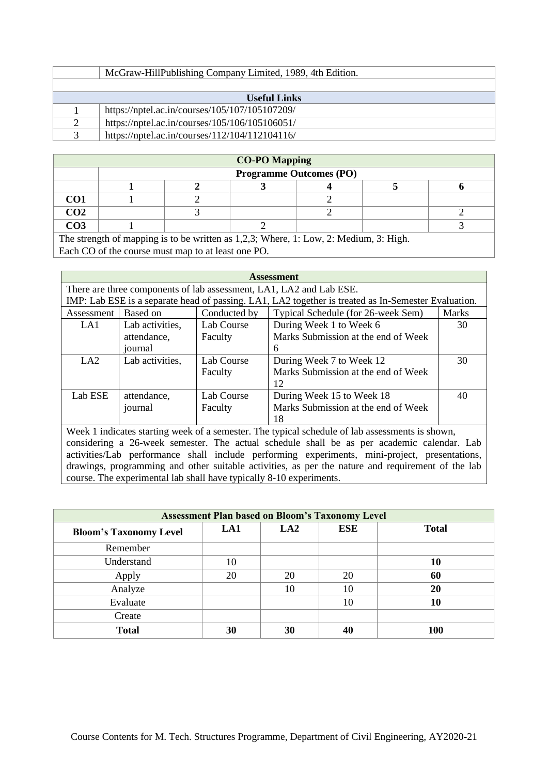| McGraw-HillPublishing Company Limited, 1989, 4th Edition. |  |  |  |  |
|-----------------------------------------------------------|--|--|--|--|
|                                                           |  |  |  |  |
| <b>Useful Links</b>                                       |  |  |  |  |
| https://nptel.ac.in/courses/105/107/105107209/            |  |  |  |  |
| https://nptel.ac.in/courses/105/106/105106051/            |  |  |  |  |
| https://nptel.ac.in/courses/112/104/112104116/            |  |  |  |  |

| <b>CO-PO Mapping</b> |                                |  |  |  |  |  |  |  |
|----------------------|--------------------------------|--|--|--|--|--|--|--|
|                      | <b>Programme Outcomes (PO)</b> |  |  |  |  |  |  |  |
|                      |                                |  |  |  |  |  |  |  |
| CO1                  |                                |  |  |  |  |  |  |  |
| CO <sub>2</sub>      |                                |  |  |  |  |  |  |  |
| CO3                  |                                |  |  |  |  |  |  |  |

The strength of mapping is to be written as 1,2,3; Where, 1: Low, 2: Medium, 3: High. Each CO of the course must map to at least one PO.

| <b>Assessment</b>                                                |                                                                     |              |                                                                                                     |              |  |  |  |  |
|------------------------------------------------------------------|---------------------------------------------------------------------|--------------|-----------------------------------------------------------------------------------------------------|--------------|--|--|--|--|
|                                                                  | There are three components of lab assessment, LA1, LA2 and Lab ESE. |              |                                                                                                     |              |  |  |  |  |
|                                                                  |                                                                     |              | IMP: Lab ESE is a separate head of passing. LA1, LA2 together is treated as In-Semester Evaluation. |              |  |  |  |  |
| Assessment                                                       | Based on                                                            | Conducted by | Typical Schedule (for 26-week Sem)                                                                  | <b>Marks</b> |  |  |  |  |
| LA1                                                              | Lab activities,                                                     | Lab Course   | During Week 1 to Week 6                                                                             | 30           |  |  |  |  |
|                                                                  | attendance,                                                         | Faculty      | Marks Submission at the end of Week                                                                 |              |  |  |  |  |
|                                                                  | iournal                                                             |              | 6                                                                                                   |              |  |  |  |  |
| Lab activities,<br>LA2<br>Lab Course<br>During Week 7 to Week 12 |                                                                     |              |                                                                                                     | 30           |  |  |  |  |
|                                                                  |                                                                     | Faculty      | Marks Submission at the end of Week                                                                 |              |  |  |  |  |
|                                                                  |                                                                     |              | 12                                                                                                  |              |  |  |  |  |
| Lab ESE                                                          | attendance.                                                         | Lab Course   | During Week 15 to Week 18                                                                           | 40           |  |  |  |  |
|                                                                  | journal                                                             | Faculty      | Marks Submission at the end of Week                                                                 |              |  |  |  |  |
|                                                                  | 18                                                                  |              |                                                                                                     |              |  |  |  |  |
|                                                                  |                                                                     |              | Week 1 indicates starting week of a semester. The typical schedule of lab assessments is shown,     |              |  |  |  |  |

considering a 26-week semester. The actual schedule shall be as per academic calendar. Lab activities/Lab performance shall include performing experiments, mini-project, presentations, drawings, programming and other suitable activities, as per the nature and requirement of the lab course. The experimental lab shall have typically 8-10 experiments.

| <b>Assessment Plan based on Bloom's Taxonomy Level</b> |     |     |            |              |  |
|--------------------------------------------------------|-----|-----|------------|--------------|--|
| <b>Bloom's Taxonomy Level</b>                          | LA1 | LA2 | <b>ESE</b> | <b>Total</b> |  |
| Remember                                               |     |     |            |              |  |
| Understand                                             | 10  |     |            | 10           |  |
| Apply                                                  | 20  | 20  | 20         | 60           |  |
| Analyze                                                |     | 10  | 10         | 20           |  |
| Evaluate                                               |     |     | 10         | 10           |  |
| Create                                                 |     |     |            |              |  |
| <b>Total</b>                                           | 30  | 30  | 40         | 100          |  |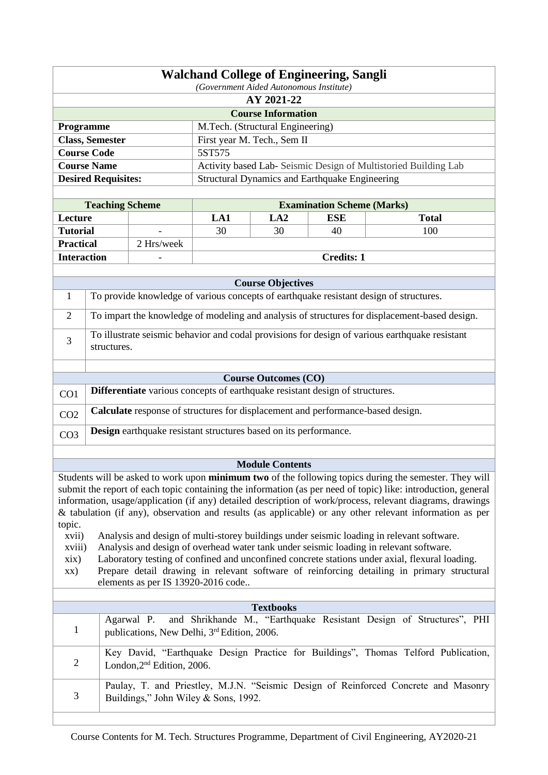| <b>Walchand College of Engineering, Sangli</b>                                        |                                         |  |  |  |  |
|---------------------------------------------------------------------------------------|-----------------------------------------|--|--|--|--|
|                                                                                       | (Government Aided Autonomous Institute) |  |  |  |  |
|                                                                                       | AY 2021-22                              |  |  |  |  |
|                                                                                       | <b>Course Information</b>               |  |  |  |  |
| <b>Programme</b>                                                                      | M.Tech. (Structural Engineering)        |  |  |  |  |
| <b>Class, Semester</b>                                                                | First year M. Tech., Sem II             |  |  |  |  |
| <b>Course Code</b>                                                                    | 5ST575                                  |  |  |  |  |
| <b>Course Name</b><br>Activity based Lab- Seismic Design of Multistoried Building Lab |                                         |  |  |  |  |
| Structural Dynamics and Earthquake Engineering<br><b>Desired Requisites:</b>          |                                         |  |  |  |  |
|                                                                                       |                                         |  |  |  |  |

| <b>Teaching Scheme</b> |            |                   |     | <b>Examination Scheme (Marks)</b> |       |
|------------------------|------------|-------------------|-----|-----------------------------------|-------|
| <b>Lecture</b>         |            | LA1               | LA2 | ESE                               | Total |
| <b>Tutorial</b>        | -          | 30                | 30  | 40                                | 100   |
| <b>Practical</b>       | 2 Hrs/week |                   |     |                                   |       |
| <b>Interaction</b>     | -          | <b>Credits: 1</b> |     |                                   |       |

|                 | <b>Course Objectives</b>                                                                                      |
|-----------------|---------------------------------------------------------------------------------------------------------------|
| 1               | To provide knowledge of various concepts of earthquake resistant design of structures.                        |
| 2               | To impart the knowledge of modeling and analysis of structures for displacement-based design.                 |
| 3               | To illustrate seismic behavior and codal provisions for design of various earthquake resistant<br>structures. |
|                 |                                                                                                               |
|                 | <b>Course Outcomes (CO)</b>                                                                                   |
| CO <sub>1</sub> | <b>Differentiate</b> various concepts of earthquake resistant design of structures.                           |
| CO <sub>2</sub> | <b>Calculate</b> response of structures for displacement and performance-based design.                        |
| CO <sub>3</sub> | <b>Design</b> earthquake resistant structures based on its performance.                                       |

Students will be asked to work upon **minimum two** of the following topics during the semester. They will submit the report of each topic containing the information (as per need of topic) like: introduction, general information, usage/application (if any) detailed description of work/process, relevant diagrams, drawings & tabulation (if any), observation and results (as applicable) or any other relevant information as per topic.

- xvii) Analysis and design of multi-storey buildings under seismic loading in relevant software.
- xviii) Analysis and design of overhead water tank under seismic loading in relevant software.
- xix) Laboratory testing of confined and unconfined concrete stations under axial, flexural loading.
- xx) Prepare detail drawing in relevant software of reinforcing detailing in primary structural elements as per IS 13920-2016 code..

|   | <b>Textbooks</b>                                                                                                                          |  |  |  |  |  |  |
|---|-------------------------------------------------------------------------------------------------------------------------------------------|--|--|--|--|--|--|
|   | Agarwal P. and Shrikhande M., "Earthquake Resistant Design of Structures", PHI<br>publications, New Delhi, 3 <sup>rd</sup> Edition, 2006. |  |  |  |  |  |  |
| 2 | Key David, "Earthquake Design Practice for Buildings", Thomas Telford Publication,<br>London, $2nd$ Edition, 2006.                        |  |  |  |  |  |  |
| 3 | Paulay, T. and Priestley, M.J.N. "Seismic Design of Reinforced Concrete and Masonry<br>Buildings," John Wiley & Sons, 1992.               |  |  |  |  |  |  |
|   |                                                                                                                                           |  |  |  |  |  |  |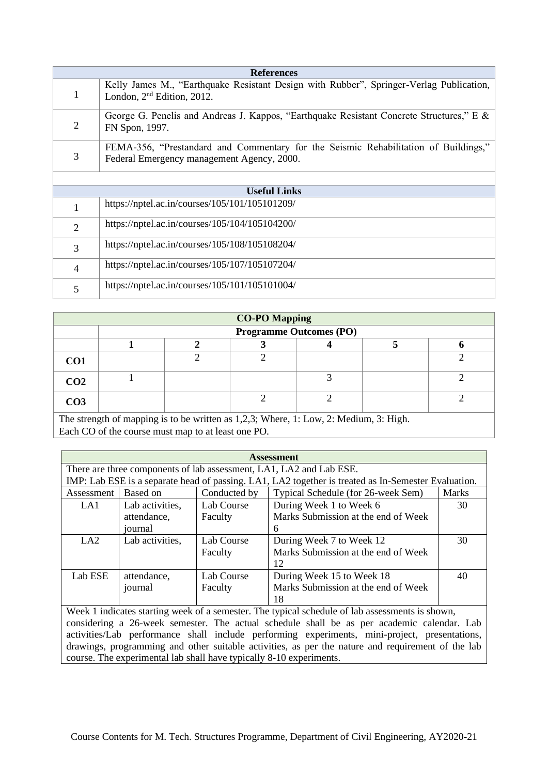|                | <b>References</b>                                                                                                                 |  |  |  |  |
|----------------|-----------------------------------------------------------------------------------------------------------------------------------|--|--|--|--|
| 1              | Kelly James M., "Earthquake Resistant Design with Rubber", Springer-Verlag Publication,<br>London, $2nd$ Edition, 2012.           |  |  |  |  |
| 2              | George G. Penelis and Andreas J. Kappos, "Earthquake Resistant Concrete Structures," E &<br>FN Spon, 1997.                        |  |  |  |  |
| 3              | FEMA-356, "Prestandard and Commentary for the Seismic Rehabilitation of Buildings,"<br>Federal Emergency management Agency, 2000. |  |  |  |  |
|                |                                                                                                                                   |  |  |  |  |
|                | <b>Useful Links</b>                                                                                                               |  |  |  |  |
|                | https://nptel.ac.in/courses/105/101/105101209/                                                                                    |  |  |  |  |
| $\overline{2}$ | https://nptel.ac.in/courses/105/104/105104200/                                                                                    |  |  |  |  |
| 3              | https://nptel.ac.in/courses/105/108/105108204/                                                                                    |  |  |  |  |
| $\overline{4}$ | https://nptel.ac.in/courses/105/107/105107204/                                                                                    |  |  |  |  |
| 5              | https://nptel.ac.in/courses/105/101/105101004/                                                                                    |  |  |  |  |

| <b>CO-PO Mapping</b> |                                                                                           |                                |  |  |  |  |  |  |  |  |
|----------------------|-------------------------------------------------------------------------------------------|--------------------------------|--|--|--|--|--|--|--|--|
|                      |                                                                                           | <b>Programme Outcomes (PO)</b> |  |  |  |  |  |  |  |  |
|                      |                                                                                           |                                |  |  |  |  |  |  |  |  |
| CO <sub>1</sub>      |                                                                                           |                                |  |  |  |  |  |  |  |  |
| CO <sub>2</sub>      |                                                                                           |                                |  |  |  |  |  |  |  |  |
| CO <sub>3</sub>      |                                                                                           |                                |  |  |  |  |  |  |  |  |
|                      | The strength of manning is to be written as $1.23$ Where $1.1$ ever $2.$ Medium $3.$ High |                                |  |  |  |  |  |  |  |  |

The strength of mapping is to be written as 1,2,3; Where, 1: Low, 2: Medium, 3: High. Each CO of the course must map to at least one PO.

|                 |                 |              | <b>Assessment</b>                                                                                                                                                                                                  |              |
|-----------------|-----------------|--------------|--------------------------------------------------------------------------------------------------------------------------------------------------------------------------------------------------------------------|--------------|
|                 |                 |              | There are three components of lab assessment, LA1, LA2 and Lab ESE.                                                                                                                                                |              |
|                 |                 |              | IMP: Lab ESE is a separate head of passing. LA1, LA2 together is treated as In-Semester Evaluation.                                                                                                                |              |
| Assessment      | Based on        | Conducted by | Typical Schedule (for 26-week Sem)                                                                                                                                                                                 | <b>Marks</b> |
| LA1             | Lab activities, | Lab Course   | During Week 1 to Week 6                                                                                                                                                                                            | 30           |
|                 | attendance,     | Faculty      | Marks Submission at the end of Week                                                                                                                                                                                |              |
|                 | journal         |              | 6                                                                                                                                                                                                                  |              |
| LA <sub>2</sub> | Lab activities. | Lab Course   | During Week 7 to Week 12                                                                                                                                                                                           | 30           |
|                 |                 | Faculty      | Marks Submission at the end of Week                                                                                                                                                                                |              |
|                 |                 |              | 12                                                                                                                                                                                                                 |              |
| Lab ESE         | attendance,     | Lab Course   | During Week 15 to Week 18                                                                                                                                                                                          | 40           |
|                 | journal         | Faculty      | Marks Submission at the end of Week                                                                                                                                                                                |              |
|                 |                 |              | 18                                                                                                                                                                                                                 |              |
|                 |                 |              | Week 1 indicates starting week of a semester. The typical schedule of lab assessments is shown,<br>the contract of the contract of the contract of the contract of the contract of the contract of the contract of |              |

considering a 26-week semester. The actual schedule shall be as per academic calendar. Lab activities/Lab performance shall include performing experiments, mini-project, presentations, drawings, programming and other suitable activities, as per the nature and requirement of the lab course. The experimental lab shall have typically 8-10 experiments.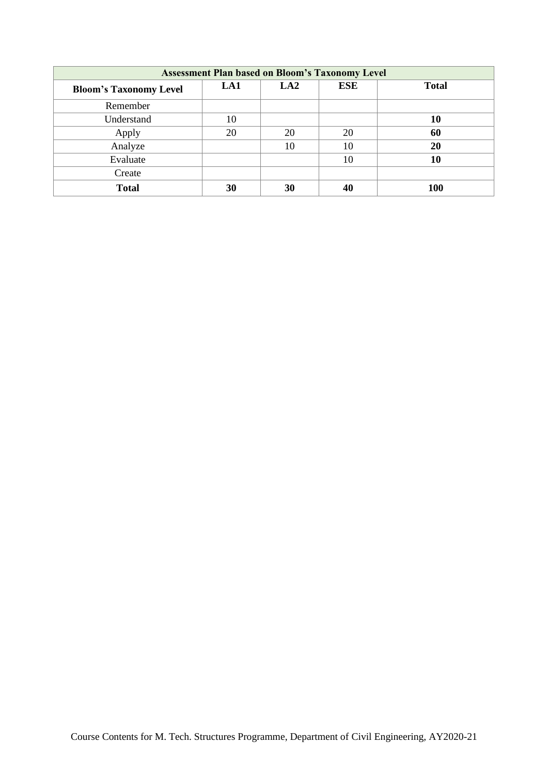| <b>Assessment Plan based on Bloom's Taxonomy Level</b> |     |     |            |              |
|--------------------------------------------------------|-----|-----|------------|--------------|
| <b>Bloom's Taxonomy Level</b>                          | LA1 | LA2 | <b>ESE</b> | <b>Total</b> |
| Remember                                               |     |     |            |              |
| Understand                                             | 10  |     |            | 10           |
| Apply                                                  | 20  | 20  | 20         | 60           |
| Analyze                                                |     | 10  | 10         | 20           |
| Evaluate                                               |     |     | 10         | 10           |
| Create                                                 |     |     |            |              |
| <b>Total</b>                                           | 30  | 30  | 40         | <b>100</b>   |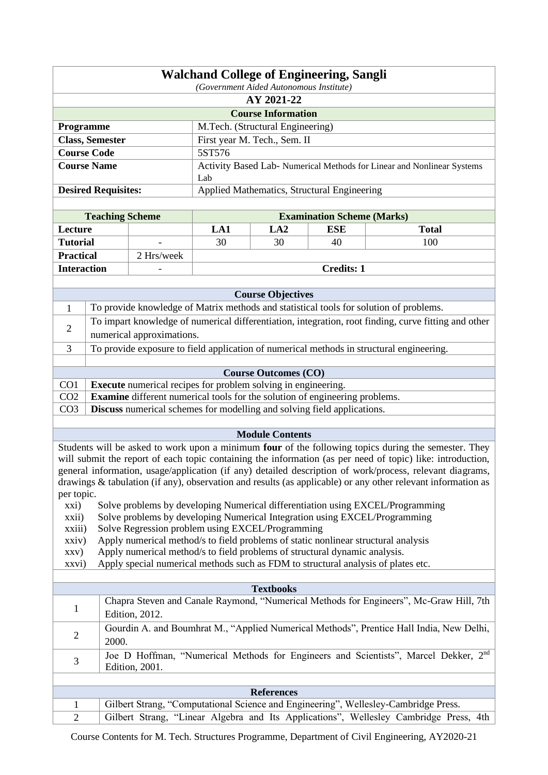|                                                                                                                                | <b>Walchand College of Engineering, Sangli</b><br>(Government Aided Autonomous Institute)                  |                                                                                    |        |                                  |                                             |                                                                                                      |  |
|--------------------------------------------------------------------------------------------------------------------------------|------------------------------------------------------------------------------------------------------------|------------------------------------------------------------------------------------|--------|----------------------------------|---------------------------------------------|------------------------------------------------------------------------------------------------------|--|
|                                                                                                                                | AY 2021-22                                                                                                 |                                                                                    |        |                                  |                                             |                                                                                                      |  |
| <b>Course Information</b>                                                                                                      |                                                                                                            |                                                                                    |        |                                  |                                             |                                                                                                      |  |
|                                                                                                                                | Programme                                                                                                  |                                                                                    |        | M.Tech. (Structural Engineering) |                                             |                                                                                                      |  |
|                                                                                                                                | <b>Class, Semester</b>                                                                                     |                                                                                    |        | First year M. Tech., Sem. II     |                                             |                                                                                                      |  |
|                                                                                                                                | <b>Course Code</b>                                                                                         |                                                                                    | 5ST576 |                                  |                                             |                                                                                                      |  |
|                                                                                                                                | <b>Course Name</b>                                                                                         |                                                                                    |        |                                  |                                             | Activity Based Lab- Numerical Methods for Linear and Nonlinear Systems                               |  |
|                                                                                                                                |                                                                                                            |                                                                                    | Lab    |                                  |                                             |                                                                                                      |  |
|                                                                                                                                | <b>Desired Requisites:</b>                                                                                 |                                                                                    |        |                                  | Applied Mathematics, Structural Engineering |                                                                                                      |  |
|                                                                                                                                |                                                                                                            |                                                                                    |        |                                  |                                             |                                                                                                      |  |
|                                                                                                                                | <b>Teaching Scheme</b>                                                                                     |                                                                                    |        |                                  | <b>Examination Scheme (Marks)</b>           |                                                                                                      |  |
| Lecture                                                                                                                        |                                                                                                            |                                                                                    | LA1    | LA2                              | <b>ESE</b>                                  | <b>Total</b>                                                                                         |  |
| <b>Tutorial</b>                                                                                                                |                                                                                                            |                                                                                    | 30     | 30                               | 40                                          | 100                                                                                                  |  |
| <b>Practical</b>                                                                                                               |                                                                                                            | 2 Hrs/week                                                                         |        |                                  |                                             |                                                                                                      |  |
| <b>Interaction</b>                                                                                                             |                                                                                                            |                                                                                    |        |                                  | <b>Credits: 1</b>                           |                                                                                                      |  |
|                                                                                                                                |                                                                                                            |                                                                                    |        |                                  |                                             |                                                                                                      |  |
|                                                                                                                                |                                                                                                            |                                                                                    |        | <b>Course Objectives</b>         |                                             |                                                                                                      |  |
| $\mathbf{1}$                                                                                                                   |                                                                                                            |                                                                                    |        |                                  |                                             | To provide knowledge of Matrix methods and statistical tools for solution of problems.               |  |
|                                                                                                                                |                                                                                                            |                                                                                    |        |                                  |                                             | To impart knowledge of numerical differentiation, integration, root finding, curve fitting and other |  |
| $\overline{2}$                                                                                                                 |                                                                                                            | numerical approximations.                                                          |        |                                  |                                             |                                                                                                      |  |
| 3                                                                                                                              |                                                                                                            |                                                                                    |        |                                  |                                             | To provide exposure to field application of numerical methods in structural engineering.             |  |
|                                                                                                                                |                                                                                                            |                                                                                    |        |                                  |                                             |                                                                                                      |  |
|                                                                                                                                |                                                                                                            |                                                                                    |        | <b>Course Outcomes (CO)</b>      |                                             |                                                                                                      |  |
| CO <sub>1</sub>                                                                                                                |                                                                                                            | <b>Execute</b> numerical recipes for problem solving in engineering.               |        |                                  |                                             |                                                                                                      |  |
| Examine different numerical tools for the solution of engineering problems.<br>CO <sub>2</sub>                                 |                                                                                                            |                                                                                    |        |                                  |                                             |                                                                                                      |  |
| CO <sub>3</sub><br>Discuss numerical schemes for modelling and solving field applications.                                     |                                                                                                            |                                                                                    |        |                                  |                                             |                                                                                                      |  |
|                                                                                                                                |                                                                                                            |                                                                                    |        |                                  |                                             |                                                                                                      |  |
| <b>Module Contents</b><br>Students will be asked to work upon a minimum four of the following topics during the semester. They |                                                                                                            |                                                                                    |        |                                  |                                             |                                                                                                      |  |
| will submit the report of each topic containing the information (as per need of topic) like: introduction,                     |                                                                                                            |                                                                                    |        |                                  |                                             |                                                                                                      |  |
| general information, usage/application (if any) detailed description of work/process, relevant diagrams,                       |                                                                                                            |                                                                                    |        |                                  |                                             |                                                                                                      |  |
| drawings & tabulation (if any), observation and results (as applicable) or any other relevant information as                   |                                                                                                            |                                                                                    |        |                                  |                                             |                                                                                                      |  |
| per topic.                                                                                                                     |                                                                                                            |                                                                                    |        |                                  |                                             |                                                                                                      |  |
| Solve problems by developing Numerical differentiation using EXCEL/Programming<br>xxi)                                         |                                                                                                            |                                                                                    |        |                                  |                                             |                                                                                                      |  |
| xxii)                                                                                                                          |                                                                                                            |                                                                                    |        |                                  |                                             | Solve problems by developing Numerical Integration using EXCEL/Programming                           |  |
| xxiii)                                                                                                                         |                                                                                                            | Solve Regression problem using EXCEL/Programming                                   |        |                                  |                                             |                                                                                                      |  |
| xxiv)                                                                                                                          |                                                                                                            | Apply numerical method/s to field problems of static nonlinear structural analysis |        |                                  |                                             |                                                                                                      |  |
| xxv)                                                                                                                           |                                                                                                            | Apply numerical method/s to field problems of structural dynamic analysis.         |        |                                  |                                             |                                                                                                      |  |
| xxvi)                                                                                                                          |                                                                                                            | Apply special numerical methods such as FDM to structural analysis of plates etc.  |        |                                  |                                             |                                                                                                      |  |
|                                                                                                                                |                                                                                                            |                                                                                    |        | <b>Textbooks</b>                 |                                             |                                                                                                      |  |
|                                                                                                                                |                                                                                                            |                                                                                    |        |                                  |                                             | Chapra Steven and Canale Raymond, "Numerical Methods for Engineers", Mc-Graw Hill, 7th               |  |
| $\mathbf{1}$                                                                                                                   |                                                                                                            |                                                                                    |        |                                  |                                             |                                                                                                      |  |
|                                                                                                                                | Edition, 2012.<br>Gourdin A. and Boumhrat M., "Applied Numerical Methods", Prentice Hall India, New Delhi, |                                                                                    |        |                                  |                                             |                                                                                                      |  |
| $\overline{2}$                                                                                                                 | 2000.                                                                                                      |                                                                                    |        |                                  |                                             |                                                                                                      |  |
| $\mathfrak{Z}$                                                                                                                 |                                                                                                            | Edition, 2001.                                                                     |        |                                  |                                             | Joe D Hoffman, "Numerical Methods for Engineers and Scientists", Marcel Dekker, 2nd                  |  |
|                                                                                                                                |                                                                                                            |                                                                                    |        |                                  |                                             |                                                                                                      |  |
|                                                                                                                                |                                                                                                            |                                                                                    |        | <b>References</b>                |                                             |                                                                                                      |  |
| $\mathbf{1}$                                                                                                                   |                                                                                                            |                                                                                    |        |                                  |                                             | Gilbert Strang, "Computational Science and Engineering", Wellesley-Cambridge Press.                  |  |
| $\overline{2}$                                                                                                                 |                                                                                                            |                                                                                    |        |                                  |                                             | Gilbert Strang, "Linear Algebra and Its Applications", Wellesley Cambridge Press, 4th                |  |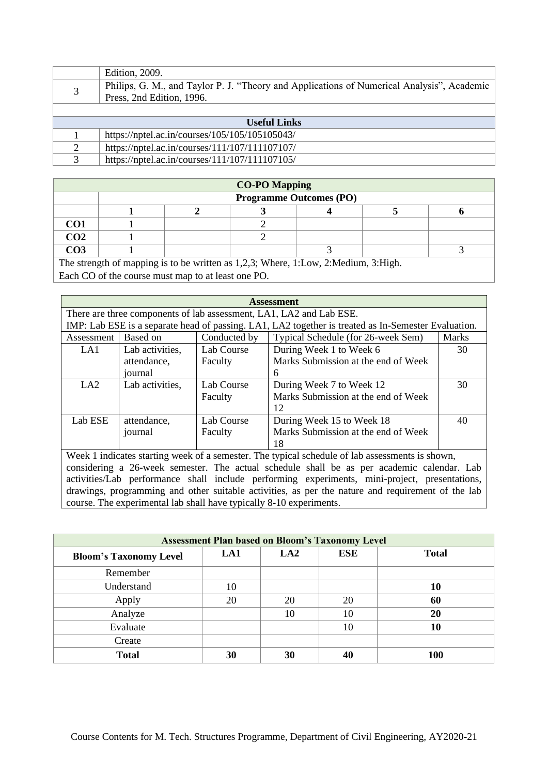|                     | Edition, 2009.                                                                             |  |  |  |  |
|---------------------|--------------------------------------------------------------------------------------------|--|--|--|--|
|                     | Philips, G. M., and Taylor P. J. "Theory and Applications of Numerical Analysis", Academic |  |  |  |  |
|                     | Press, 2nd Edition, 1996.                                                                  |  |  |  |  |
|                     |                                                                                            |  |  |  |  |
| <b>Useful Links</b> |                                                                                            |  |  |  |  |
|                     | https://nptel.ac.in/courses/105/105/105105043/                                             |  |  |  |  |
| 2                   | https://nptel.ac.in/courses/111/107/111107107/                                             |  |  |  |  |
|                     | https://nptel.ac.in/courses/111/107/111107105/                                             |  |  |  |  |

| <b>CO-PO Mapping</b>                                                               |  |                                |  |  |  |  |  |  |
|------------------------------------------------------------------------------------|--|--------------------------------|--|--|--|--|--|--|
|                                                                                    |  | <b>Programme Outcomes (PO)</b> |  |  |  |  |  |  |
|                                                                                    |  |                                |  |  |  |  |  |  |
| CO <sub>1</sub>                                                                    |  |                                |  |  |  |  |  |  |
| CO <sub>2</sub>                                                                    |  |                                |  |  |  |  |  |  |
| CO <sub>3</sub>                                                                    |  |                                |  |  |  |  |  |  |
| The strength of mapping is to be written as 1,2,3; Where, 1:Low, 2:Medium, 3:High. |  |                                |  |  |  |  |  |  |
| Each CO of the course must map to at least one PO.                                 |  |                                |  |  |  |  |  |  |

Each CO of the course must map to at least one PO.

|            |                 |              | <b>Assessment</b>                                                                                   |              |
|------------|-----------------|--------------|-----------------------------------------------------------------------------------------------------|--------------|
|            |                 |              | There are three components of lab assessment, LA1, LA2 and Lab ESE.                                 |              |
|            |                 |              | IMP: Lab ESE is a separate head of passing. LA1, LA2 together is treated as In-Semester Evaluation. |              |
| Assessment | Based on        | Conducted by | Typical Schedule (for 26-week Sem)                                                                  | <b>Marks</b> |
| LA1        | Lab activities, | Lab Course   | During Week 1 to Week 6                                                                             | 30           |
|            | attendance,     | Faculty      | Marks Submission at the end of Week                                                                 |              |
|            | iournal         |              | 6                                                                                                   |              |
| LA2        | Lab activities, | Lab Course   | During Week 7 to Week 12                                                                            | 30           |
|            |                 | Faculty      | Marks Submission at the end of Week                                                                 |              |
|            |                 |              | 12                                                                                                  |              |
| Lab ESE    | attendance,     | Lab Course   | During Week 15 to Week 18                                                                           | 40           |
|            | journal         | Faculty      | Marks Submission at the end of Week                                                                 |              |
|            |                 |              | 18                                                                                                  |              |

Week 1 indicates starting week of a semester. The typical schedule of lab assessments is shown, considering a 26-week semester. The actual schedule shall be as per academic calendar. Lab activities/Lab performance shall include performing experiments, mini-project, presentations, drawings, programming and other suitable activities, as per the nature and requirement of the lab course. The experimental lab shall have typically 8-10 experiments.

| <b>Assessment Plan based on Bloom's Taxonomy Level</b> |     |     |            |              |
|--------------------------------------------------------|-----|-----|------------|--------------|
| <b>Bloom's Taxonomy Level</b>                          | LA1 | LA2 | <b>ESE</b> | <b>Total</b> |
| Remember                                               |     |     |            |              |
| Understand                                             | 10  |     |            | 10           |
| Apply                                                  | 20  | 20  | 20         | 60           |
| Analyze                                                |     | 10  | 10         | 20           |
| Evaluate                                               |     |     | 10         | 10           |
| Create                                                 |     |     |            |              |
| <b>Total</b>                                           | 30  | 30  | 40         | 100          |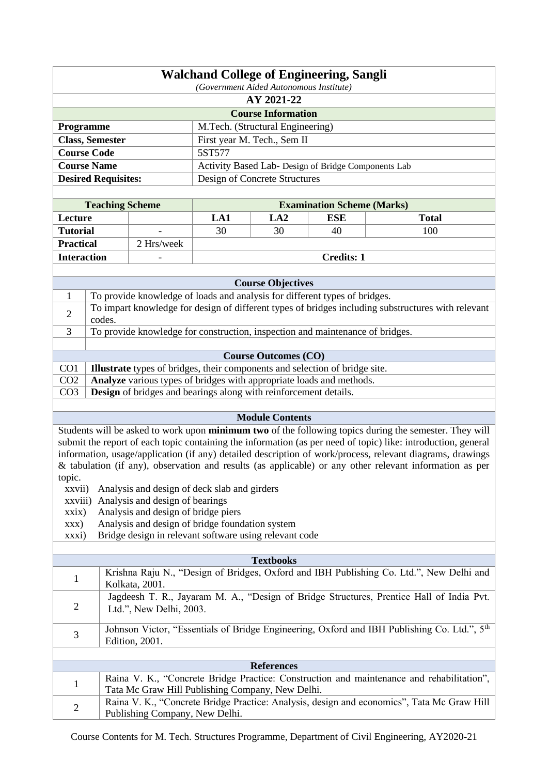| <b>Walchand College of Engineering, Sangli</b>                            |                                  |  |  |  |
|---------------------------------------------------------------------------|----------------------------------|--|--|--|
| (Government Aided Autonomous Institute)                                   |                                  |  |  |  |
| AY 2021-22                                                                |                                  |  |  |  |
| <b>Course Information</b>                                                 |                                  |  |  |  |
| <b>Programme</b>                                                          | M.Tech. (Structural Engineering) |  |  |  |
| <b>Class, Semester</b>                                                    | First year M. Tech., Sem II      |  |  |  |
| <b>Course Code</b>                                                        | 5ST577                           |  |  |  |
| <b>Course Name</b><br>Activity Based Lab- Design of Bridge Components Lab |                                  |  |  |  |
| <b>Desired Requisites:</b>                                                | Design of Concrete Structures    |  |  |  |

| <b>Teaching Scheme</b> |            | <b>Examination Scheme (Marks)</b> |     |                   |       |  |
|------------------------|------------|-----------------------------------|-----|-------------------|-------|--|
| Lecture                |            | LA 1                              | LA2 | <b>ESE</b>        | Total |  |
| <b>Tutorial</b>        | -          | 30                                | 30  | 40                | 100   |  |
| <b>Practical</b>       | 2 Hrs/week |                                   |     |                   |       |  |
| <b>Interaction</b>     |            |                                   |     | <b>Credits: 1</b> |       |  |

|                 | <b>Course Objectives</b>                                                                           |
|-----------------|----------------------------------------------------------------------------------------------------|
| 1               | To provide knowledge of loads and analysis for different types of bridges.                         |
| $\overline{2}$  | To impart knowledge for design of different types of bridges including substructures with relevant |
|                 | codes.                                                                                             |
| 3               | To provide knowledge for construction, inspection and maintenance of bridges.                      |
|                 |                                                                                                    |
|                 | <b>Course Outcomes (CO)</b>                                                                        |
| CO <sub>1</sub> | <b>Illustrate</b> types of bridges, their components and selection of bridge site.                 |
| CO <sub>2</sub> | Analyze various types of bridges with appropriate loads and methods.                               |
| $\cap$          | Design of kuiders and kaasinga alang mith sainfanaamant dataila                                    |

CO3 **Design** of bridges and bearings along with reinforcement details.

## **Module Contents**

Students will be asked to work upon **minimum two** of the following topics during the semester. They will submit the report of each topic containing the information (as per need of topic) like: introduction, general information, usage/application (if any) detailed description of work/process, relevant diagrams, drawings & tabulation (if any), observation and results (as applicable) or any other relevant information as per topic.

- xxvii) Analysis and design of deck slab and girders
- xxviii) Analysis and design of bearings
- xxix) Analysis and design of bridge piers
- xxx) Analysis and design of bridge foundation system
- xxxi) Bridge design in relevant software using relevant code

|   | <b>Textbooks</b>                                                                                        |
|---|---------------------------------------------------------------------------------------------------------|
|   | Krishna Raju N., "Design of Bridges, Oxford and IBH Publishing Co. Ltd.", New Delhi and                 |
|   | Kolkata, 2001.                                                                                          |
|   | Jagdeesh T. R., Jayaram M. A., "Design of Bridge Structures, Prentice Hall of India Pvt.                |
| 2 | Ltd.", New Delhi, 2003.                                                                                 |
|   |                                                                                                         |
| 3 | Johnson Victor, "Essentials of Bridge Engineering, Oxford and IBH Publishing Co. Ltd.", 5 <sup>th</sup> |
|   | Edition, 2001.                                                                                          |
|   |                                                                                                         |
|   | <b>References</b>                                                                                       |
|   | Raina V. K., "Concrete Bridge Practice: Construction and maintenance and rehabilitation",               |
|   | Tata Mc Graw Hill Publishing Company, New Delhi.                                                        |
|   | Raina V. K., "Concrete Bridge Practice: Analysis, design and economics", Tata Mc Graw Hill              |
| 2 | Publishing Company, New Delhi.                                                                          |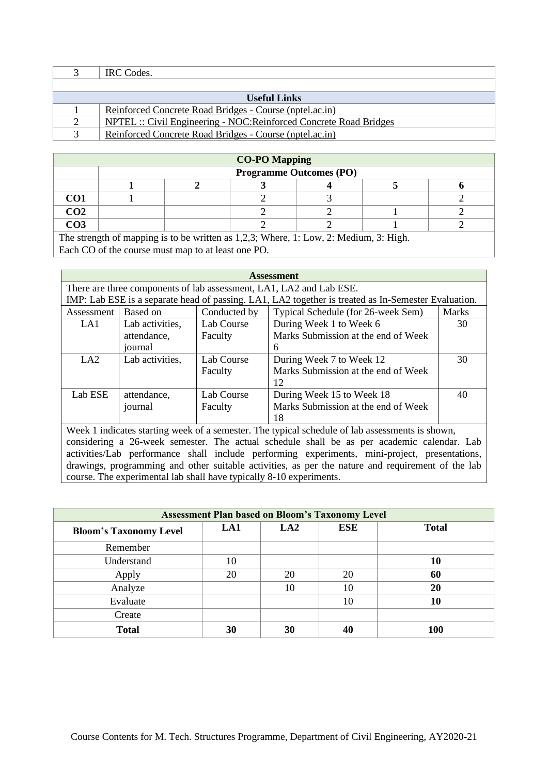|                     | IRC Codes.                                                         |  |  |  |  |
|---------------------|--------------------------------------------------------------------|--|--|--|--|
|                     |                                                                    |  |  |  |  |
| <b>Useful Links</b> |                                                                    |  |  |  |  |
|                     | Reinforced Concrete Road Bridges - Course (nptel.ac.in)            |  |  |  |  |
|                     | NPTEL :: Civil Engineering - NOC: Reinforced Concrete Road Bridges |  |  |  |  |
|                     | Reinforced Concrete Road Bridges - Course (nptel.ac.in)            |  |  |  |  |

| <b>CO-PO Mapping</b> |                                |  |  |  |  |  |  |  |
|----------------------|--------------------------------|--|--|--|--|--|--|--|
|                      | <b>Programme Outcomes (PO)</b> |  |  |  |  |  |  |  |
|                      |                                |  |  |  |  |  |  |  |
| $\overline{0}01$     |                                |  |  |  |  |  |  |  |
| CO <sub>2</sub>      |                                |  |  |  |  |  |  |  |
| റവ                   |                                |  |  |  |  |  |  |  |

The strength of mapping is to be written as 1,2,3; Where, 1: Low, 2: Medium, 3: High. Each CO of the course must map to at least one PO.

| <b>Assessment</b>                                                                             |                                                                                                   |              |                                                                                                     |    |  |  |
|-----------------------------------------------------------------------------------------------|---------------------------------------------------------------------------------------------------|--------------|-----------------------------------------------------------------------------------------------------|----|--|--|
| There are three components of lab assessment, LA1, LA2 and Lab ESE.                           |                                                                                                   |              |                                                                                                     |    |  |  |
|                                                                                               |                                                                                                   |              | IMP: Lab ESE is a separate head of passing. LA1, LA2 together is treated as In-Semester Evaluation. |    |  |  |
| Assessment                                                                                    | Based on                                                                                          | Conducted by | Typical Schedule (for 26-week Sem)<br><b>Marks</b>                                                  |    |  |  |
| LA1                                                                                           | Lab activities,                                                                                   | Lab Course   | During Week 1 to Week 6                                                                             | 30 |  |  |
|                                                                                               | attendance,                                                                                       | Faculty      | Marks Submission at the end of Week                                                                 |    |  |  |
|                                                                                               | iournal                                                                                           |              | 6                                                                                                   |    |  |  |
| LA2                                                                                           | Lab activities,                                                                                   | Lab Course   | During Week 7 to Week 12                                                                            | 30 |  |  |
|                                                                                               |                                                                                                   | Faculty      | Marks Submission at the end of Week                                                                 |    |  |  |
|                                                                                               |                                                                                                   |              | 12                                                                                                  |    |  |  |
| Lab ESE                                                                                       | attendance,                                                                                       | Lab Course   | During Week 15 to Week 18                                                                           | 40 |  |  |
|                                                                                               | journal                                                                                           | Faculty      | Marks Submission at the end of Week                                                                 |    |  |  |
|                                                                                               |                                                                                                   |              | 18                                                                                                  |    |  |  |
|                                                                                               | Week 1 indicates starting week of a semester. The typical schedule of lab assessments is shown,   |              |                                                                                                     |    |  |  |
| considering a 26-week semester. The actual schedule shall be as per academic calendar. Lab    |                                                                                                   |              |                                                                                                     |    |  |  |
| activities/Lab performance shall include performing experiments, mini-project, presentations, |                                                                                                   |              |                                                                                                     |    |  |  |
|                                                                                               | drawings, programming and other suitable activities, as per the nature and requirement of the lab |              |                                                                                                     |    |  |  |
|                                                                                               | course. The experimental lab shall have typically 8-10 experiments.                               |              |                                                                                                     |    |  |  |

| <b>Assessment Plan based on Bloom's Taxonomy Level</b> |     |     |            |              |  |  |
|--------------------------------------------------------|-----|-----|------------|--------------|--|--|
| <b>Bloom's Taxonomy Level</b>                          | LA1 | LA2 | <b>ESE</b> | <b>Total</b> |  |  |
| Remember                                               |     |     |            |              |  |  |
| Understand                                             | 10  |     |            | 10           |  |  |
| Apply                                                  | 20  | 20  | 20         | 60           |  |  |
| Analyze                                                |     | 10  | 10         | 20           |  |  |
| Evaluate                                               |     |     | 10         | 10           |  |  |
| Create                                                 |     |     |            |              |  |  |
| <b>Total</b>                                           | 30  | 30  | 40         | 100          |  |  |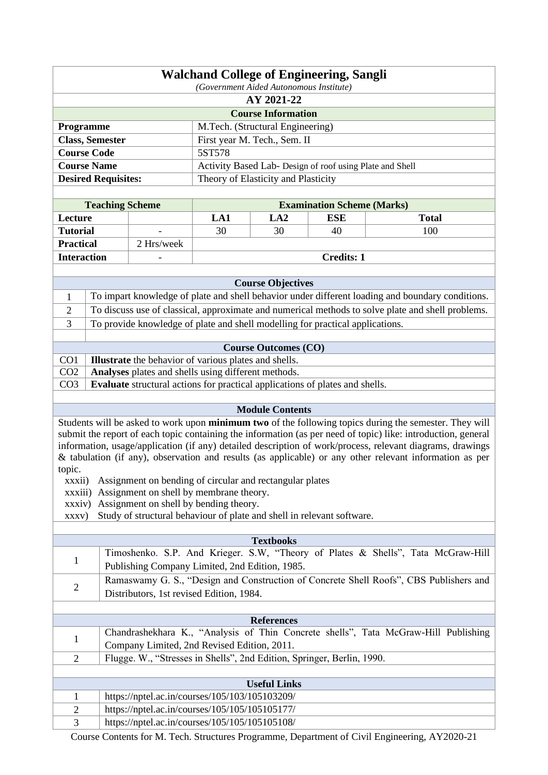| <b>Walchand College of Engineering, Sangli</b>                                 |                                         |  |  |  |  |
|--------------------------------------------------------------------------------|-----------------------------------------|--|--|--|--|
|                                                                                | (Government Aided Autonomous Institute) |  |  |  |  |
|                                                                                | AY 2021-22                              |  |  |  |  |
|                                                                                | <b>Course Information</b>               |  |  |  |  |
| <b>Programme</b>                                                               | M.Tech. (Structural Engineering)        |  |  |  |  |
| <b>Class, Semester</b>                                                         | First year M. Tech., Sem. II            |  |  |  |  |
| <b>Course Code</b>                                                             | 5ST578                                  |  |  |  |  |
| <b>Course Name</b><br>Activity Based Lab- Design of roof using Plate and Shell |                                         |  |  |  |  |
| <b>Desired Requisites:</b><br>Theory of Elasticity and Plasticity              |                                         |  |  |  |  |
|                                                                                |                                         |  |  |  |  |

|                    | <b>Teaching Scheme</b>   | <b>Examination Scheme (Marks)</b> |     |                   |              |  |
|--------------------|--------------------------|-----------------------------------|-----|-------------------|--------------|--|
| <b>Lecture</b>     |                          | LA1                               | LA2 | <b>ESE</b>        | <b>Total</b> |  |
| <b>Tutorial</b>    | $\overline{\phantom{a}}$ | 30                                | 30  | 40                | 100          |  |
| <b>Practical</b>   | 2 Hrs/week               |                                   |     |                   |              |  |
| <b>Interaction</b> | $\overline{\phantom{a}}$ |                                   |     | <b>Credits: 1</b> |              |  |
|                    |                          |                                   |     |                   |              |  |

|                 | <b>Course Objectives</b>                                                                          |  |  |  |  |  |
|-----------------|---------------------------------------------------------------------------------------------------|--|--|--|--|--|
|                 | To impart knowledge of plate and shell behavior under different loading and boundary conditions.  |  |  |  |  |  |
| 2               | To discuss use of classical, approximate and numerical methods to solve plate and shell problems. |  |  |  |  |  |
| 3               | To provide knowledge of plate and shell modelling for practical applications.                     |  |  |  |  |  |
|                 |                                                                                                   |  |  |  |  |  |
|                 | <b>Course Outcomes (CO)</b>                                                                       |  |  |  |  |  |
| CO <sub>1</sub> | <b>Illustrate</b> the behavior of various plates and shells.                                      |  |  |  |  |  |
| CO <sub>2</sub> | <b>Analyses</b> plates and shells using different methods.                                        |  |  |  |  |  |
| CO <sub>3</sub> | <b>Evaluate</b> structural actions for practical applications of plates and shells.               |  |  |  |  |  |

Students will be asked to work upon **minimum two** of the following topics during the semester. They will submit the report of each topic containing the information (as per need of topic) like: introduction, general information, usage/application (if any) detailed description of work/process, relevant diagrams, drawings & tabulation (if any), observation and results (as applicable) or any other relevant information as per topic.

- xxxii) Assignment on bending of circular and rectangular plates
- xxxiii) Assignment on shell by membrane theory.
- xxxiv) Assignment on shell by bending theory.
- xxxv) Study of structural behaviour of plate and shell in relevant software.

| <b>Textbooks</b>            |                                                                                        |  |  |  |  |  |
|-----------------------------|----------------------------------------------------------------------------------------|--|--|--|--|--|
|                             | Timoshenko. S.P. And Krieger. S.W, "Theory of Plates & Shells", Tata McGraw-Hill       |  |  |  |  |  |
|                             | Publishing Company Limited, 2nd Edition, 1985.                                         |  |  |  |  |  |
|                             | Ramaswamy G. S., "Design and Construction of Concrete Shell Roofs", CBS Publishers and |  |  |  |  |  |
| $\overline{2}$              | Distributors, 1st revised Edition, 1984.                                               |  |  |  |  |  |
|                             |                                                                                        |  |  |  |  |  |
| <b>References</b>           |                                                                                        |  |  |  |  |  |
|                             | Chandrashekhara K., "Analysis of Thin Concrete shells", Tata McGraw-Hill Publishing    |  |  |  |  |  |
|                             | Company Limited, 2nd Revised Edition, 2011.                                            |  |  |  |  |  |
| $\mathcal{D}_{\mathcal{L}}$ | Flugge. W., "Stresses in Shells", 2nd Edition, Springer, Berlin, 1990.                 |  |  |  |  |  |
|                             |                                                                                        |  |  |  |  |  |
|                             |                                                                                        |  |  |  |  |  |

| <b>Useful Links</b> |                                                |  |  |  |  |
|---------------------|------------------------------------------------|--|--|--|--|
|                     | https://nptel.ac.in/courses/105/103/105103209/ |  |  |  |  |
|                     | https://nptel.ac.in/courses/105/105/105105177/ |  |  |  |  |
|                     | https://nptel.ac.in/courses/105/105/105105108/ |  |  |  |  |
|                     |                                                |  |  |  |  |